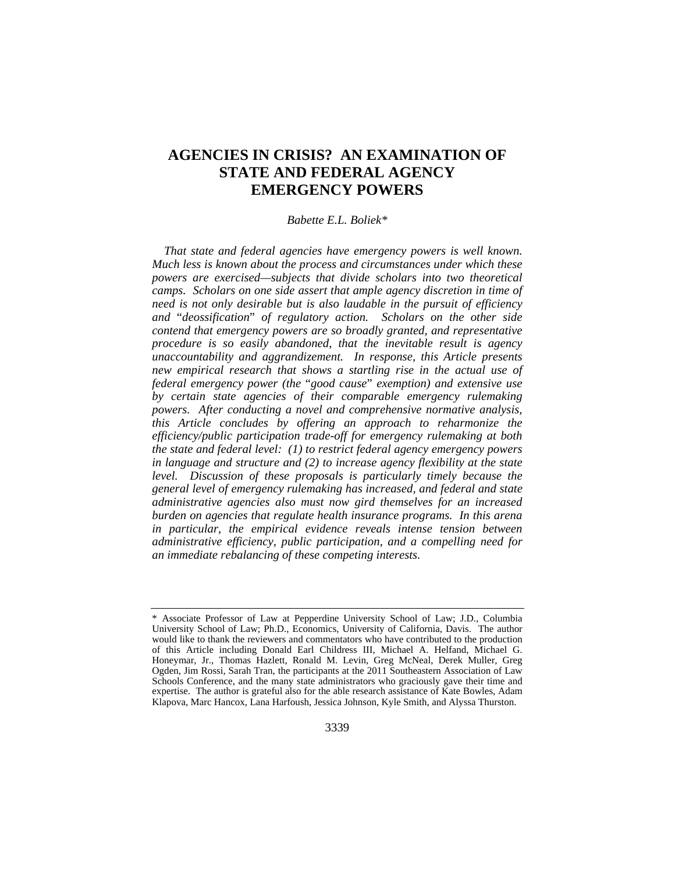# **AGENCIES IN CRISIS?****AN EXAMINATION OF STATE AND FEDERAL AGENCY EMERGENCY POWERS**

## *Babette E.L. Boliek\**

*That state and federal agencies have emergency powers is well known. Much less is known about the process and circumstances under which these powers are exercised—subjects that divide scholars into two theoretical camps. Scholars on one side assert that ample agency discretion in time of need is not only desirable but is also laudable in the pursuit of efficiency and* "*deossification*" *of regulatory action. Scholars on the other side contend that emergency powers are so broadly granted, and representative procedure is so easily abandoned, that the inevitable result is agency unaccountability and aggrandizement. In response, this Article presents new empirical research that shows a startling rise in the actual use of federal emergency power (the* "*good cause*" *exemption) and extensive use by certain state agencies of their comparable emergency rulemaking powers. After conducting a novel and comprehensive normative analysis, this Article concludes by offering an approach to reharmonize the efficiency/public participation trade-off for emergency rulemaking at both the state and federal level: (1) to restrict federal agency emergency powers in language and structure and (2) to increase agency flexibility at the state level. Discussion of these proposals is particularly timely because the general level of emergency rulemaking has increased, and federal and state administrative agencies also must now gird themselves for an increased burden on agencies that regulate health insurance programs. In this arena in particular, the empirical evidence reveals intense tension between administrative efficiency, public participation, and a compelling need for an immediate rebalancing of these competing interests.* 

<sup>\*</sup> Associate Professor of Law at Pepperdine University School of Law; J.D., Columbia University School of Law; Ph.D., Economics, University of California, Davis. The author would like to thank the reviewers and commentators who have contributed to the production of this Article including Donald Earl Childress III, Michael A. Helfand, Michael G. Honeymar, Jr., Thomas Hazlett, Ronald M. Levin, Greg McNeal, Derek Muller, Greg Ogden, Jim Rossi, Sarah Tran, the participants at the 2011 Southeastern Association of Law Schools Conference, and the many state administrators who graciously gave their time and expertise. The author is grateful also for the able research assistance of Kate Bowles, Adam Klapova, Marc Hancox, Lana Harfoush, Jessica Johnson, Kyle Smith, and Alyssa Thurston.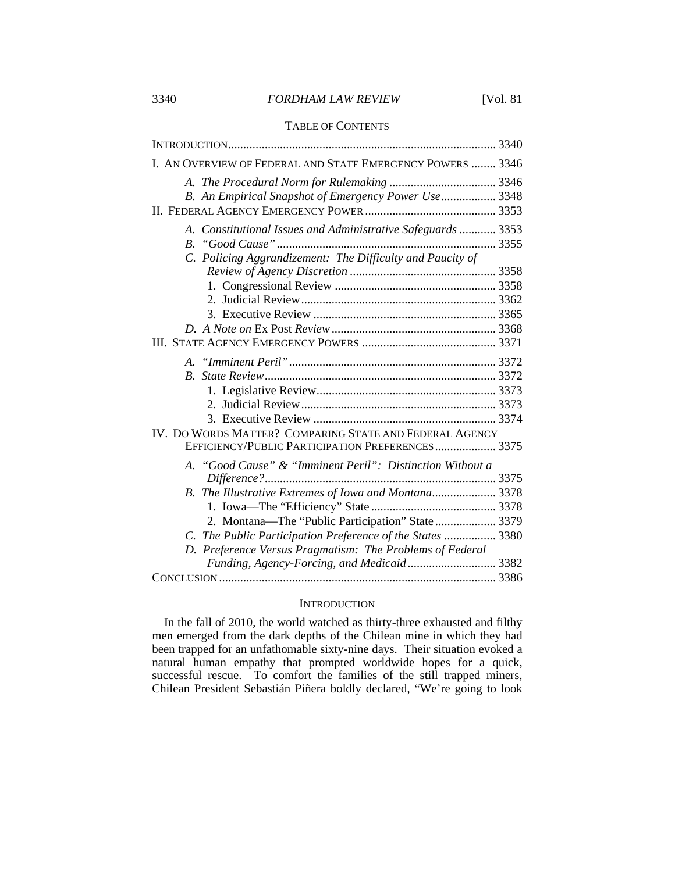# 3340 *FORDHAM LAW REVIEW* [Vol. 81

# TABLE OF CONTENTS

| I. AN OVERVIEW OF FEDERAL AND STATE EMERGENCY POWERS  3346   |
|--------------------------------------------------------------|
|                                                              |
| B. An Empirical Snapshot of Emergency Power Use 3348         |
|                                                              |
| A. Constitutional Issues and Administrative Safeguards  3353 |
|                                                              |
| C. Policing Aggrandizement: The Difficulty and Paucity of    |
|                                                              |
|                                                              |
|                                                              |
|                                                              |
|                                                              |
|                                                              |
|                                                              |
|                                                              |
|                                                              |
|                                                              |
|                                                              |
| IV. DO WORDS MATTER? COMPARING STATE AND FEDERAL AGENCY      |
| EFFICIENCY/PUBLIC PARTICIPATION PREFERENCES 3375             |
| A. "Good Cause" & "Imminent Peril": Distinction Without a    |
|                                                              |
| B. The Illustrative Extremes of Iowa and Montana 3378        |
|                                                              |
| 2. Montana-The "Public Participation" State  3379            |
| C. The Public Participation Preference of the States  3380   |
| D. Preference Versus Pragmatism: The Problems of Federal     |
| Funding, Agency-Forcing, and Medicaid 3382                   |
|                                                              |

#### **INTRODUCTION**

In the fall of 2010, the world watched as thirty-three exhausted and filthy men emerged from the dark depths of the Chilean mine in which they had been trapped for an unfathomable sixty-nine days. Their situation evoked a natural human empathy that prompted worldwide hopes for a quick, successful rescue. To comfort the families of the still trapped miners, Chilean President Sebastián Piñera boldly declared, "We're going to look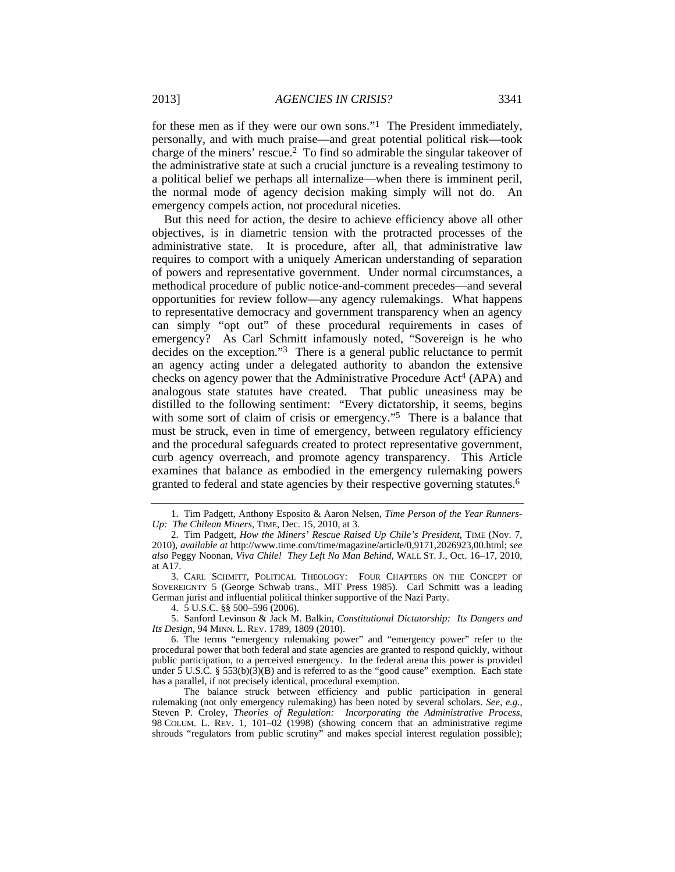2013] *AGENCIES IN CRISIS?* 3341

for these men as if they were our own sons."1 The President immediately, personally, and with much praise—and great potential political risk—took charge of the miners' rescue.2 To find so admirable the singular takeover of the administrative state at such a crucial juncture is a revealing testimony to a political belief we perhaps all internalize—when there is imminent peril, the normal mode of agency decision making simply will not do. An emergency compels action, not procedural niceties.

But this need for action, the desire to achieve efficiency above all other objectives, is in diametric tension with the protracted processes of the administrative state. It is procedure, after all, that administrative law requires to comport with a uniquely American understanding of separation of powers and representative government. Under normal circumstances, a methodical procedure of public notice-and-comment precedes—and several opportunities for review follow—any agency rulemakings. What happens to representative democracy and government transparency when an agency can simply "opt out" of these procedural requirements in cases of emergency? As Carl Schmitt infamously noted, "Sovereign is he who decides on the exception."3 There is a general public reluctance to permit an agency acting under a delegated authority to abandon the extensive checks on agency power that the Administrative Procedure Act<sup>4</sup> (APA) and analogous state statutes have created. That public uneasiness may be distilled to the following sentiment: "Every dictatorship, it seems, begins with some sort of claim of crisis or emergency."<sup>5</sup> There is a balance that must be struck, even in time of emergency, between regulatory efficiency and the procedural safeguards created to protect representative government, curb agency overreach, and promote agency transparency. This Article examines that balance as embodied in the emergency rulemaking powers granted to federal and state agencies by their respective governing statutes.6

 <sup>1.</sup> Tim Padgett, Anthony Esposito & Aaron Nelsen, *Time Person of the Year Runners-Up: The Chilean Miners*, TIME, Dec. 15, 2010, at 3.

 <sup>2.</sup> Tim Padgett, *How the Miners' Rescue Raised Up Chile's President*, TIME (Nov. 7, 2010), *available at* http://www.time.com/time/magazine/article/0,9171,2026923,00.html; *see also* Peggy Noonan, *Viva Chile! They Left No Man Behind*, WALL ST. J., Oct. 16–17, 2010, at A17.

 <sup>3.</sup> CARL SCHMITT, POLITICAL THEOLOGY: FOUR CHAPTERS ON THE CONCEPT OF SOVEREIGNTY 5 (George Schwab trans., MIT Press 1985). Carl Schmitt was a leading German jurist and influential political thinker supportive of the Nazi Party.

 <sup>4. 5</sup> U.S.C. §§ 500–596 (2006).

 <sup>5.</sup> Sanford Levinson & Jack M. Balkin, *Constitutional Dictatorship: Its Dangers and Its Design*, 94 MINN. L. REV. 1789, 1809 (2010).

 <sup>6.</sup> The terms "emergency rulemaking power" and "emergency power" refer to the procedural power that both federal and state agencies are granted to respond quickly, without public participation, to a perceived emergency. In the federal arena this power is provided under 5 U.S.C. § 553(b)(3)(B) and is referred to as the "good cause" exemption. Each state has a parallel, if not precisely identical, procedural exemption.

The balance struck between efficiency and public participation in general rulemaking (not only emergency rulemaking) has been noted by several scholars. *See, e.g.*, Steven P. Croley, *Theories of Regulation: Incorporating the Administrative Process*, 98 COLUM. L. REV. 1, 101–02 (1998) (showing concern that an administrative regime shrouds "regulators from public scrutiny" and makes special interest regulation possible);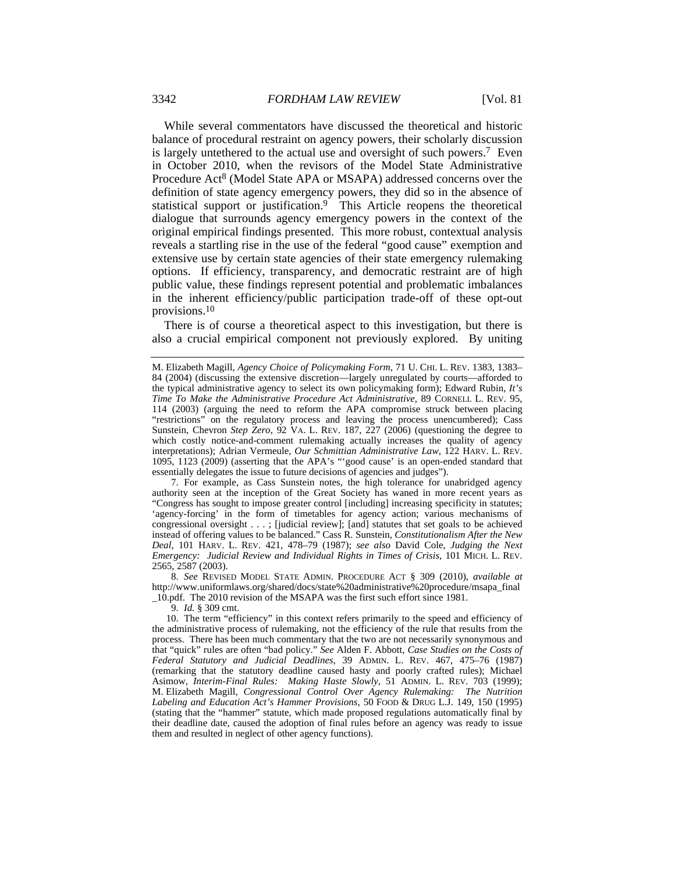While several commentators have discussed the theoretical and historic balance of procedural restraint on agency powers, their scholarly discussion is largely untethered to the actual use and oversight of such powers.7 Even in October 2010, when the revisors of the Model State Administrative Procedure Act<sup>8</sup> (Model State APA or MSAPA) addressed concerns over the definition of state agency emergency powers, they did so in the absence of statistical support or justification.9 This Article reopens the theoretical dialogue that surrounds agency emergency powers in the context of the original empirical findings presented. This more robust, contextual analysis reveals a startling rise in the use of the federal "good cause" exemption and extensive use by certain state agencies of their state emergency rulemaking options. If efficiency, transparency, and democratic restraint are of high public value, these findings represent potential and problematic imbalances in the inherent efficiency/public participation trade-off of these opt-out provisions.10

There is of course a theoretical aspect to this investigation, but there is also a crucial empirical component not previously explored. By uniting

 7. For example, as Cass Sunstein notes, the high tolerance for unabridged agency authority seen at the inception of the Great Society has waned in more recent years as "Congress has sought to impose greater control [including] increasing specificity in statutes; 'agency-forcing' in the form of timetables for agency action; various mechanisms of congressional oversight . . . ; [judicial review]; [and] statutes that set goals to be achieved instead of offering values to be balanced." Cass R. Sunstein, *Constitutionalism After the New Deal*, 101 HARV. L. REV. 421, 478–79 (1987); *see also* David Cole, *Judging the Next Emergency: Judicial Review and Individual Rights in Times of Crisis*, 101 MICH. L. REV. 2565, 2587 (2003).

8. *See* REVISED MODEL STATE ADMIN. PROCEDURE ACT § 309 (2010), *available at* http://www.uniformlaws.org/shared/docs/state%20administrative%20procedure/msapa\_final

\_10.pdf. The 2010 revision of the MSAPA was the first such effort since 1981.

9. *Id.* § 309 cmt.

 10. The term "efficiency" in this context refers primarily to the speed and efficiency of the administrative process of rulemaking, not the efficiency of the rule that results from the process. There has been much commentary that the two are not necessarily synonymous and that "quick" rules are often "bad policy." *See* Alden F. Abbott, *Case Studies on the Costs of Federal Statutory and Judicial Deadlines*, 39 ADMIN. L. REV. 467, 475–76 (1987) (remarking that the statutory deadline caused hasty and poorly crafted rules); Michael Asimow, *Interim-Final Rules: Making Haste Slowly*, 51 ADMIN. L. REV. 703 (1999); M. Elizabeth Magill, *Congressional Control Over Agency Rulemaking: The Nutrition Labeling and Education Act's Hammer Provisions*, 50 FOOD & DRUG L.J. 149, 150 (1995) (stating that the "hammer" statute, which made proposed regulations automatically final by their deadline date, caused the adoption of final rules before an agency was ready to issue them and resulted in neglect of other agency functions).

M. Elizabeth Magill, *Agency Choice of Policymaking Form*, 71 U. CHI. L. REV. 1383, 1383– 84 (2004) (discussing the extensive discretion—largely unregulated by courts—afforded to the typical administrative agency to select its own policymaking form); Edward Rubin, *It's Time To Make the Administrative Procedure Act Administrative*, 89 CORNELL L. REV. 95, 114 (2003) (arguing the need to reform the APA compromise struck between placing "restrictions" on the regulatory process and leaving the process unencumbered); Cass Sunstein, Chevron *Step Zero*, 92 VA. L. REV. 187, 227 (2006) (questioning the degree to which costly notice-and-comment rulemaking actually increases the quality of agency interpretations); Adrian Vermeule, *Our Schmittian Administrative Law*, 122 HARV. L. REV. 1095, 1123 (2009) (asserting that the APA's "'good cause' is an open-ended standard that essentially delegates the issue to future decisions of agencies and judges").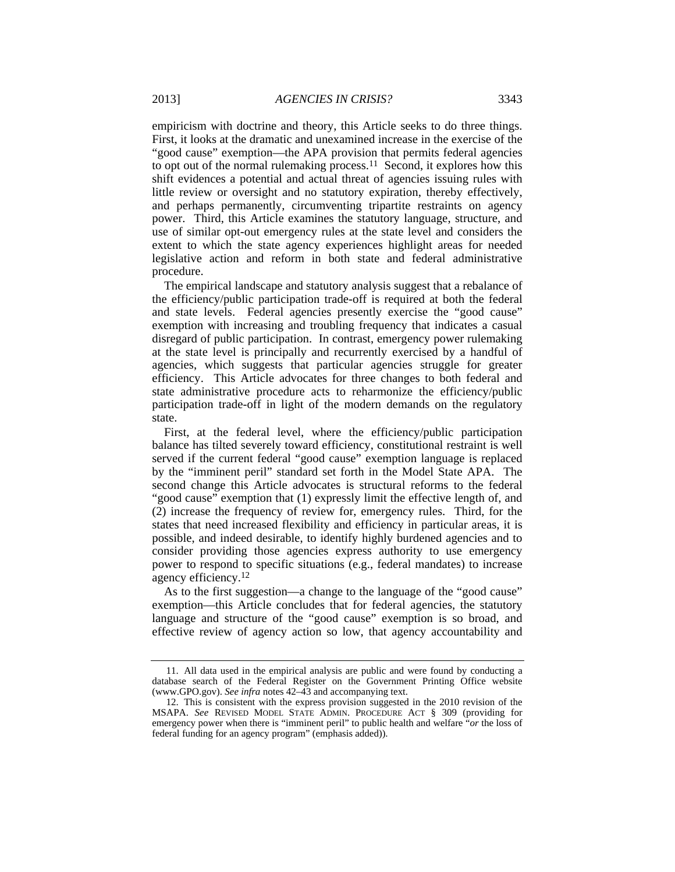empiricism with doctrine and theory, this Article seeks to do three things. First, it looks at the dramatic and unexamined increase in the exercise of the "good cause" exemption—the APA provision that permits federal agencies to opt out of the normal rulemaking process.<sup>11</sup> Second, it explores how this shift evidences a potential and actual threat of agencies issuing rules with little review or oversight and no statutory expiration, thereby effectively, and perhaps permanently, circumventing tripartite restraints on agency power. Third, this Article examines the statutory language, structure, and use of similar opt-out emergency rules at the state level and considers the extent to which the state agency experiences highlight areas for needed legislative action and reform in both state and federal administrative procedure.

The empirical landscape and statutory analysis suggest that a rebalance of the efficiency/public participation trade-off is required at both the federal and state levels. Federal agencies presently exercise the "good cause" exemption with increasing and troubling frequency that indicates a casual disregard of public participation. In contrast, emergency power rulemaking at the state level is principally and recurrently exercised by a handful of agencies, which suggests that particular agencies struggle for greater efficiency. This Article advocates for three changes to both federal and state administrative procedure acts to reharmonize the efficiency/public participation trade-off in light of the modern demands on the regulatory state.

First, at the federal level, where the efficiency/public participation balance has tilted severely toward efficiency, constitutional restraint is well served if the current federal "good cause" exemption language is replaced by the "imminent peril" standard set forth in the Model State APA. The second change this Article advocates is structural reforms to the federal "good cause" exemption that (1) expressly limit the effective length of, and (2) increase the frequency of review for, emergency rules. Third, for the states that need increased flexibility and efficiency in particular areas, it is possible, and indeed desirable, to identify highly burdened agencies and to consider providing those agencies express authority to use emergency power to respond to specific situations (e.g., federal mandates) to increase agency efficiency.12

As to the first suggestion—a change to the language of the "good cause" exemption—this Article concludes that for federal agencies, the statutory language and structure of the "good cause" exemption is so broad, and effective review of agency action so low, that agency accountability and

 <sup>11.</sup> All data used in the empirical analysis are public and were found by conducting a database search of the Federal Register on the Government Printing Office website (www.GPO.gov). *See infra* notes 42–43 and accompanying text.

 <sup>12.</sup> This is consistent with the express provision suggested in the 2010 revision of the MSAPA. *See* REVISED MODEL STATE ADMIN. PROCEDURE ACT § 309 (providing for emergency power when there is "imminent peril" to public health and welfare "*or* the loss of federal funding for an agency program" (emphasis added)).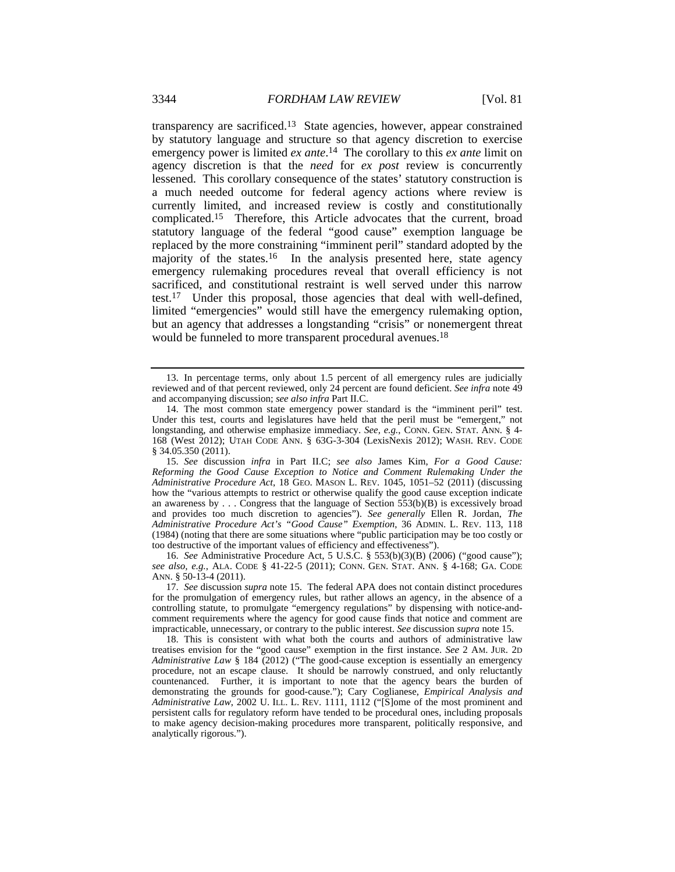transparency are sacrificed.13 State agencies, however, appear constrained by statutory language and structure so that agency discretion to exercise emergency power is limited *ex ante*.<sup>14</sup> The corollary to this *ex ante* limit on agency discretion is that the *need* for *ex post* review is concurrently lessened. This corollary consequence of the states' statutory construction is a much needed outcome for federal agency actions where review is currently limited, and increased review is costly and constitutionally complicated.15 Therefore, this Article advocates that the current, broad statutory language of the federal "good cause" exemption language be replaced by the more constraining "imminent peril" standard adopted by the majority of the states.<sup>16</sup> In the analysis presented here, state agency emergency rulemaking procedures reveal that overall efficiency is not sacrificed, and constitutional restraint is well served under this narrow test.17Under this proposal, those agencies that deal with well-defined, limited "emergencies" would still have the emergency rulemaking option, but an agency that addresses a longstanding "crisis" or nonemergent threat would be funneled to more transparent procedural avenues.<sup>18</sup>

16. *See* Administrative Procedure Act, 5 U.S.C. § 553(b)(3)(B) (2006) ("good cause"); *see also, e.g.*, ALA. CODE § 41-22-5 (2011); CONN. GEN. STAT. ANN. § 4-168; GA. CODE ANN. § 50-13-4 (2011).

 <sup>13.</sup> In percentage terms, only about 1.5 percent of all emergency rules are judicially reviewed and of that percent reviewed, only 24 percent are found deficient. *See infra* note 49 and accompanying discussion; *see also infra* Part II.C.

 <sup>14.</sup> The most common state emergency power standard is the "imminent peril" test. Under this test, courts and legislatures have held that the peril must be "emergent," not longstanding, and otherwise emphasize immediacy. *See, e.g.*, CONN. GEN. STAT. ANN. § 4-168 (West 2012); UTAH CODE ANN. § 63G-3-304 (LexisNexis 2012); WASH. REV. CODE § 34.05.350 (2011).

<sup>15.</sup> *See* discussion *infra* in Part II.C; *see also* James Kim, *For a Good Cause: Reforming the Good Cause Exception to Notice and Comment Rulemaking Under the Administrative Procedure Act*, 18 GEO. MASON L. REV. 1045, 1051–52 (2011) (discussing how the "various attempts to restrict or otherwise qualify the good cause exception indicate an awareness by . . . Congress that the language of Section 553(b)(B) is excessively broad and provides too much discretion to agencies"). *See generally* Ellen R. Jordan, *The Administrative Procedure Act's "Good Cause" Exemption*, 36 ADMIN. L. REV. 113, 118 (1984) (noting that there are some situations where "public participation may be too costly or too destructive of the important values of efficiency and effectiveness").

<sup>17.</sup> *See* discussion *supra* note 15. The federal APA does not contain distinct procedures for the promulgation of emergency rules, but rather allows an agency, in the absence of a controlling statute, to promulgate "emergency regulations" by dispensing with notice-andcomment requirements where the agency for good cause finds that notice and comment are impracticable, unnecessary, or contrary to the public interest. *See* discussion *supra* note 15.

 <sup>18.</sup> This is consistent with what both the courts and authors of administrative law treatises envision for the "good cause" exemption in the first instance. *See* 2 AM. JUR. 2D *Administrative Law* § 184 (2012) ("The good-cause exception is essentially an emergency procedure, not an escape clause. It should be narrowly construed, and only reluctantly countenanced. Further, it is important to note that the agency bears the burden of demonstrating the grounds for good-cause."); Cary Coglianese, *Empirical Analysis and Administrative Law*, 2002 U. ILL. L. REV. 1111, 1112 ("[S]ome of the most prominent and persistent calls for regulatory reform have tended to be procedural ones, including proposals to make agency decision-making procedures more transparent, politically responsive, and analytically rigorous.").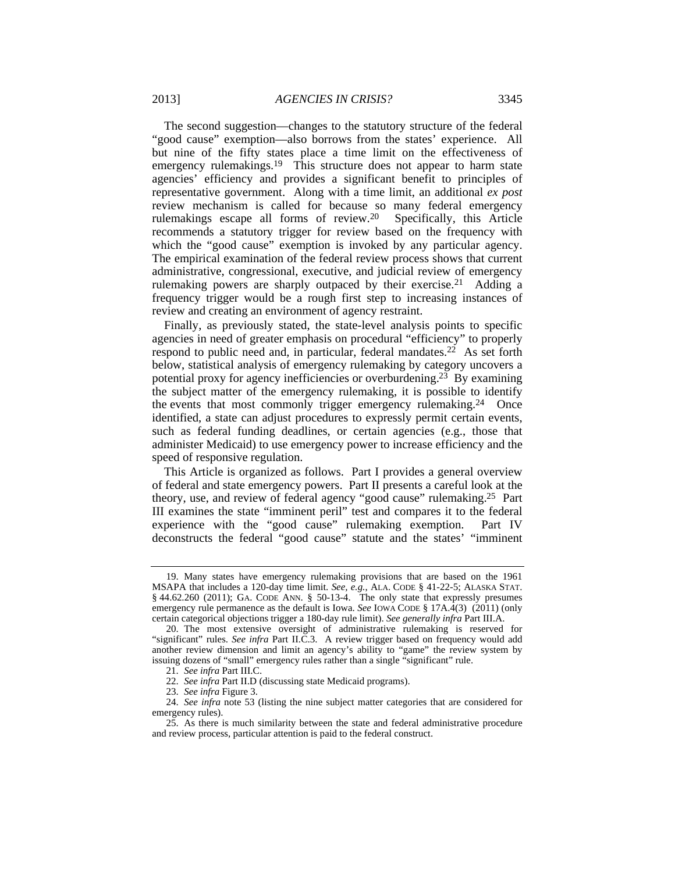The second suggestion—changes to the statutory structure of the federal "good cause" exemption—also borrows from the states' experience. All but nine of the fifty states place a time limit on the effectiveness of emergency rulemakings.<sup>19</sup> This structure does not appear to harm state agencies' efficiency and provides a significant benefit to principles of representative government. Along with a time limit, an additional *ex post* review mechanism is called for because so many federal emergency rulemakings escape all forms of review.20 Specifically, this Article recommends a statutory trigger for review based on the frequency with which the "good cause" exemption is invoked by any particular agency. The empirical examination of the federal review process shows that current administrative, congressional, executive, and judicial review of emergency rulemaking powers are sharply outpaced by their exercise.<sup>21</sup> Adding a frequency trigger would be a rough first step to increasing instances of review and creating an environment of agency restraint.

Finally, as previously stated, the state-level analysis points to specific agencies in need of greater emphasis on procedural "efficiency" to properly respond to public need and, in particular, federal mandates.<sup>22</sup> As set forth below, statistical analysis of emergency rulemaking by category uncovers a potential proxy for agency inefficiencies or overburdening.<sup>23</sup> By examining the subject matter of the emergency rulemaking, it is possible to identify the events that most commonly trigger emergency rulemaking.<sup>24</sup> Once identified, a state can adjust procedures to expressly permit certain events, such as federal funding deadlines, or certain agencies (e.g., those that administer Medicaid) to use emergency power to increase efficiency and the speed of responsive regulation.

This Article is organized as follows. Part I provides a general overview of federal and state emergency powers. Part II presents a careful look at the theory, use, and review of federal agency "good cause" rulemaking.25 Part III examines the state "imminent peril" test and compares it to the federal experience with the "good cause" rulemaking exemption. Part IV deconstructs the federal "good cause" statute and the states' "imminent

 <sup>19.</sup> Many states have emergency rulemaking provisions that are based on the 1961 MSAPA that includes a 120-day time limit. *See, e.g.*, ALA. CODE § 41-22-5; ALASKA STAT. § 44.62.260 (2011); GA. CODE ANN. § 50-13-4. The only state that expressly presumes emergency rule permanence as the default is Iowa. *See* IOWA CODE § 17A.4(3) (2011) (only certain categorical objections trigger a 180-day rule limit). *See generally infra* Part III.A.

 <sup>20.</sup> The most extensive oversight of administrative rulemaking is reserved for "significant" rules. *See infra* Part II.C.3. A review trigger based on frequency would add another review dimension and limit an agency's ability to "game" the review system by issuing dozens of "small" emergency rules rather than a single "significant" rule.

<sup>21.</sup> *See infra* Part III.C.

<sup>22.</sup> *See infra* Part II.D (discussing state Medicaid programs).

<sup>23.</sup> *See infra* Figure 3.

<sup>24.</sup> *See infra* note 53 (listing the nine subject matter categories that are considered for emergency rules).

 <sup>25.</sup> As there is much similarity between the state and federal administrative procedure and review process, particular attention is paid to the federal construct.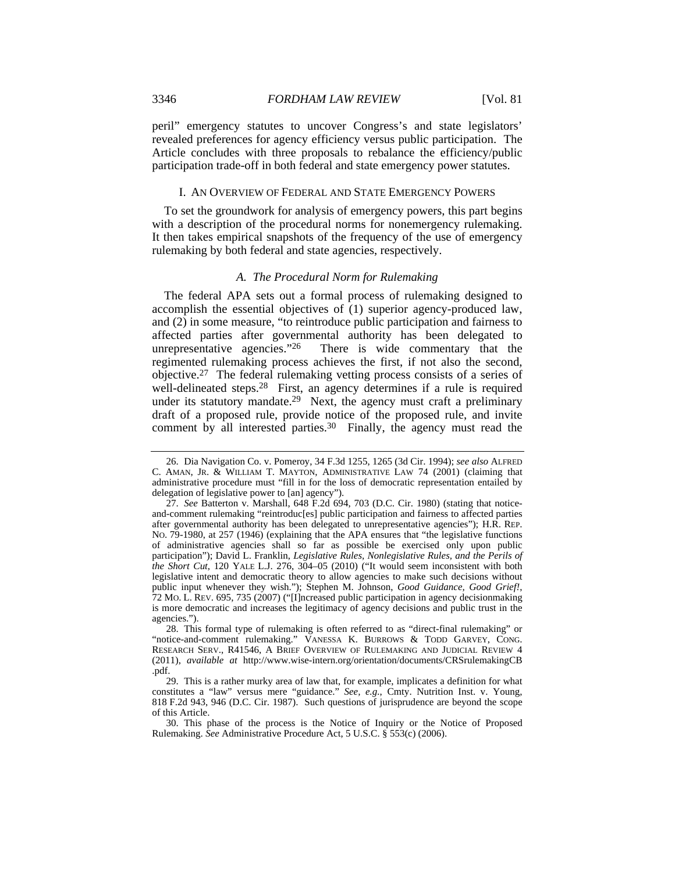peril" emergency statutes to uncover Congress's and state legislators' revealed preferences for agency efficiency versus public participation. The Article concludes with three proposals to rebalance the efficiency/public participation trade-off in both federal and state emergency power statutes.

#### I. AN OVERVIEW OF FEDERAL AND STATE EMERGENCY POWERS

To set the groundwork for analysis of emergency powers, this part begins with a description of the procedural norms for nonemergency rulemaking. It then takes empirical snapshots of the frequency of the use of emergency rulemaking by both federal and state agencies, respectively.

# *A. The Procedural Norm for Rulemaking*

The federal APA sets out a formal process of rulemaking designed to accomplish the essential objectives of (1) superior agency-produced law, and (2) in some measure, "to reintroduce public participation and fairness to affected parties after governmental authority has been delegated to unrepresentative agencies."<sup>26</sup> There is wide commentary that the There is wide commentary that the regimented rulemaking process achieves the first, if not also the second, objective.27 The federal rulemaking vetting process consists of a series of well-delineated steps.<sup>28</sup> First, an agency determines if a rule is required under its statutory mandate.<sup>29</sup> Next, the agency must craft a preliminary draft of a proposed rule, provide notice of the proposed rule, and invite comment by all interested parties.<sup>30</sup> Finally, the agency must read the

 <sup>26.</sup> Dia Navigation Co. v. Pomeroy, 34 F.3d 1255, 1265 (3d Cir. 1994); *see also* ALFRED C. AMAN, JR. & WILLIAM T. MAYTON, ADMINISTRATIVE LAW 74 (2001) (claiming that administrative procedure must "fill in for the loss of democratic representation entailed by delegation of legislative power to [an] agency").

<sup>27.</sup> *See* Batterton v. Marshall, 648 F.2d 694, 703 (D.C. Cir. 1980) (stating that noticeand-comment rulemaking "reintroduc[es] public participation and fairness to affected parties after governmental authority has been delegated to unrepresentative agencies"); H.R. REP. NO. 79-1980, at 257 (1946) (explaining that the APA ensures that "the legislative functions of administrative agencies shall so far as possible be exercised only upon public participation"); David L. Franklin, *Legislative Rules, Nonlegislative Rules, and the Perils of the Short Cut*, 120 YALE L.J. 276, 304–05 (2010) ("It would seem inconsistent with both legislative intent and democratic theory to allow agencies to make such decisions without public input whenever they wish."); Stephen M. Johnson, *Good Guidance, Good Grief!*, 72 MO. L. REV. 695, 735 (2007) ("[I]ncreased public participation in agency decisionmaking is more democratic and increases the legitimacy of agency decisions and public trust in the agencies.").

 <sup>28.</sup> This formal type of rulemaking is often referred to as "direct-final rulemaking" or "notice-and-comment rulemaking." VANESSA K. BURROWS & TODD GARVEY, CONG. RESEARCH SERV., R41546, A BRIEF OVERVIEW OF RULEMAKING AND JUDICIAL REVIEW 4 (2011), *available at* http://www.wise-intern.org/orientation/documents/CRSrulemakingCB .pdf.

 <sup>29.</sup> This is a rather murky area of law that, for example, implicates a definition for what constitutes a "law" versus mere "guidance." *See, e.g.*, Cmty. Nutrition Inst. v. Young, 818 F.2d 943, 946 (D.C. Cir. 1987). Such questions of jurisprudence are beyond the scope of this Article.

 <sup>30.</sup> This phase of the process is the Notice of Inquiry or the Notice of Proposed Rulemaking. *See* Administrative Procedure Act, 5 U.S.C. § 553(c) (2006).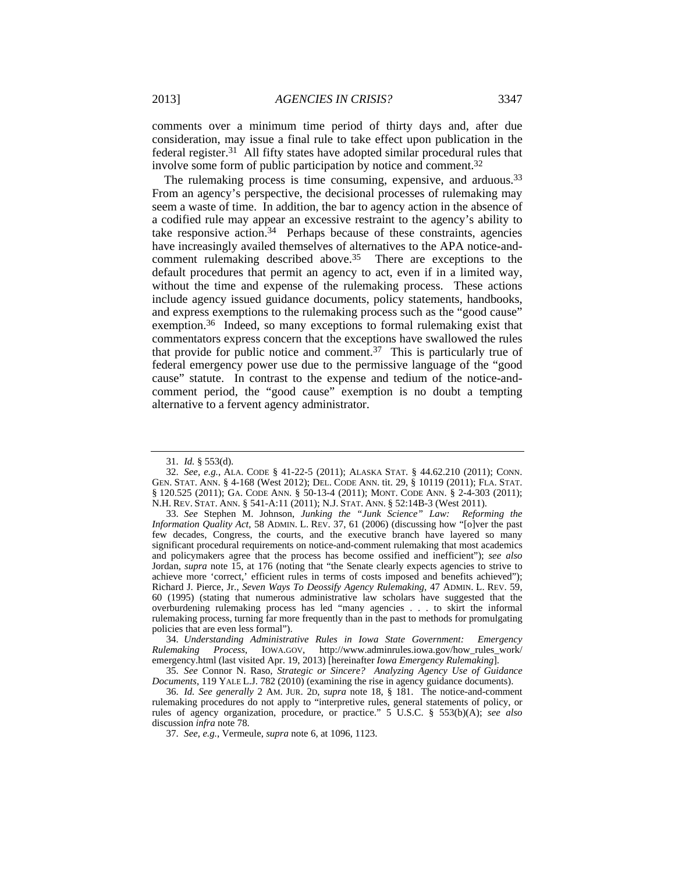comments over a minimum time period of thirty days and, after due consideration, may issue a final rule to take effect upon publication in the federal register.31 All fifty states have adopted similar procedural rules that involve some form of public participation by notice and comment.32

The rulemaking process is time consuming, expensive, and arduous.<sup>33</sup> From an agency's perspective, the decisional processes of rulemaking may seem a waste of time. In addition, the bar to agency action in the absence of a codified rule may appear an excessive restraint to the agency's ability to take responsive action.34 Perhaps because of these constraints, agencies have increasingly availed themselves of alternatives to the APA notice-andcomment rulemaking described above.35 There are exceptions to the default procedures that permit an agency to act, even if in a limited way, without the time and expense of the rulemaking process. These actions include agency issued guidance documents, policy statements, handbooks, and express exemptions to the rulemaking process such as the "good cause" exemption.<sup>36</sup> Indeed, so many exceptions to formal rulemaking exist that commentators express concern that the exceptions have swallowed the rules that provide for public notice and comment.37 This is particularly true of federal emergency power use due to the permissive language of the "good cause" statute. In contrast to the expense and tedium of the notice-andcomment period, the "good cause" exemption is no doubt a tempting alternative to a fervent agency administrator.

34. *Understanding Administrative Rules in Iowa State Government: Emergency Rulemaking Process*, IOWA.GOV, http://www.adminrules.iowa.gov/how\_rules\_work/ emergency.html (last visited Apr. 19, 2013) [hereinafter *Iowa Emergency Rulemaking*].

<sup>31.</sup> *Id.* § 553(d).

<sup>32.</sup> *See, e.g.*, ALA. CODE § 41-22-5 (2011); ALASKA STAT. § 44.62.210 (2011); CONN. GEN. STAT. ANN. § 4-168 (West 2012); DEL. CODE ANN. tit. 29, § 10119 (2011); FLA. STAT. § 120.525 (2011); GA. CODE ANN. § 50-13-4 (2011); MONT. CODE ANN. § 2-4-303 (2011); N.H. REV. STAT. ANN. § 541-A:11 (2011); N.J. STAT. ANN. § 52:14B-3 (West 2011).

<sup>33.</sup> *See* Stephen M. Johnson, *Junking the "Junk Science" Law: Reforming the Information Quality Act*, 58 ADMIN. L. REV. 37, 61 (2006) (discussing how "[o]ver the past few decades, Congress, the courts, and the executive branch have layered so many significant procedural requirements on notice-and-comment rulemaking that most academics and policymakers agree that the process has become ossified and inefficient"); *see also* Jordan, *supra* note 15, at 176 (noting that "the Senate clearly expects agencies to strive to achieve more 'correct,' efficient rules in terms of costs imposed and benefits achieved"); Richard J. Pierce, Jr., *Seven Ways To Deossify Agency Rulemaking*, 47 ADMIN. L. REV. 59, 60 (1995) (stating that numerous administrative law scholars have suggested that the overburdening rulemaking process has led "many agencies . . . to skirt the informal rulemaking process, turning far more frequently than in the past to methods for promulgating policies that are even less formal").

<sup>35.</sup> *See* Connor N. Raso, *Strategic or Sincere? Analyzing Agency Use of Guidance Documents*, 119 YALE L.J. 782 (2010) (examining the rise in agency guidance documents).

<sup>36.</sup> *Id. See generally* 2 AM. JUR. 2D, *supra* note 18, § 181. The notice-and-comment rulemaking procedures do not apply to "interpretive rules, general statements of policy, or rules of agency organization, procedure, or practice." 5 U.S.C. § 553(b)(A); *see also* discussion *infra* note 78.

<sup>37.</sup> *See, e.g.*, Vermeule, *supra* note 6, at 1096, 1123.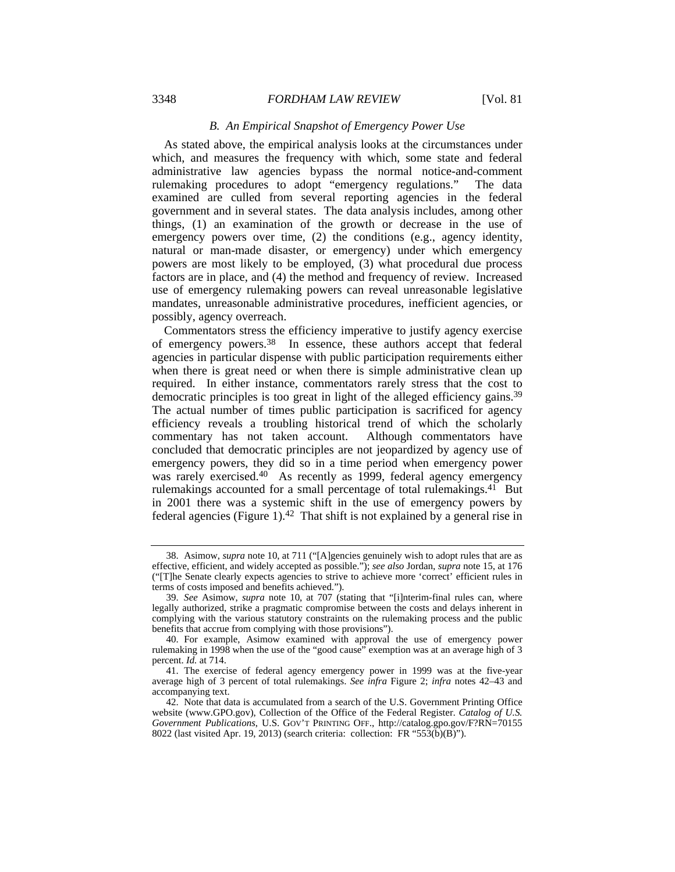# *B. An Empirical Snapshot of Emergency Power Use*

As stated above, the empirical analysis looks at the circumstances under which, and measures the frequency with which, some state and federal administrative law agencies bypass the normal notice-and-comment rulemaking procedures to adopt "emergency regulations." The data examined are culled from several reporting agencies in the federal government and in several states. The data analysis includes, among other things, (1) an examination of the growth or decrease in the use of emergency powers over time, (2) the conditions (e.g., agency identity, natural or man-made disaster, or emergency) under which emergency powers are most likely to be employed, (3) what procedural due process factors are in place, and (4) the method and frequency of review. Increased use of emergency rulemaking powers can reveal unreasonable legislative mandates, unreasonable administrative procedures, inefficient agencies, or possibly, agency overreach.

Commentators stress the efficiency imperative to justify agency exercise of emergency powers.38 In essence, these authors accept that federal agencies in particular dispense with public participation requirements either when there is great need or when there is simple administrative clean up required. In either instance, commentators rarely stress that the cost to democratic principles is too great in light of the alleged efficiency gains.39 The actual number of times public participation is sacrificed for agency efficiency reveals a troubling historical trend of which the scholarly commentary has not taken account. Although commentators have concluded that democratic principles are not jeopardized by agency use of emergency powers, they did so in a time period when emergency power was rarely exercised.<sup>40</sup> As recently as 1999, federal agency emergency rulemakings accounted for a small percentage of total rulemakings.<sup>41</sup> But in 2001 there was a systemic shift in the use of emergency powers by federal agencies (Figure 1).42 That shift is not explained by a general rise in

 <sup>38.</sup> Asimow, *supra* note 10, at 711 ("[A]gencies genuinely wish to adopt rules that are as effective, efficient, and widely accepted as possible."); *see also* Jordan, *supra* note 15, at 176 ("[T]he Senate clearly expects agencies to strive to achieve more 'correct' efficient rules in terms of costs imposed and benefits achieved.").

<sup>39.</sup> *See* Asimow, *supra* note 10, at 707 (stating that "[i]nterim-final rules can, where legally authorized, strike a pragmatic compromise between the costs and delays inherent in complying with the various statutory constraints on the rulemaking process and the public benefits that accrue from complying with those provisions").

 <sup>40.</sup> For example, Asimow examined with approval the use of emergency power rulemaking in 1998 when the use of the "good cause" exemption was at an average high of 3 percent. *Id.* at 714.

 <sup>41.</sup> The exercise of federal agency emergency power in 1999 was at the five-year average high of 3 percent of total rulemakings. *See infra* Figure 2; *infra* notes 42–43 and accompanying text.

 <sup>42.</sup> Note that data is accumulated from a search of the U.S. Government Printing Office website (www.GPO.gov), Collection of the Office of the Federal Register. *Catalog of U.S. Government Publications*, U.S. GOV'T PRINTING OFF., http://catalog.gpo.gov/F?RN=70155 8022 (last visited Apr. 19, 2013) (search criteria: collection: FR "553(b)(B)").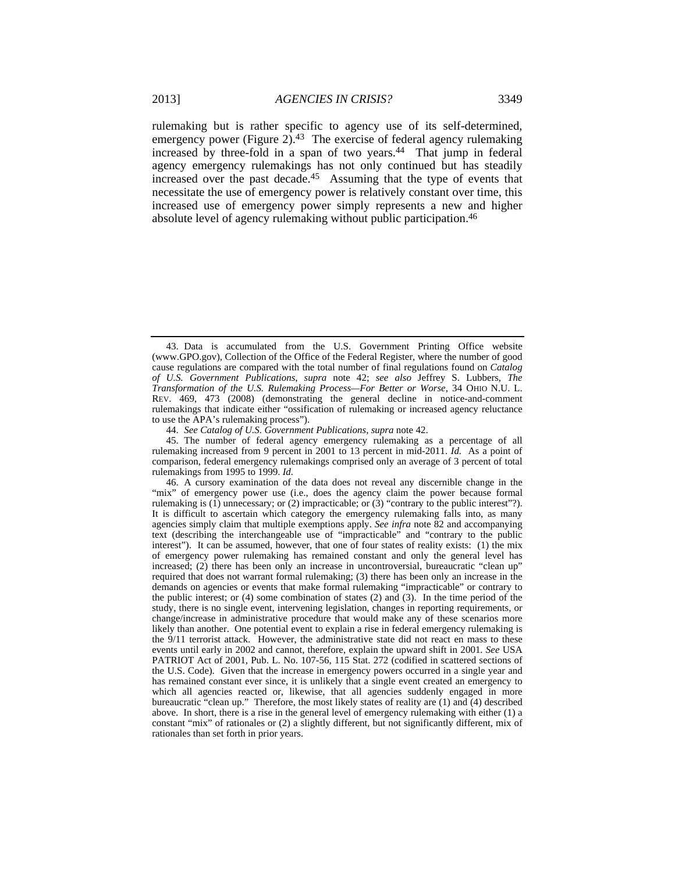rulemaking but is rather specific to agency use of its self-determined, emergency power (Figure 2).<sup>43</sup> The exercise of federal agency rulemaking increased by three-fold in a span of two years.44 That jump in federal agency emergency rulemakings has not only continued but has steadily increased over the past decade.45 Assuming that the type of events that necessitate the use of emergency power is relatively constant over time, this increased use of emergency power simply represents a new and higher absolute level of agency rulemaking without public participation.46

 <sup>43.</sup> Data is accumulated from the U.S. Government Printing Office website (www.GPO.gov), Collection of the Office of the Federal Register, where the number of good cause regulations are compared with the total number of final regulations found on *Catalog of U.S. Government Publications*, *supra* note 42; *see also* Jeffrey S. Lubbers, *The Transformation of the U.S. Rulemaking Process—For Better or Worse*, 34 OHIO N.U. L. REV. 469, 473 (2008) (demonstrating the general decline in notice-and-comment rulemakings that indicate either "ossification of rulemaking or increased agency reluctance to use the APA's rulemaking process").

<sup>44.</sup> *See Catalog of U.S. Government Publications*, *supra* note 42.

 <sup>45.</sup> The number of federal agency emergency rulemaking as a percentage of all rulemaking increased from 9 percent in 2001 to 13 percent in mid-2011. *Id.* As a point of comparison, federal emergency rulemakings comprised only an average of 3 percent of total rulemakings from 1995 to 1999. *Id.*

 <sup>46.</sup> A cursory examination of the data does not reveal any discernible change in the "mix" of emergency power use (i.e., does the agency claim the power because formal rulemaking is (1) unnecessary; or (2) impracticable; or (3) "contrary to the public interest"?). It is difficult to ascertain which category the emergency rulemaking falls into, as many agencies simply claim that multiple exemptions apply. *See infra* note 82 and accompanying text (describing the interchangeable use of "impracticable" and "contrary to the public interest"). It can be assumed, however, that one of four states of reality exists: (1) the mix of emergency power rulemaking has remained constant and only the general level has increased; (2) there has been only an increase in uncontroversial, bureaucratic "clean up" required that does not warrant formal rulemaking; (3) there has been only an increase in the demands on agencies or events that make formal rulemaking "impracticable" or contrary to the public interest; or (4) some combination of states (2) and (3). In the time period of the study, there is no single event, intervening legislation, changes in reporting requirements, or change/increase in administrative procedure that would make any of these scenarios more likely than another. One potential event to explain a rise in federal emergency rulemaking is the 9/11 terrorist attack. However, the administrative state did not react en mass to these events until early in 2002 and cannot, therefore, explain the upward shift in 2001. *See* USA PATRIOT Act of 2001, Pub. L. No. 107-56, 115 Stat. 272 (codified in scattered sections of the U.S. Code). Given that the increase in emergency powers occurred in a single year and has remained constant ever since, it is unlikely that a single event created an emergency to which all agencies reacted or, likewise, that all agencies suddenly engaged in more bureaucratic "clean up." Therefore, the most likely states of reality are (1) and (4) described above. In short, there is a rise in the general level of emergency rulemaking with either (1) a constant "mix" of rationales or (2) a slightly different, but not significantly different, mix of rationales than set forth in prior years.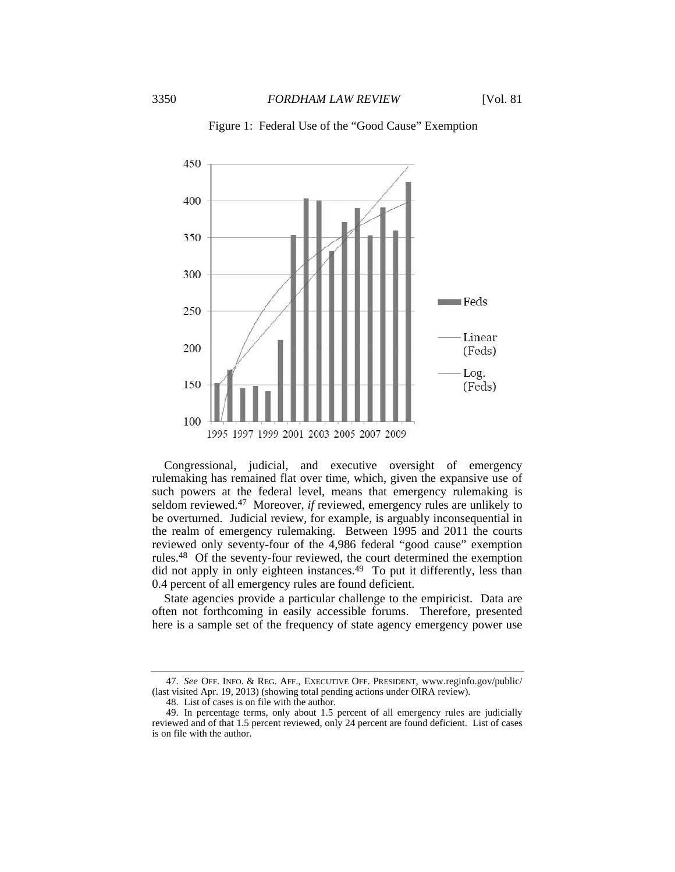

Figure 1: Federal Use of the "Good Cause" Exemption

Congressional, judicial, and executive oversight of emergency rulemaking has remained flat over time, which, given the expansive use of such powers at the federal level, means that emergency rulemaking is seldom reviewed.<sup>47</sup> Moreover, *if* reviewed, emergency rules are unlikely to be overturned. Judicial review, for example, is arguably inconsequential in the realm of emergency rulemaking. Between 1995 and 2011 the courts reviewed only seventy-four of the 4,986 federal "good cause" exemption rules.48 Of the seventy-four reviewed, the court determined the exemption did not apply in only eighteen instances.<sup>49</sup> To put it differently, less than 0.4 percent of all emergency rules are found deficient.

State agencies provide a particular challenge to the empiricist. Data are often not forthcoming in easily accessible forums. Therefore, presented here is a sample set of the frequency of state agency emergency power use

<sup>47.</sup> *See* OFF. INFO. & REG. AFF., EXECUTIVE OFF. PRESIDENT, www.reginfo.gov/public/ (last visited Apr. 19, 2013) (showing total pending actions under OIRA review).

 <sup>48.</sup> List of cases is on file with the author.

 <sup>49.</sup> In percentage terms, only about 1.5 percent of all emergency rules are judicially reviewed and of that 1.5 percent reviewed, only 24 percent are found deficient. List of cases is on file with the author.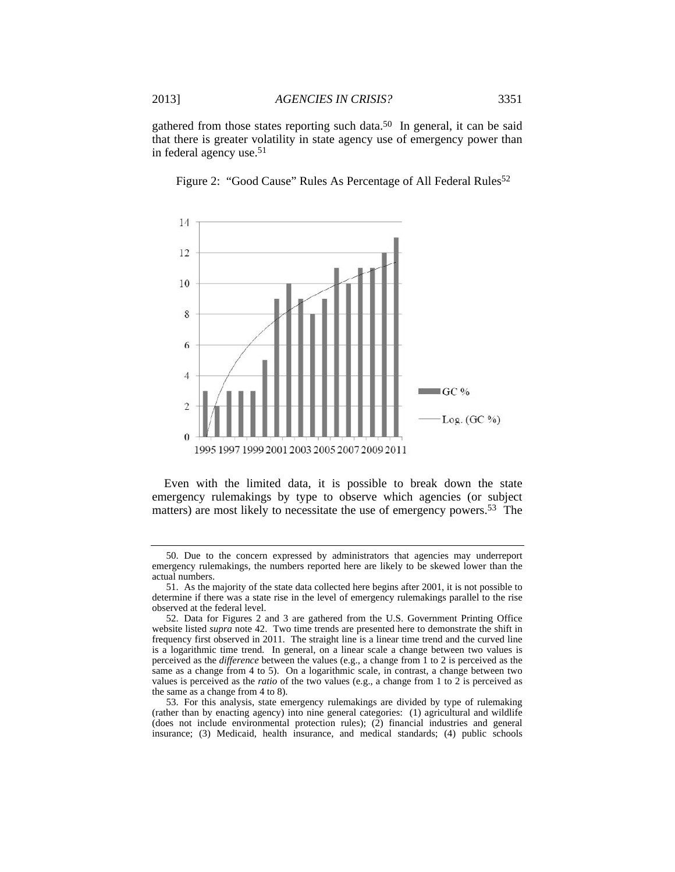gathered from those states reporting such data.50 In general, it can be said that there is greater volatility in state agency use of emergency power than in federal agency use.51



Figure 2: "Good Cause" Rules As Percentage of All Federal Rules<sup>52</sup>

Even with the limited data, it is possible to break down the state emergency rulemakings by type to observe which agencies (or subject matters) are most likely to necessitate the use of emergency powers.<sup>53</sup> The

 53. For this analysis, state emergency rulemakings are divided by type of rulemaking (rather than by enacting agency) into nine general categories: (1) agricultural and wildlife (does not include environmental protection rules); (2) financial industries and general insurance; (3) Medicaid, health insurance, and medical standards; (4) public schools

 <sup>50.</sup> Due to the concern expressed by administrators that agencies may underreport emergency rulemakings, the numbers reported here are likely to be skewed lower than the actual numbers.

 <sup>51.</sup> As the majority of the state data collected here begins after 2001, it is not possible to determine if there was a state rise in the level of emergency rulemakings parallel to the rise observed at the federal level.

 <sup>52.</sup> Data for Figures 2 and 3 are gathered from the U.S. Government Printing Office website listed *supra* note 42. Two time trends are presented here to demonstrate the shift in frequency first observed in 2011. The straight line is a linear time trend and the curved line is a logarithmic time trend. In general, on a linear scale a change between two values is perceived as the *difference* between the values (e.g., a change from 1 to 2 is perceived as the same as a change from 4 to 5). On a logarithmic scale, in contrast, a change between two values is perceived as the *ratio* of the two values (e.g., a change from 1 to 2 is perceived as the same as a change from 4 to 8).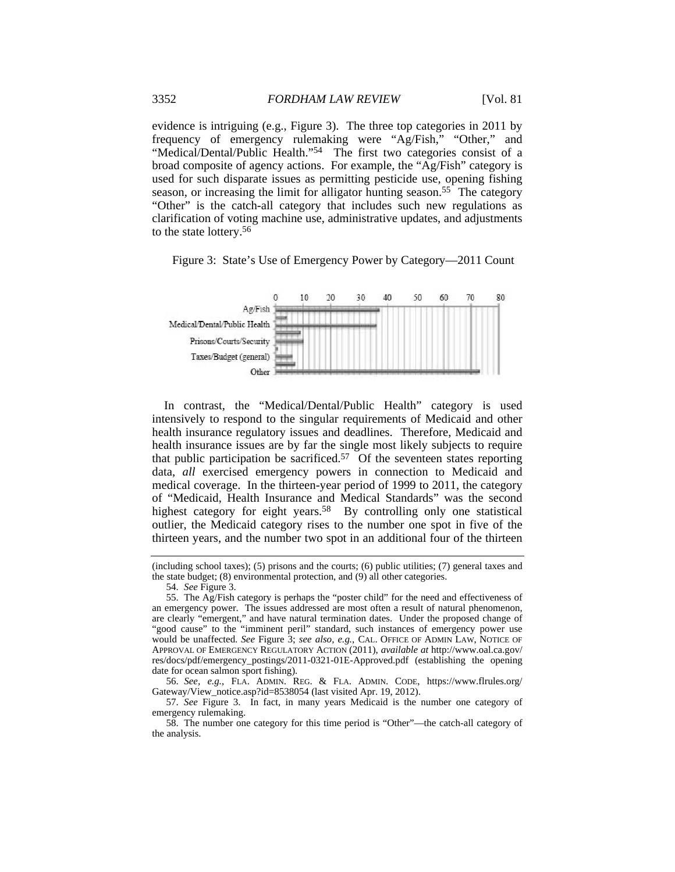evidence is intriguing (e.g., Figure 3). The three top categories in 2011 by frequency of emergency rulemaking were "Ag/Fish," "Other," and "Medical/Dental/Public Health."54 The first two categories consist of a broad composite of agency actions. For example, the "Ag/Fish" category is used for such disparate issues as permitting pesticide use, opening fishing season, or increasing the limit for alligator hunting season.<sup>55</sup> The category "Other" is the catch-all category that includes such new regulations as clarification of voting machine use, administrative updates, and adjustments to the state lottery.56





In contrast, the "Medical/Dental/Public Health" category is used intensively to respond to the singular requirements of Medicaid and other health insurance regulatory issues and deadlines. Therefore, Medicaid and health insurance issues are by far the single most likely subjects to require that public participation be sacrificed.57 Of the seventeen states reporting data, *all* exercised emergency powers in connection to Medicaid and medical coverage. In the thirteen-year period of 1999 to 2011, the category of "Medicaid, Health Insurance and Medical Standards" was the second highest category for eight years.<sup>58</sup> By controlling only one statistical outlier, the Medicaid category rises to the number one spot in five of the thirteen years, and the number two spot in an additional four of the thirteen

54. *See* Figure 3.

56. *See, e.g.*, FLA. ADMIN. REG. & FLA. ADMIN. CODE, https://www.flrules.org/ Gateway/View\_notice.asp?id=8538054 (last visited Apr. 19, 2012).

57. *See* Figure 3. In fact, in many years Medicaid is the number one category of emergency rulemaking.

<sup>(</sup>including school taxes); (5) prisons and the courts; (6) public utilities; (7) general taxes and the state budget; (8) environmental protection, and (9) all other categories.

 <sup>55.</sup> The Ag/Fish category is perhaps the "poster child" for the need and effectiveness of an emergency power. The issues addressed are most often a result of natural phenomenon, are clearly "emergent," and have natural termination dates. Under the proposed change of "good cause" to the "imminent peril" standard, such instances of emergency power use would be unaffected. *See* Figure 3; *see also, e.g.*, CAL. OFFICE OF ADMIN LAW, NOTICE OF APPROVAL OF EMERGENCY REGULATORY ACTION (2011), *available at* http://www.oal.ca.gov/ res/docs/pdf/emergency\_postings/2011-0321-01E-Approved.pdf (establishing the opening date for ocean salmon sport fishing).

 <sup>58.</sup> The number one category for this time period is "Other"—the catch-all category of the analysis.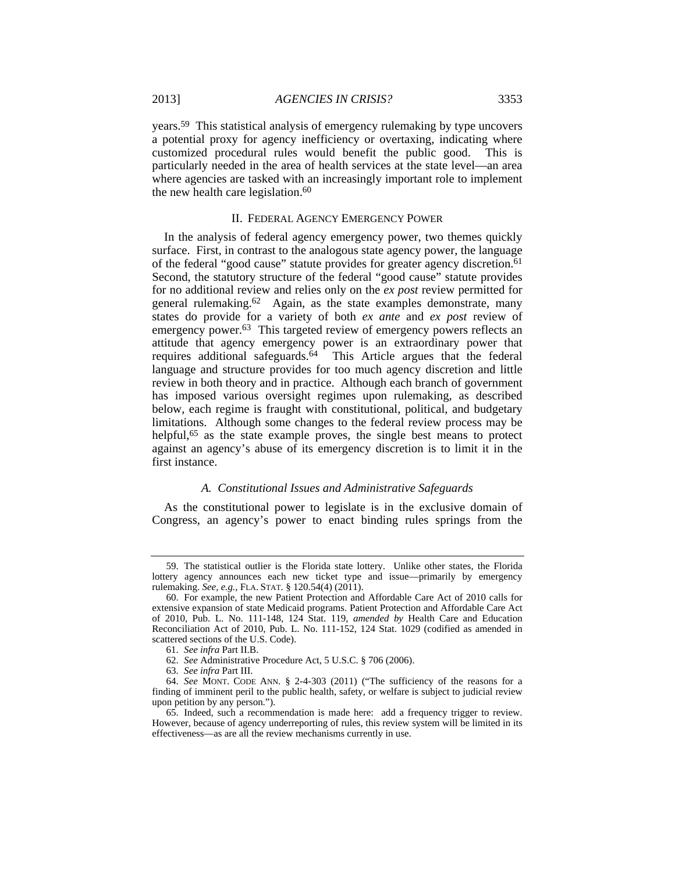years.59 This statistical analysis of emergency rulemaking by type uncovers a potential proxy for agency inefficiency or overtaxing, indicating where customized procedural rules would benefit the public good. This is particularly needed in the area of health services at the state level—an area where agencies are tasked with an increasingly important role to implement the new health care legislation. $60$ 

#### II. FEDERAL AGENCY EMERGENCY POWER

In the analysis of federal agency emergency power, two themes quickly surface. First, in contrast to the analogous state agency power, the language of the federal "good cause" statute provides for greater agency discretion.61 Second, the statutory structure of the federal "good cause" statute provides for no additional review and relies only on the *ex post* review permitted for general rulemaking.62 Again, as the state examples demonstrate, many states do provide for a variety of both *ex ante* and *ex post* review of emergency power.<sup>63</sup> This targeted review of emergency powers reflects an attitude that agency emergency power is an extraordinary power that requires additional safeguards.<sup>64</sup> This Article argues that the federal language and structure provides for too much agency discretion and little review in both theory and in practice. Although each branch of government has imposed various oversight regimes upon rulemaking, as described below, each regime is fraught with constitutional, political, and budgetary limitations. Although some changes to the federal review process may be helpful,<sup>65</sup> as the state example proves, the single best means to protect against an agency's abuse of its emergency discretion is to limit it in the first instance.

#### *A. Constitutional Issues and Administrative Safeguards*

As the constitutional power to legislate is in the exclusive domain of Congress, an agency's power to enact binding rules springs from the

 <sup>59.</sup> The statistical outlier is the Florida state lottery. Unlike other states, the Florida lottery agency announces each new ticket type and issue—primarily by emergency rulemaking. *See, e.g.*, FLA. STAT. § 120.54(4) (2011).

 <sup>60.</sup> For example, the new Patient Protection and Affordable Care Act of 2010 calls for extensive expansion of state Medicaid programs. Patient Protection and Affordable Care Act of 2010, Pub. L. No. 111-148, 124 Stat. 119, *amended by* Health Care and Education Reconciliation Act of 2010, Pub. L. No. 111-152, 124 Stat. 1029 (codified as amended in scattered sections of the U.S. Code).

<sup>61.</sup> *See infra* Part II.B.

<sup>62.</sup> *See* Administrative Procedure Act, 5 U.S.C. § 706 (2006).

<sup>63.</sup> *See infra* Part III.

<sup>64.</sup> *See* MONT. CODE ANN. § 2-4-303 (2011) ("The sufficiency of the reasons for a finding of imminent peril to the public health, safety, or welfare is subject to judicial review upon petition by any person.").

 <sup>65.</sup> Indeed, such a recommendation is made here: add a frequency trigger to review. However, because of agency underreporting of rules, this review system will be limited in its effectiveness—as are all the review mechanisms currently in use.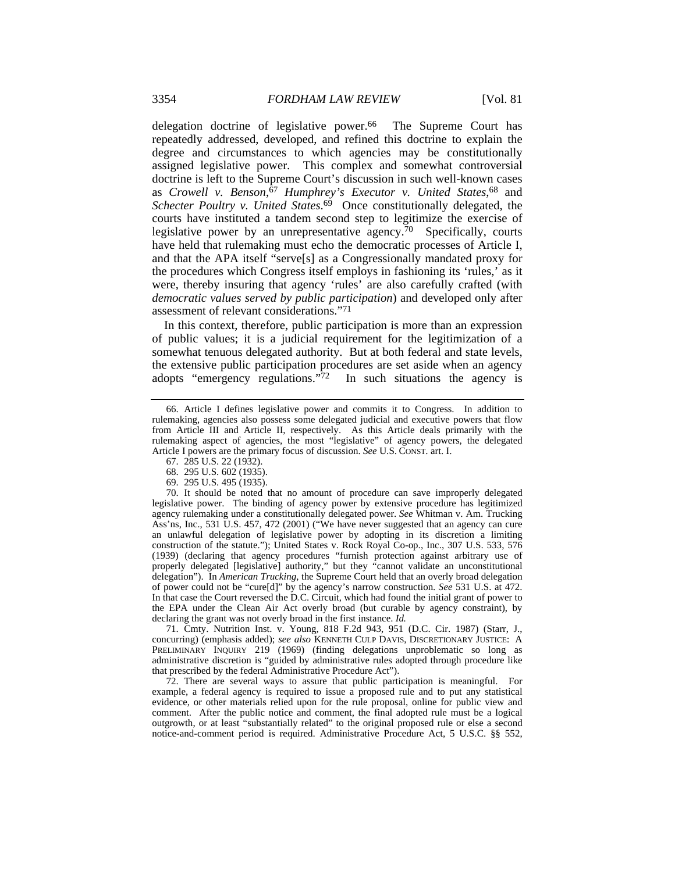delegation doctrine of legislative power.<sup>66</sup> The Supreme Court has repeatedly addressed, developed, and refined this doctrine to explain the degree and circumstances to which agencies may be constitutionally assigned legislative power. This complex and somewhat controversial doctrine is left to the Supreme Court's discussion in such well-known cases as *Crowell v. Benson*, <sup>67</sup> *Humphrey's Executor v. United States*, 68 and *Schecter Poultry v. United States*. 69 Once constitutionally delegated, the courts have instituted a tandem second step to legitimize the exercise of legislative power by an unrepresentative agency.70 Specifically, courts have held that rulemaking must echo the democratic processes of Article I, and that the APA itself "serve[s] as a Congressionally mandated proxy for the procedures which Congress itself employs in fashioning its 'rules,' as it were, thereby insuring that agency 'rules' are also carefully crafted (with *democratic values served by public participation*) and developed only after assessment of relevant considerations."71

In this context, therefore, public participation is more than an expression of public values; it is a judicial requirement for the legitimization of a somewhat tenuous delegated authority. But at both federal and state levels, the extensive public participation procedures are set aside when an agency adopts "emergency regulations." $\frac{7}{2}$  In such situations the agency is

68. 295 U.S. 602 (1935).

69. 295 U.S. 495 (1935).

 70. It should be noted that no amount of procedure can save improperly delegated legislative power. The binding of agency power by extensive procedure has legitimized agency rulemaking under a constitutionally delegated power. *See* Whitman v. Am. Trucking Ass'ns, Inc., 531 U.S. 457, 472 (2001) ("We have never suggested that an agency can cure an unlawful delegation of legislative power by adopting in its discretion a limiting construction of the statute."); United States v. Rock Royal Co-op., Inc., 307 U.S. 533, 576 (1939) (declaring that agency procedures "furnish protection against arbitrary use of properly delegated [legislative] authority," but they "cannot validate an unconstitutional delegation"). In *American Trucking*, the Supreme Court held that an overly broad delegation of power could not be "cure[d]" by the agency's narrow construction. *See* 531 U.S. at 472. In that case the Court reversed the D.C. Circuit, which had found the initial grant of power to the EPA under the Clean Air Act overly broad (but curable by agency constraint), by declaring the grant was not overly broad in the first instance. *Id.*

 71. Cmty. Nutrition Inst. v. Young, 818 F.2d 943, 951 (D.C. Cir. 1987) (Starr, J., concurring) (emphasis added); *see also* KENNETH CULP DAVIS, DISCRETIONARY JUSTICE: A PRELIMINARY INQUIRY 219 (1969) (finding delegations unproblematic so long as administrative discretion is "guided by administrative rules adopted through procedure like that prescribed by the federal Administrative Procedure Act").

 72. There are several ways to assure that public participation is meaningful. For example, a federal agency is required to issue a proposed rule and to put any statistical evidence, or other materials relied upon for the rule proposal, online for public view and comment. After the public notice and comment, the final adopted rule must be a logical outgrowth, or at least "substantially related" to the original proposed rule or else a second notice-and-comment period is required. Administrative Procedure Act, 5 U.S.C. §§ 552,

 <sup>66.</sup> Article I defines legislative power and commits it to Congress. In addition to rulemaking, agencies also possess some delegated judicial and executive powers that flow from Article III and Article II, respectively. As this Article deals primarily with the rulemaking aspect of agencies, the most "legislative" of agency powers, the delegated Article I powers are the primary focus of discussion. *See* U.S. CONST. art. I.

 <sup>67. 285</sup> U.S. 22 (1932).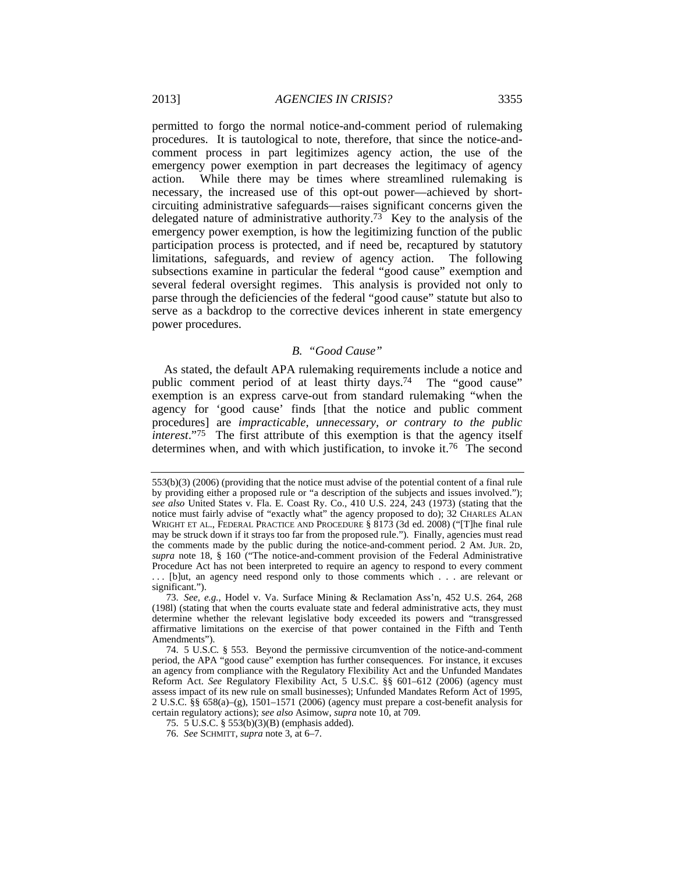permitted to forgo the normal notice-and-comment period of rulemaking procedures.It is tautological to note, therefore, that since the notice-andcomment process in part legitimizes agency action, the use of the emergency power exemption in part decreases the legitimacy of agency action. While there may be times where streamlined rulemaking is necessary, the increased use of this opt-out power—achieved by shortcircuiting administrative safeguards—raises significant concerns given the delegated nature of administrative authority.73 Key to the analysis of the emergency power exemption, is how the legitimizing function of the public participation process is protected, and if need be, recaptured by statutory limitations, safeguards, and review of agency action. The following subsections examine in particular the federal "good cause" exemption and several federal oversight regimes. This analysis is provided not only to parse through the deficiencies of the federal "good cause" statute but also to serve as a backdrop to the corrective devices inherent in state emergency power procedures.

# *B. "Good Cause"*

As stated, the default APA rulemaking requirements include a notice and public comment period of at least thirty days.74 The "good cause" exemption is an express carve-out from standard rulemaking "when the agency for 'good cause' finds [that the notice and public comment procedures] are *impracticable, unnecessary, or contrary to the public interest*."75 The first attribute of this exemption is that the agency itself determines when, and with which justification, to invoke it.76 The second

<sup>553(</sup>b)(3) (2006) (providing that the notice must advise of the potential content of a final rule by providing either a proposed rule or "a description of the subjects and issues involved."); *see also* United States v. Fla. E. Coast Ry. Co., 410 U.S. 224, 243 (1973) (stating that the notice must fairly advise of "exactly what" the agency proposed to do); 32 CHARLES ALAN WRIGHT ET AL., FEDERAL PRACTICE AND PROCEDURE § 8173 (3d ed. 2008) ("[T]he final rule may be struck down if it strays too far from the proposed rule."). Finally, agencies must read the comments made by the public during the notice-and-comment period. 2 AM. JUR. 2D, *supra* note 18, § 160 ("The notice-and-comment provision of the Federal Administrative Procedure Act has not been interpreted to require an agency to respond to every comment ... [b]ut, an agency need respond only to those comments which . . . are relevant or significant.").

<sup>73.</sup> *See, e.g.*, Hodel v. Va. Surface Mining & Reclamation Ass'n, 452 U.S. 264, 268 (198l) (stating that when the courts evaluate state and federal administrative acts, they must determine whether the relevant legislative body exceeded its powers and "transgressed affirmative limitations on the exercise of that power contained in the Fifth and Tenth Amendments").

 <sup>74. 5</sup> U.S.C*.* § 553. Beyond the permissive circumvention of the notice-and-comment period, the APA "good cause" exemption has further consequences. For instance, it excuses an agency from compliance with the Regulatory Flexibility Act and the Unfunded Mandates Reform Act. *See* Regulatory Flexibility Act, 5 U.S.C. §§ 601–612 (2006) (agency must assess impact of its new rule on small businesses); Unfunded Mandates Reform Act of 1995, 2 U.S.C. §§ 658(a)–(g), 1501–1571 (2006) (agency must prepare a cost-benefit analysis for certain regulatory actions); *see also* Asimow, *supra* note 10, at 709.

 <sup>75. 5</sup> U.S.C. § 553(b)(3)(B) (emphasis added).

<sup>76.</sup> *See* SCHMITT, *supra* note 3, at 6–7.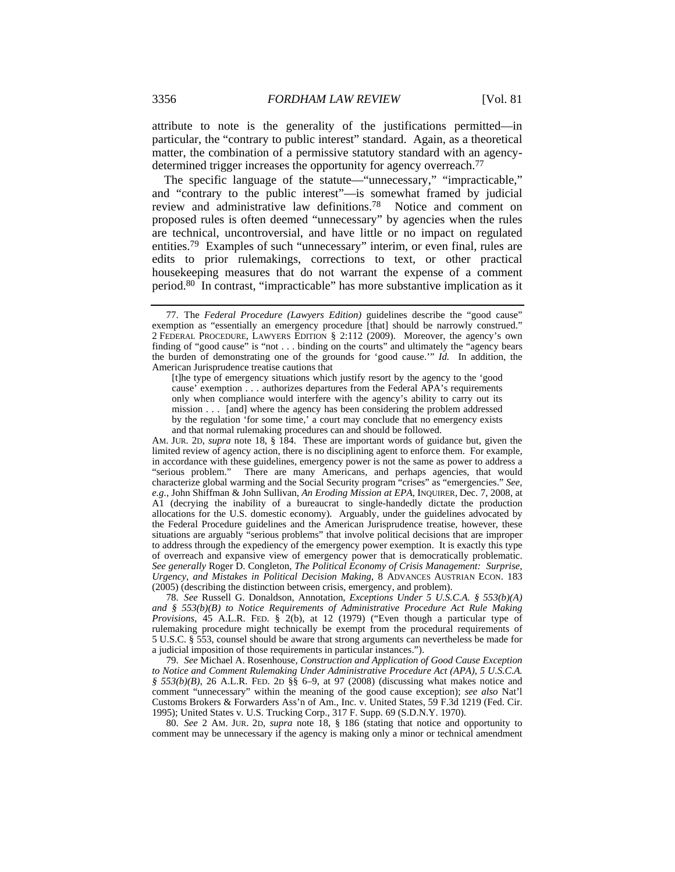attribute to note is the generality of the justifications permitted—in particular, the "contrary to public interest" standard. Again, as a theoretical matter, the combination of a permissive statutory standard with an agencydetermined trigger increases the opportunity for agency overreach.<sup>77</sup>

The specific language of the statute—"unnecessary," "impracticable," and "contrary to the public interest"—is somewhat framed by judicial review and administrative law definitions.78 Notice and comment on proposed rules is often deemed "unnecessary" by agencies when the rules are technical, uncontroversial, and have little or no impact on regulated entities.79 Examples of such "unnecessary" interim, or even final, rules are edits to prior rulemakings, corrections to text, or other practical housekeeping measures that do not warrant the expense of a comment period.80 In contrast, "impracticable" has more substantive implication as it

[t]he type of emergency situations which justify resort by the agency to the 'good cause' exemption . . . authorizes departures from the Federal APA's requirements only when compliance would interfere with the agency's ability to carry out its mission . . . [and] where the agency has been considering the problem addressed by the regulation 'for some time,' a court may conclude that no emergency exists and that normal rulemaking procedures can and should be followed.

AM. JUR. 2D, *supra* note 18, § 184. These are important words of guidance but, given the limited review of agency action, there is no disciplining agent to enforce them. For example, in accordance with these guidelines, emergency power is not the same as power to address a "serious problem." There are many Americans, and perhaps agencies, that would characterize global warming and the Social Security program "crises" as "emergencies." *See, e.g.*, John Shiffman & John Sullivan, *An Eroding Mission at EPA*, INQUIRER, Dec. 7, 2008, at A1 (decrying the inability of a bureaucrat to single-handedly dictate the production allocations for the U.S. domestic economy). Arguably, under the guidelines advocated by the Federal Procedure guidelines and the American Jurisprudence treatise, however, these situations are arguably "serious problems" that involve political decisions that are improper to address through the expediency of the emergency power exemption. It is exactly this type of overreach and expansive view of emergency power that is democratically problematic. *See generally* Roger D. Congleton, *The Political Economy of Crisis Management: Surprise, Urgency, and Mistakes in Political Decision Making*, 8 ADVANCES AUSTRIAN ECON. 183 (2005) (describing the distinction between crisis, emergency, and problem).

78. *See* Russell G. Donaldson, Annotation, *Exceptions Under 5 U.S.C.A. § 553(b)(A) and § 553(b)(B) to Notice Requirements of Administrative Procedure Act Rule Making Provisions*, 45 A.L.R. FED. § 2(b), at 12 (1979) ("Even though a particular type of rulemaking procedure might technically be exempt from the procedural requirements of 5 U.S.C. § 553, counsel should be aware that strong arguments can nevertheless be made for a judicial imposition of those requirements in particular instances.").

79. *See* Michael A. Rosenhouse, *Construction and Application of Good Cause Exception to Notice and Comment Rulemaking Under Administrative Procedure Act (APA), 5 U.S.C.A. § 553(b)(B)*, 26 A.L.R. FED. 2D §§ 6–9, at 97 (2008) (discussing what makes notice and comment "unnecessary" within the meaning of the good cause exception); *see also* Nat'l Customs Brokers & Forwarders Ass'n of Am., Inc. v. United States, 59 F.3d 1219 (Fed. Cir. 1995); United States v. U.S. Trucking Corp., 317 F. Supp. 69 (S.D.N.Y. 1970).

80. *See* 2 AM. JUR. 2D, *supra* note 18, § 186 (stating that notice and opportunity to comment may be unnecessary if the agency is making only a minor or technical amendment

 <sup>77.</sup> The *Federal Procedure (Lawyers Edition)* guidelines describe the "good cause" exemption as "essentially an emergency procedure [that] should be narrowly construed." 2 FEDERAL PROCEDURE, LAWYERS EDITION § 2:112 (2009). Moreover, the agency's own finding of "good cause" is "not . . . binding on the courts" and ultimately the "agency bears the burden of demonstrating one of the grounds for 'good cause.'" *Id.* In addition, the American Jurisprudence treatise cautions that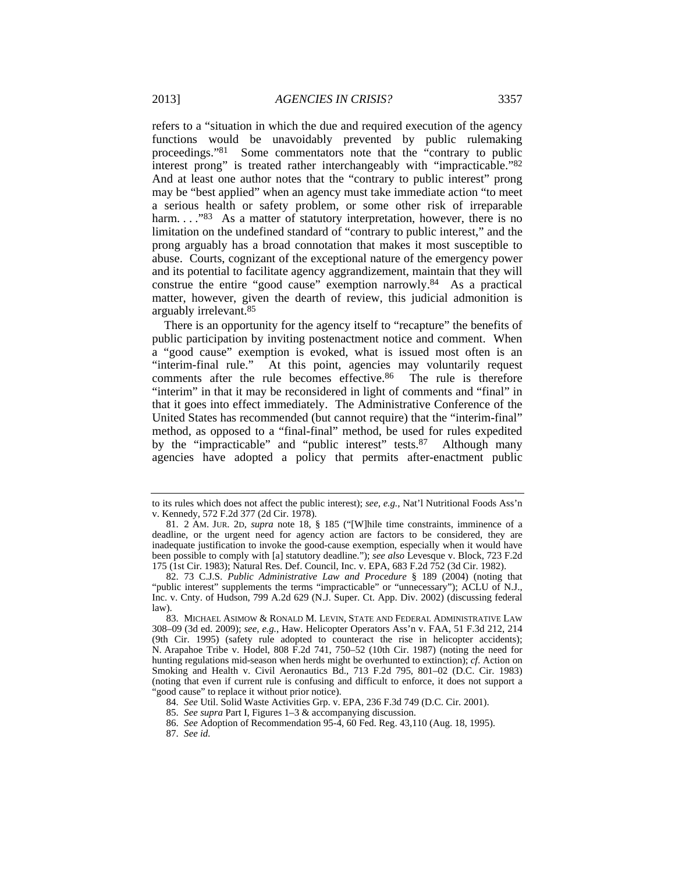refers to a "situation in which the due and required execution of the agency functions would be unavoidably prevented by public rulemaking proceedings."81 Some commentators note that the "contrary to public interest prong" is treated rather interchangeably with "impracticable."82 And at least one author notes that the "contrary to public interest" prong may be "best applied" when an agency must take immediate action "to meet a serious health or safety problem, or some other risk of irreparable harm. . . . "83 As a matter of statutory interpretation, however, there is no limitation on the undefined standard of "contrary to public interest," and the prong arguably has a broad connotation that makes it most susceptible to abuse. Courts, cognizant of the exceptional nature of the emergency power and its potential to facilitate agency aggrandizement, maintain that they will construe the entire "good cause" exemption narrowly.84 As a practical matter, however, given the dearth of review, this judicial admonition is arguably irrelevant.85

There is an opportunity for the agency itself to "recapture" the benefits of public participation by inviting postenactment notice and comment. When a "good cause" exemption is evoked, what is issued most often is an "interim-final rule." At this point, agencies may voluntarily request comments after the rule becomes effective.<sup>86</sup> The rule is therefore "interim" in that it may be reconsidered in light of comments and "final" in that it goes into effect immediately. The Administrative Conference of the United States has recommended (but cannot require) that the "interim-final" method, as opposed to a "final-final" method, be used for rules expedited by the "impracticable" and "public interest" tests.87 Although many agencies have adopted a policy that permits after-enactment public

to its rules which does not affect the public interest); *see, e.g.*, Nat'l Nutritional Foods Ass'n v. Kennedy, 572 F.2d 377 (2d Cir. 1978).

 <sup>81. 2</sup> AM. JUR. 2D, *supra* note 18, § 185 ("[W]hile time constraints, imminence of a deadline, or the urgent need for agency action are factors to be considered, they are inadequate justification to invoke the good-cause exemption, especially when it would have been possible to comply with [a] statutory deadline."); *see also* Levesque v. Block, 723 F.2d 175 (1st Cir. 1983); Natural Res. Def. Council, Inc. v. EPA, 683 F.2d 752 (3d Cir. 1982).

 <sup>82. 73</sup> C.J.S. *Public Administrative Law and Procedure* § 189 (2004) (noting that "public interest" supplements the terms "impracticable" or "unnecessary"); ACLU of N.J., Inc. v. Cnty. of Hudson, 799 A.2d 629 (N.J. Super. Ct. App. Div. 2002) (discussing federal law).

 <sup>83.</sup> MICHAEL ASIMOW & RONALD M. LEVIN, STATE AND FEDERAL ADMINISTRATIVE LAW 308–09 (3d ed. 2009); *see, e.g.*, Haw. Helicopter Operators Ass'n v. FAA, 51 F.3d 212, 214 (9th Cir. 1995) (safety rule adopted to counteract the rise in helicopter accidents); N. Arapahoe Tribe v. Hodel, 808 F.2d 741, 750–52 (10th Cir. 1987) (noting the need for hunting regulations mid-season when herds might be overhunted to extinction); *cf*. Action on Smoking and Health v. Civil Aeronautics Bd., 713 F.2d 795, 801–02 (D.C. Cir. 1983) (noting that even if current rule is confusing and difficult to enforce, it does not support a "good cause" to replace it without prior notice).

<sup>84.</sup> *See* Util. Solid Waste Activities Grp. v. EPA, 236 F.3d 749 (D.C. Cir. 2001).

<sup>85.</sup> *See supra* Part I, Figures 1–3 & accompanying discussion.

<sup>86.</sup> *See* Adoption of Recommendation 95-4, 60 Fed. Reg. 43,110 (Aug. 18, 1995).

<sup>87.</sup> *See id.*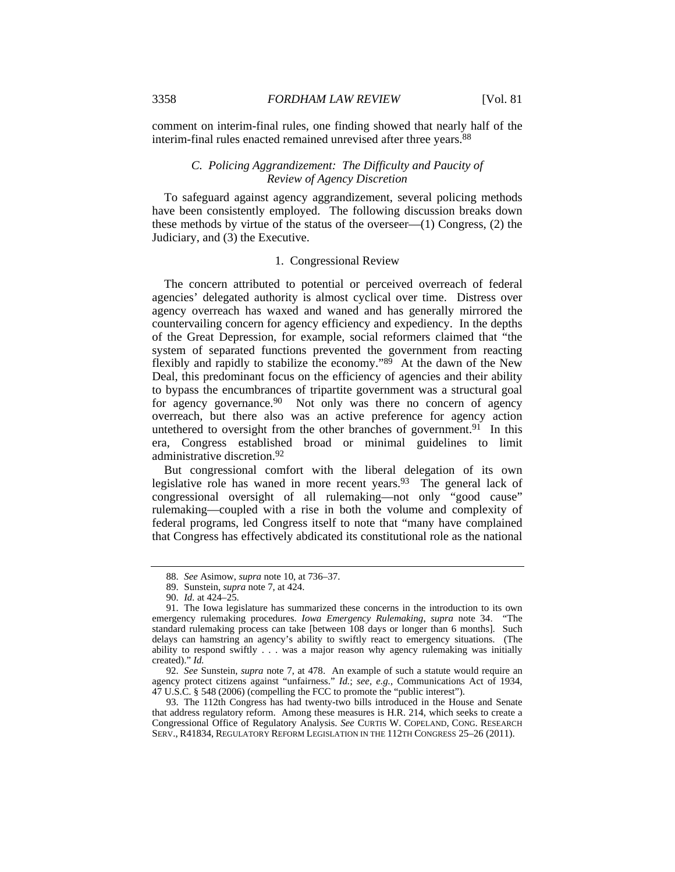comment on interim-final rules, one finding showed that nearly half of the interim-final rules enacted remained unrevised after three years.<sup>88</sup>

# *C. Policing Aggrandizement: The Difficulty and Paucity of Review of Agency Discretion*

To safeguard against agency aggrandizement, several policing methods have been consistently employed. The following discussion breaks down these methods by virtue of the status of the overseer—(1) Congress, (2) the Judiciary, and (3) the Executive.

# 1. Congressional Review

The concern attributed to potential or perceived overreach of federal agencies' delegated authority is almost cyclical over time.Distress over agency overreach has waxed and waned and has generally mirrored the countervailing concern for agency efficiency and expediency. In the depths of the Great Depression, for example, social reformers claimed that "the system of separated functions prevented the government from reacting flexibly and rapidly to stabilize the economy."89 At the dawn of the New Deal, this predominant focus on the efficiency of agencies and their ability to bypass the encumbrances of tripartite government was a structural goal for agency governance.<sup>90</sup> Not only was there no concern of agency overreach, but there also was an active preference for agency action untethered to oversight from the other branches of government.<sup>91</sup> In this era, Congress established broad or minimal guidelines to limit administrative discretion.92

But congressional comfort with the liberal delegation of its own legislative role has waned in more recent years.<sup>93</sup> The general lack of congressional oversight of all rulemaking—not only "good cause" rulemaking—coupled with a rise in both the volume and complexity of federal programs, led Congress itself to note that "many have complained that Congress has effectively abdicated its constitutional role as the national

92. *See* Sunstein, *supra* note 7, at 478. An example of such a statute would require an agency protect citizens against "unfairness." *Id.*; *see, e.g.*, Communications Act of 1934, 47 U.S.C. § 548 (2006) (compelling the FCC to promote the "public interest").

 93. The 112th Congress has had twenty-two bills introduced in the House and Senate that address regulatory reform. Among these measures is H.R. 214, which seeks to create a Congressional Office of Regulatory Analysis. *See* CURTIS W. COPELAND, CONG. RESEARCH SERV., R41834, REGULATORY REFORM LEGISLATION IN THE 112TH CONGRESS 25–26 (2011).

<sup>88.</sup> *See* Asimow, *supra* note 10, at 736–37.

 <sup>89.</sup> Sunstein, *supra* note 7, at 424.

<sup>90.</sup> *Id.* at 424–25.

 <sup>91.</sup> The Iowa legislature has summarized these concerns in the introduction to its own emergency rulemaking procedures. *Iowa Emergency Rulemaking*, *supra* note 34. "The standard rulemaking process can take [between 108 days or longer than 6 months]. Such delays can hamstring an agency's ability to swiftly react to emergency situations. (The ability to respond swiftly . . . was a major reason why agency rulemaking was initially created)." *Id.*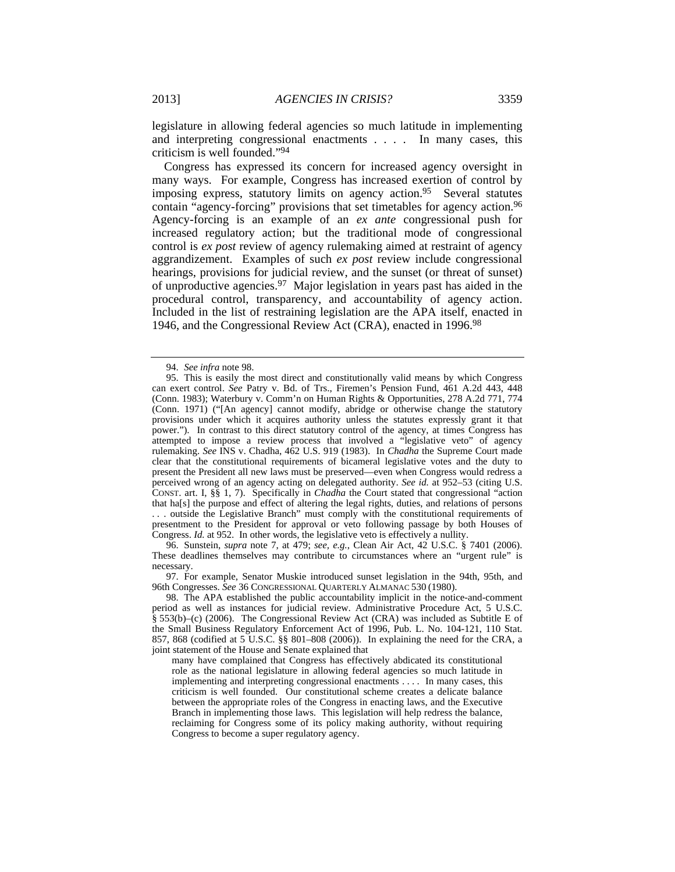legislature in allowing federal agencies so much latitude in implementing and interpreting congressional enactments . . . . In many cases, this criticism is well founded."94

Congress has expressed its concern for increased agency oversight in many ways. For example, Congress has increased exertion of control by imposing express, statutory limits on agency action.95 Several statutes contain "agency-forcing" provisions that set timetables for agency action.<sup>96</sup> Agency-forcing is an example of an *ex ante* congressional push for increased regulatory action; but the traditional mode of congressional control is *ex post* review of agency rulemaking aimed at restraint of agency aggrandizement. Examples of such *ex post* review include congressional hearings, provisions for judicial review, and the sunset (or threat of sunset) of unproductive agencies.97 Major legislation in years past has aided in the procedural control, transparency, and accountability of agency action. Included in the list of restraining legislation are the APA itself, enacted in 1946, and the Congressional Review Act (CRA), enacted in 1996.98

 96. Sunstein, *supra* note 7, at 479; *see, e.g.*, Clean Air Act, 42 U.S.C. § 7401 (2006). These deadlines themselves may contribute to circumstances where an "urgent rule" is necessary.

 97. For example, Senator Muskie introduced sunset legislation in the 94th, 95th, and 96th Congresses. *See* 36 CONGRESSIONAL QUARTERLY ALMANAC 530 (1980).

<sup>94.</sup> *See infra* note 98.

 <sup>95.</sup> This is easily the most direct and constitutionally valid means by which Congress can exert control. *See* Patry v. Bd. of Trs., Firemen's Pension Fund, 461 A.2d 443, 448 (Conn. 1983); Waterbury v. Comm'n on Human Rights & Opportunities, 278 A.2d 771, 774 (Conn. 1971) ("[An agency] cannot modify, abridge or otherwise change the statutory provisions under which it acquires authority unless the statutes expressly grant it that power."). In contrast to this direct statutory control of the agency, at times Congress has attempted to impose a review process that involved a "legislative veto" of agency rulemaking. *See* INS v. Chadha, 462 U.S. 919 (1983). In *Chadha* the Supreme Court made clear that the constitutional requirements of bicameral legislative votes and the duty to present the President all new laws must be preserved—even when Congress would redress a perceived wrong of an agency acting on delegated authority. *See id.* at 952–53 (citing U.S. CONST. art. I, §§ 1, 7). Specifically in *Chadha* the Court stated that congressional "action that ha[s] the purpose and effect of altering the legal rights, duties, and relations of persons . . . outside the Legislative Branch" must comply with the constitutional requirements of presentment to the President for approval or veto following passage by both Houses of Congress. *Id.* at 952. In other words, the legislative veto is effectively a nullity.

 <sup>98.</sup> The APA established the public accountability implicit in the notice-and-comment period as well as instances for judicial review. Administrative Procedure Act, 5 U.S.C. § 553(b)–(c) (2006). The Congressional Review Act (CRA) was included as Subtitle E of the Small Business Regulatory Enforcement Act of 1996, Pub. L. No. 104-121, 110 Stat. 857, 868 (codified at 5 U.S.C. §§ 801–808 (2006)). In explaining the need for the CRA, a joint statement of the House and Senate explained that

many have complained that Congress has effectively abdicated its constitutional role as the national legislature in allowing federal agencies so much latitude in implementing and interpreting congressional enactments . . . . In many cases, this criticism is well founded. Our constitutional scheme creates a delicate balance between the appropriate roles of the Congress in enacting laws, and the Executive Branch in implementing those laws. This legislation will help redress the balance, reclaiming for Congress some of its policy making authority, without requiring Congress to become a super regulatory agency.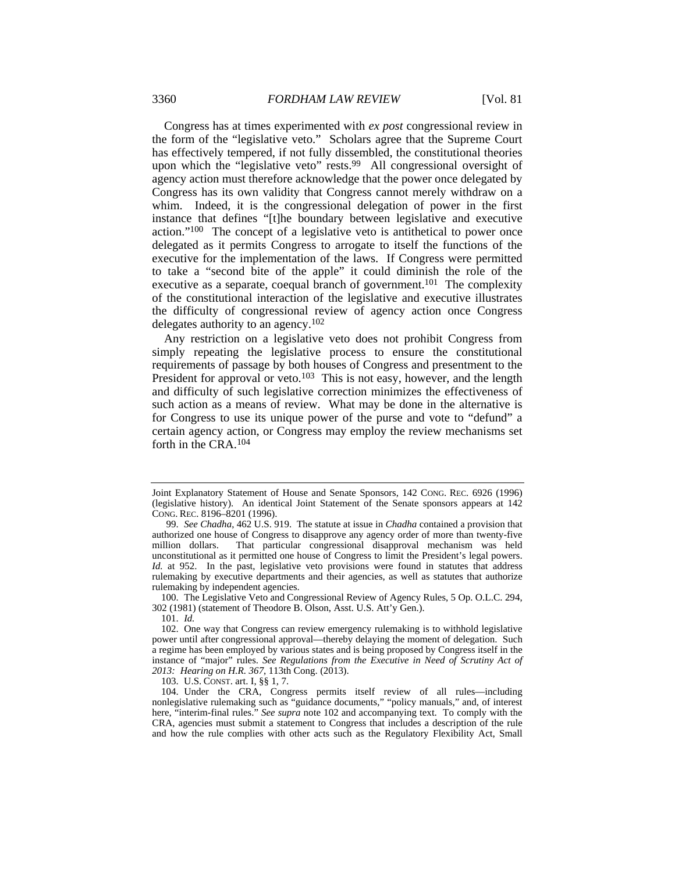Congress has at times experimented with *ex post* congressional review in the form of the "legislative veto." Scholars agree that the Supreme Court has effectively tempered, if not fully dissembled, the constitutional theories upon which the "legislative veto" rests.<sup>99</sup> All congressional oversight of agency action must therefore acknowledge that the power once delegated by Congress has its own validity that Congress cannot merely withdraw on a whim. Indeed, it is the congressional delegation of power in the first instance that defines "[t]he boundary between legislative and executive action."100 The concept of a legislative veto is antithetical to power once delegated as it permits Congress to arrogate to itself the functions of the executive for the implementation of the laws. If Congress were permitted to take a "second bite of the apple" it could diminish the role of the executive as a separate, coequal branch of government.<sup>101</sup> The complexity of the constitutional interaction of the legislative and executive illustrates the difficulty of congressional review of agency action once Congress delegates authority to an agency.102

Any restriction on a legislative veto does not prohibit Congress from simply repeating the legislative process to ensure the constitutional requirements of passage by both houses of Congress and presentment to the President for approval or veto.<sup>103</sup> This is not easy, however, and the length and difficulty of such legislative correction minimizes the effectiveness of such action as a means of review. What may be done in the alternative is for Congress to use its unique power of the purse and vote to "defund" a certain agency action, or Congress may employ the review mechanisms set forth in the CRA.104

 100. The Legislative Veto and Congressional Review of Agency Rules, 5 Op. O.L.C. 294, 302 (1981) (statement of Theodore B. Olson, Asst. U.S. Att'y Gen.).

103. U.S. CONST. art. I, §§ 1, 7.

 104. Under the CRA, Congress permits itself review of all rules—including nonlegislative rulemaking such as "guidance documents," "policy manuals," and, of interest here, "interim-final rules." *See supra* note 102 and accompanying text. To comply with the CRA, agencies must submit a statement to Congress that includes a description of the rule and how the rule complies with other acts such as the Regulatory Flexibility Act, Small

Joint Explanatory Statement of House and Senate Sponsors, 142 CONG. REC. 6926 (1996) (legislative history). An identical Joint Statement of the Senate sponsors appears at 142 CONG. REC. 8196–8201 (1996).

<sup>99.</sup> *See Chadha*, 462 U.S. 919. The statute at issue in *Chadha* contained a provision that authorized one house of Congress to disapprove any agency order of more than twenty-five million dollars. That particular congressional disapproval mechanism was held unconstitutional as it permitted one house of Congress to limit the President's legal powers. *Id.* at 952. In the past, legislative veto provisions were found in statutes that address rulemaking by executive departments and their agencies, as well as statutes that authorize rulemaking by independent agencies.

<sup>101.</sup> *Id.*

 <sup>102.</sup> One way that Congress can review emergency rulemaking is to withhold legislative power until after congressional approval—thereby delaying the moment of delegation. Such a regime has been employed by various states and is being proposed by Congress itself in the instance of "major" rules. *See Regulations from the Executive in Need of Scrutiny Act of 2013: Hearing on H.R. 367*, 113th Cong. (2013).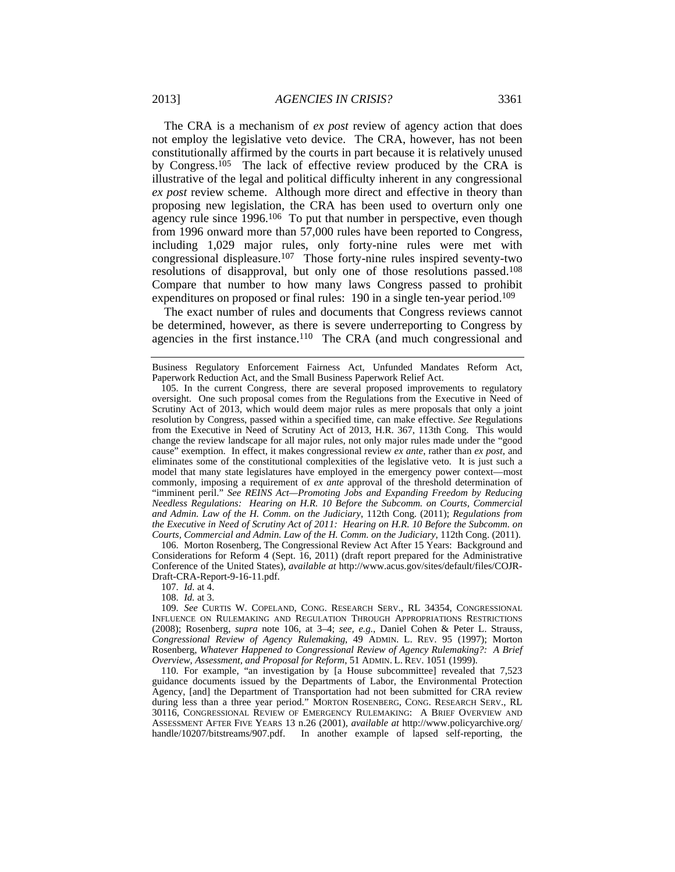The CRA is a mechanism of *ex post* review of agency action that does not employ the legislative veto device. The CRA, however, has not been constitutionally affirmed by the courts in part because it is relatively unused by Congress.<sup>105</sup> The lack of effective review produced by the CRA is illustrative of the legal and political difficulty inherent in any congressional *ex post* review scheme. Although more direct and effective in theory than proposing new legislation, the CRA has been used to overturn only one agency rule since 1996.106 To put that number in perspective, even though from 1996 onward more than 57,000 rules have been reported to Congress, including 1,029 major rules, only forty-nine rules were met with congressional displeasure.107 Those forty-nine rules inspired seventy-two resolutions of disapproval, but only one of those resolutions passed.108 Compare that number to how many laws Congress passed to prohibit expenditures on proposed or final rules: 190 in a single ten-year period.<sup>109</sup>

The exact number of rules and documents that Congress reviews cannot be determined, however, as there is severe underreporting to Congress by agencies in the first instance.<sup>110</sup> The CRA (and much congressional and

 106. Morton Rosenberg, The Congressional Review Act After 15 Years: Background and Considerations for Reform 4 (Sept. 16, 2011) (draft report prepared for the Administrative Conference of the United States), *available at* http://www.acus.gov/sites/default/files/COJR-Draft-CRA-Report-9-16-11.pdf.

107. *Id.* at 4.

108. *Id.* at 3.

109. *See* CURTIS W. COPELAND, CONG. RESEARCH SERV., RL 34354, CONGRESSIONAL INFLUENCE ON RULEMAKING AND REGULATION THROUGH APPROPRIATIONS RESTRICTIONS (2008); Rosenberg, *supra* note 106, at 3–4; *see, e.g.*, Daniel Cohen & Peter L. Strauss, *Congressional Review of Agency Rulemaking*, 49 ADMIN. L. REV. 95 (1997); Morton Rosenberg, *Whatever Happened to Congressional Review of Agency Rulemaking?: A Brief Overview, Assessment, and Proposal for Reform*, 51 ADMIN. L. REV. 1051 (1999).

 110. For example, "an investigation by [a House subcommittee] revealed that 7,523 guidance documents issued by the Departments of Labor, the Environmental Protection Agency, [and] the Department of Transportation had not been submitted for CRA review during less than a three year period." MORTON ROSENBERG, CONG. RESEARCH SERV., RL 30116, CONGRESSIONAL REVIEW OF EMERGENCY RULEMAKING: A BRIEF OVERVIEW AND ASSESSMENT AFTER FIVE YEARS 13 n.26 (2001), *available at* http://www.policyarchive.org/ handle/10207/bitstreams/907.pdf. In another example of lapsed self-reporting, the

Business Regulatory Enforcement Fairness Act, Unfunded Mandates Reform Act, Paperwork Reduction Act, and the Small Business Paperwork Relief Act.

 <sup>105.</sup> In the current Congress, there are several proposed improvements to regulatory oversight. One such proposal comes from the Regulations from the Executive in Need of Scrutiny Act of 2013, which would deem major rules as mere proposals that only a joint resolution by Congress, passed within a specified time, can make effective. *See* Regulations from the Executive in Need of Scrutiny Act of 2013, H.R. 367, 113th Cong. This would change the review landscape for all major rules, not only major rules made under the "good cause" exemption. In effect, it makes congressional review *ex ante*, rather than *ex post*, and eliminates some of the constitutional complexities of the legislative veto. It is just such a model that many state legislatures have employed in the emergency power context—most commonly, imposing a requirement of *ex ante* approval of the threshold determination of "imminent peril." *See REINS Act—Promoting Jobs and Expanding Freedom by Reducing Needless Regulations: Hearing on H.R. 10 Before the Subcomm. on Courts, Commercial and Admin. Law of the H. Comm. on the Judiciary*, 112th Cong. (2011); *Regulations from the Executive in Need of Scrutiny Act of 2011: Hearing on H.R. 10 Before the Subcomm. on Courts, Commercial and Admin. Law of the H. Comm. on the Judiciary*, 112th Cong. (2011).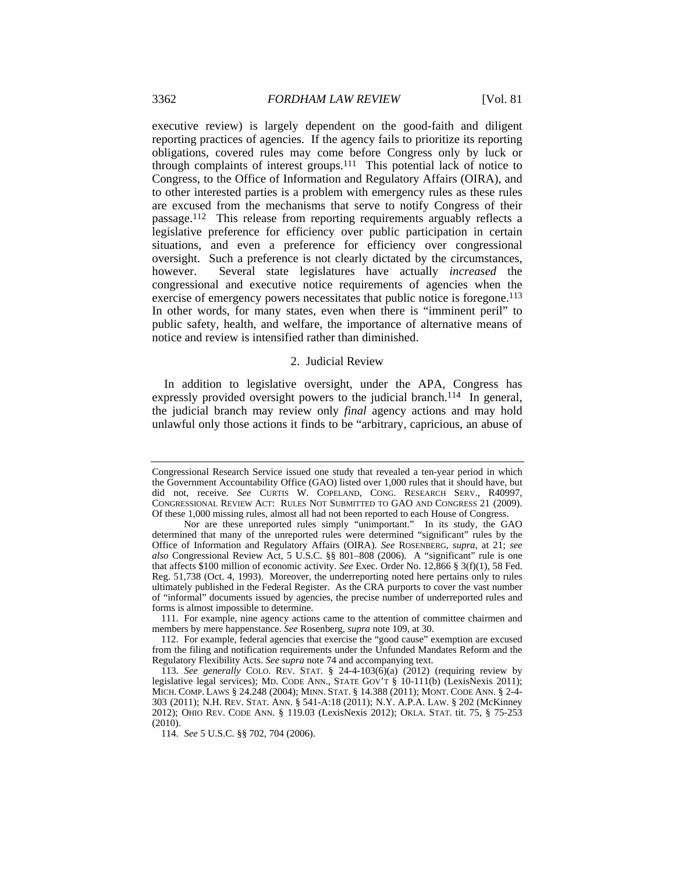executive review) is largely dependent on the good-faith and diligent reporting practices of agencies. If the agency fails to prioritize its reporting obligations, covered rules may come before Congress only by luck or through complaints of interest groups.<sup>111</sup> This potential lack of notice to Congress, to the Office of Information and Regulatory Affairs (OIRA), and to other interested parties is a problem with emergency rules as these rules are excused from the mechanisms that serve to notify Congress of their passage.112 This release from reporting requirements arguably reflects a legislative preference for efficiency over public participation in certain situations, and even a preference for efficiency over congressional oversight. Such a preference is not clearly dictated by the circumstances, however. Several state legislatures have actually *increased* the congressional and executive notice requirements of agencies when the exercise of emergency powers necessitates that public notice is foregone.<sup>113</sup> In other words, for many states, even when there is "imminent peril" to public safety, health, and welfare, the importance of alternative means of notice and review is intensified rather than diminished.

# 2. Judicial Review

In addition to legislative oversight, under the APA, Congress has expressly provided oversight powers to the judicial branch.<sup>114</sup> In general, the judicial branch may review only *final* agency actions and may hold unlawful only those actions it finds to be "arbitrary, capricious, an abuse of

Congressional Research Service issued one study that revealed a ten-year period in which the Government Accountability Office (GAO) listed over 1,000 rules that it should have, but did not, receive. *See* CURTIS W. COPELAND, CONG. RESEARCH SERV., R40997, CONGRESSIONAL REVIEW ACT: RULES NOT SUBMITTED TO GAO AND CONGRESS 21 (2009). Of these 1,000 missing rules, almost all had not been reported to each House of Congress.

Nor are these unreported rules simply "unimportant." In its study, the GAO determined that many of the unreported rules were determined "significant" rules by the Office of Information and Regulatory Affairs (OIRA). *See* ROSENBERG, *supra*, at 21; *see also* Congressional Review Act, 5 U.S.C. §§ 801–808 (2006). A "significant" rule is one that affects \$100 million of economic activity. *See* Exec. Order No. 12,866 § 3(f)(1), 58 Fed. Reg. 51,738 (Oct. 4, 1993). Moreover, the underreporting noted here pertains only to rules ultimately published in the Federal Register. As the CRA purports to cover the vast number of "informal" documents issued by agencies, the precise number of underreported rules and forms is almost impossible to determine.

 <sup>111.</sup> For example, nine agency actions came to the attention of committee chairmen and members by mere happenstance. *See* Rosenberg, *supra* note 109, at 30.

 <sup>112.</sup> For example, federal agencies that exercise the "good cause" exemption are excused from the filing and notification requirements under the Unfunded Mandates Reform and the Regulatory Flexibility Acts. *See supra* note 74 and accompanying text.

<sup>113.</sup> *See generally* COLO. REV. STAT. § 24-4-103(6)(a) (2012) (requiring review by legislative legal services); MD. CODE ANN., STATE GOV'T § 10-111(b) (LexisNexis 2011); MICH. COMP. LAWS § 24.248 (2004); MINN. STAT. § 14.388 (2011); MONT. CODE ANN. § 2-4- 303 (2011); N.H. REV. STAT. ANN. § 541-A:18 (2011); N.Y. A.P.A. LAW. § 202 (McKinney 2012); OHIO REV. CODE ANN. § 119.03 (LexisNexis 2012); OKLA. STAT. tit. 75, § 75-253 (2010).

<sup>114.</sup> *See* 5 U.S.C. §§ 702, 704 (2006).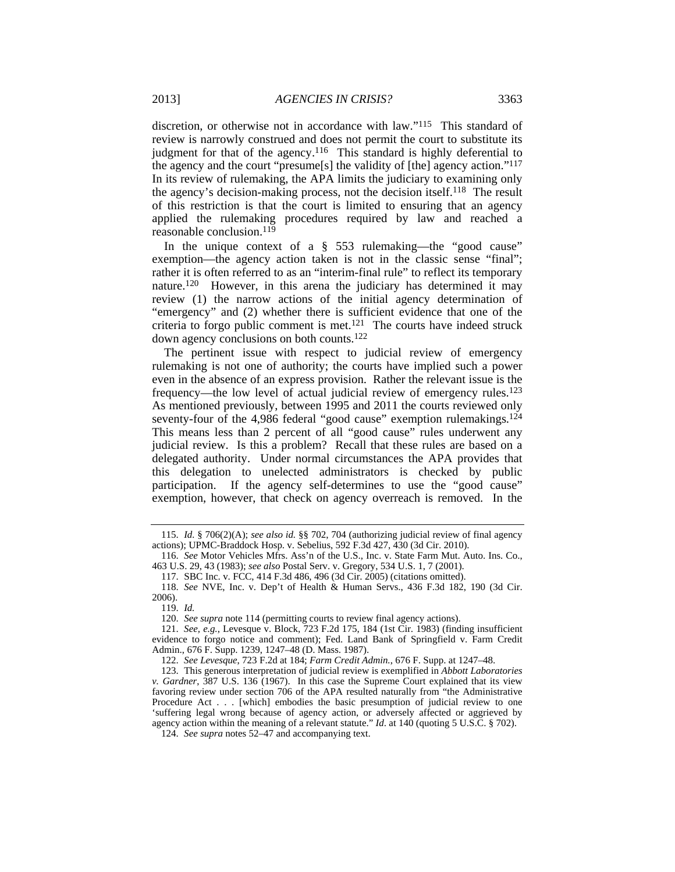discretion, or otherwise not in accordance with law."115 This standard of review is narrowly construed and does not permit the court to substitute its judgment for that of the agency.<sup>116</sup> This standard is highly deferential to the agency and the court "presume[s] the validity of [the] agency action."117 In its review of rulemaking, the APA limits the judiciary to examining only the agency's decision-making process, not the decision itself.118 The result of this restriction is that the court is limited to ensuring that an agency applied the rulemaking procedures required by law and reached a reasonable conclusion.119

In the unique context of a § 553 rulemaking—the "good cause" exemption—the agency action taken is not in the classic sense "final"; rather it is often referred to as an "interim-final rule" to reflect its temporary nature.120 However, in this arena the judiciary has determined it may review (1) the narrow actions of the initial agency determination of "emergency" and (2) whether there is sufficient evidence that one of the criteria to forgo public comment is met.<sup>121</sup> The courts have indeed struck down agency conclusions on both counts.122

The pertinent issue with respect to judicial review of emergency rulemaking is not one of authority; the courts have implied such a power even in the absence of an express provision. Rather the relevant issue is the frequency—the low level of actual judicial review of emergency rules.123 As mentioned previously, between 1995 and 2011 the courts reviewed only seventy-four of the 4,986 federal "good cause" exemption rulemakings.<sup>124</sup> This means less than 2 percent of all "good cause" rules underwent any judicial review. Is this a problem? Recall that these rules are based on a delegated authority. Under normal circumstances the APA provides that this delegation to unelected administrators is checked by public participation. If the agency self-determines to use the "good cause" exemption, however, that check on agency overreach is removed. In the

122. *See Levesque*, 723 F.2d at 184; *Farm Credit Admin.*, 676 F. Supp. at 1247–48.

<sup>115.</sup> *Id.* § 706(2)(A); *see also id.* §§ 702, 704 (authorizing judicial review of final agency actions); UPMC-Braddock Hosp. v. Sebelius, 592 F.3d 427, 430 (3d Cir. 2010).

<sup>116.</sup> *See* Motor Vehicles Mfrs. Ass'n of the U.S., Inc. v. State Farm Mut. Auto. Ins. Co., 463 U.S. 29, 43 (1983); *see also* Postal Serv. v. Gregory, 534 U.S. 1, 7 (2001).

 <sup>117.</sup> SBC Inc. v. FCC, 414 F.3d 486, 496 (3d Cir. 2005) (citations omitted).

<sup>118.</sup> *See* NVE, Inc. v. Dep't of Health & Human Servs., 436 F.3d 182, 190 (3d Cir. 2006).

<sup>119.</sup> *Id.*

<sup>120.</sup> *See supra* note 114 (permitting courts to review final agency actions).

<sup>121.</sup> *See, e.g.*, Levesque v. Block, 723 F.2d 175, 184 (1st Cir. 1983) (finding insufficient evidence to forgo notice and comment); Fed. Land Bank of Springfield v. Farm Credit Admin., 676 F. Supp. 1239, 1247–48 (D. Mass. 1987).

 <sup>123.</sup> This generous interpretation of judicial review is exemplified in *Abbott Laboratories v. Gardner*, 387 U.S. 136 (1967). In this case the Supreme Court explained that its view favoring review under section 706 of the APA resulted naturally from "the Administrative Procedure Act . . . [which] embodies the basic presumption of judicial review to one 'suffering legal wrong because of agency action, or adversely affected or aggrieved by agency action within the meaning of a relevant statute." *Id*. at 140 (quoting 5 U.S.C. § 702).

<sup>124.</sup> *See supra* notes 52–47 and accompanying text.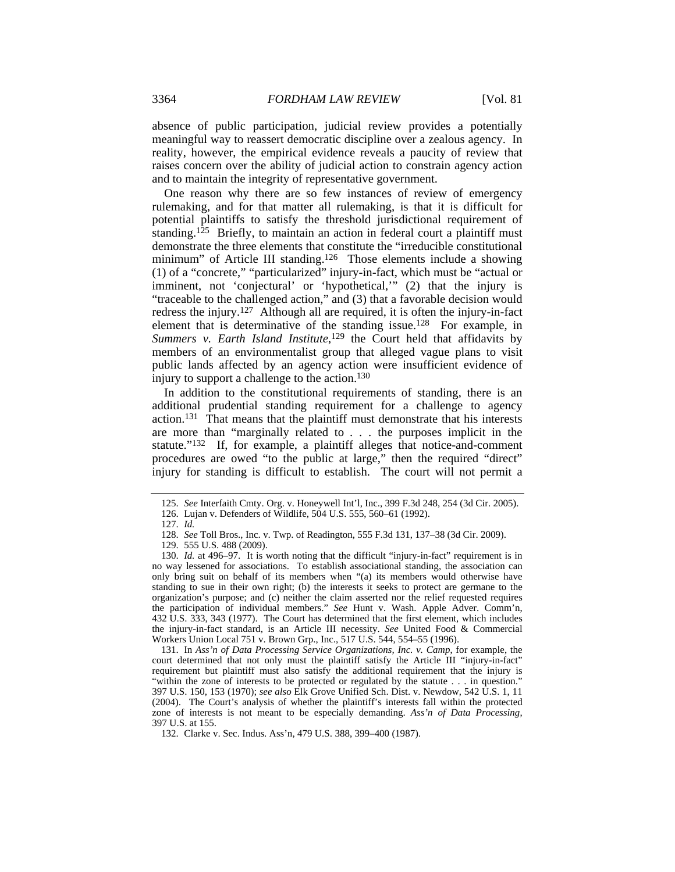absence of public participation, judicial review provides a potentially meaningful way to reassert democratic discipline over a zealous agency. In reality, however, the empirical evidence reveals a paucity of review that raises concern over the ability of judicial action to constrain agency action and to maintain the integrity of representative government.

One reason why there are so few instances of review of emergency rulemaking, and for that matter all rulemaking, is that it is difficult for potential plaintiffs to satisfy the threshold jurisdictional requirement of standing.125 Briefly, to maintain an action in federal court a plaintiff must demonstrate the three elements that constitute the "irreducible constitutional minimum" of Article III standing.<sup>126</sup> Those elements include a showing (1) of a "concrete," "particularized" injury-in-fact, which must be "actual or imminent, not 'conjectural' or 'hypothetical,'" (2) that the injury is "traceable to the challenged action," and (3) that a favorable decision would redress the injury.127 Although all are required, it is often the injury-in-fact element that is determinative of the standing issue.<sup>128</sup> For example, in Summers v. Earth Island Institute,<sup>129</sup> the Court held that affidavits by members of an environmentalist group that alleged vague plans to visit public lands affected by an agency action were insufficient evidence of injury to support a challenge to the action.<sup>130</sup>

In addition to the constitutional requirements of standing, there is an additional prudential standing requirement for a challenge to agency action.131That means that the plaintiff must demonstrate that his interests are more than "marginally related to *. . .* the purposes implicit in the statute."132 If, for example, a plaintiff alleges that notice-and-comment procedures are owed "to the public at large," then the required "direct" injury for standing is difficult to establish. The court will not permit a

<sup>125.</sup> *See* Interfaith Cmty. Org. v. Honeywell Int'l, Inc., 399 F.3d 248, 254 (3d Cir. 2005).

 <sup>126.</sup> Lujan v. Defenders of Wildlife, 504 U.S. 555, 560–61 (1992).

<sup>127.</sup> *Id.*

<sup>128.</sup> *See* Toll Bros., Inc. v. Twp. of Readington, 555 F.3d 131, 137–38 (3d Cir. 2009).

 <sup>129. 555</sup> U.S. 488 (2009).

<sup>130.</sup> *Id.* at 496–97. It is worth noting that the difficult "injury-in-fact" requirement is in no way lessened for associations. To establish associational standing, the association can only bring suit on behalf of its members when "(a) its members would otherwise have standing to sue in their own right; (b) the interests it seeks to protect are germane to the organization's purpose; and (c) neither the claim asserted nor the relief requested requires the participation of individual members." *See* Hunt v. Wash. Apple Adver. Comm'n, 432 U.S. 333, 343 (1977). The Court has determined that the first element, which includes the injury-in-fact standard, is an Article III necessity. *See* United Food & Commercial Workers Union Local 751 v. Brown Grp., Inc., 517 U.S. 544, 554–55 (1996).

 <sup>131.</sup> In *Ass'n of Data Processing Service Organizations, Inc. v. Camp*, for example, the court determined that not only must the plaintiff satisfy the Article III "injury-in-fact" requirement but plaintiff must also satisfy the additional requirement that the injury is "within the zone of interests to be protected or regulated by the statute . . . in question." 397 U.S. 150, 153 (1970); *see also* Elk Grove Unified Sch. Dist. v. Newdow, 542 U.S. 1, 11 (2004). The Court's analysis of whether the plaintiff's interests fall within the protected zone of interests is not meant to be especially demanding. *Ass'n of Data Processing*, 397 U.S. at 155.

 <sup>132.</sup> Clarke v. Sec. Indus. Ass'n, 479 U.S. 388, 399–400 (1987).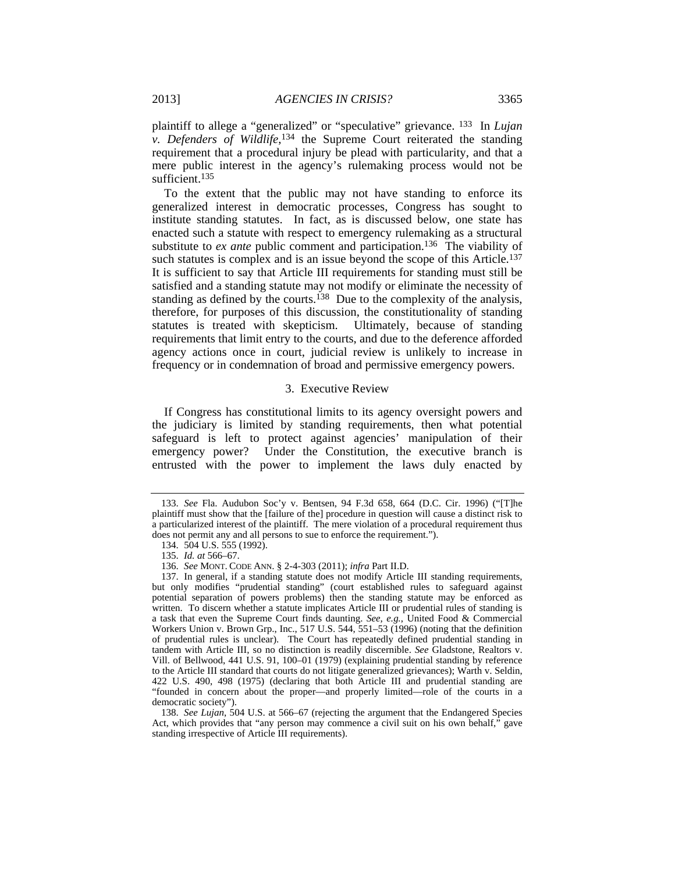plaintiff to allege a "generalized" or "speculative" grievance. 133 In *Lujan v. Defenders of Wildlife*, <sup>134</sup> the Supreme Court reiterated the standing requirement that a procedural injury be plead with particularity, and that a mere public interest in the agency's rulemaking process would not be sufficient.<sup>135</sup>

To the extent that the public may not have standing to enforce its generalized interest in democratic processes, Congress has sought to institute standing statutes. In fact, as is discussed below, one state has enacted such a statute with respect to emergency rulemaking as a structural substitute to *ex ante* public comment and participation.136 The viability of such statutes is complex and is an issue beyond the scope of this Article.<sup>137</sup> It is sufficient to say that Article III requirements for standing must still be satisfied and a standing statute may not modify or eliminate the necessity of standing as defined by the courts.<sup>138</sup> Due to the complexity of the analysis, therefore, for purposes of this discussion, the constitutionality of standing statutes is treated with skepticism. Ultimately, because of standing requirements that limit entry to the courts, and due to the deference afforded agency actions once in court, judicial review is unlikely to increase in frequency or in condemnation of broad and permissive emergency powers.

## 3. Executive Review

If Congress has constitutional limits to its agency oversight powers and the judiciary is limited by standing requirements, then what potential safeguard is left to protect against agencies' manipulation of their emergency power? Under the Constitution, the executive branch is entrusted with the power to implement the laws duly enacted by

<sup>133.</sup> *See* Fla. Audubon Soc'y v. Bentsen, 94 F.3d 658, 664 (D.C. Cir. 1996) ("[T]he plaintiff must show that the [failure of the] procedure in question will cause a distinct risk to a particularized interest of the plaintiff. The mere violation of a procedural requirement thus does not permit any and all persons to sue to enforce the requirement.").

 <sup>134. 504</sup> U.S. 555 (1992).

<sup>135.</sup> *Id. at* 566–67.

<sup>136.</sup> *See* MONT. CODE ANN. § 2-4-303 (2011); *infra* Part II.D.

 <sup>137.</sup> In general, if a standing statute does not modify Article III standing requirements, but only modifies "prudential standing" (court established rules to safeguard against potential separation of powers problems) then the standing statute may be enforced as written. To discern whether a statute implicates Article III or prudential rules of standing is a task that even the Supreme Court finds daunting. *See, e.g.*, United Food & Commercial Workers Union v. Brown Grp., Inc., 517 U.S. 544, 551–53 (1996) (noting that the definition of prudential rules is unclear). The Court has repeatedly defined prudential standing in tandem with Article III, so no distinction is readily discernible. *See* Gladstone, Realtors v. Vill. of Bellwood, 441 U.S. 91, 100–01 (1979) (explaining prudential standing by reference to the Article III standard that courts do not litigate generalized grievances); Warth v. Seldin, 422 U.S. 490, 498 (1975) (declaring that both Article III and prudential standing are "founded in concern about the proper—and properly limited—role of the courts in a democratic society").

<sup>138.</sup> *See Lujan*, 504 U.S. at 566–67 (rejecting the argument that the Endangered Species Act, which provides that "any person may commence a civil suit on his own behalf," gave standing irrespective of Article III requirements).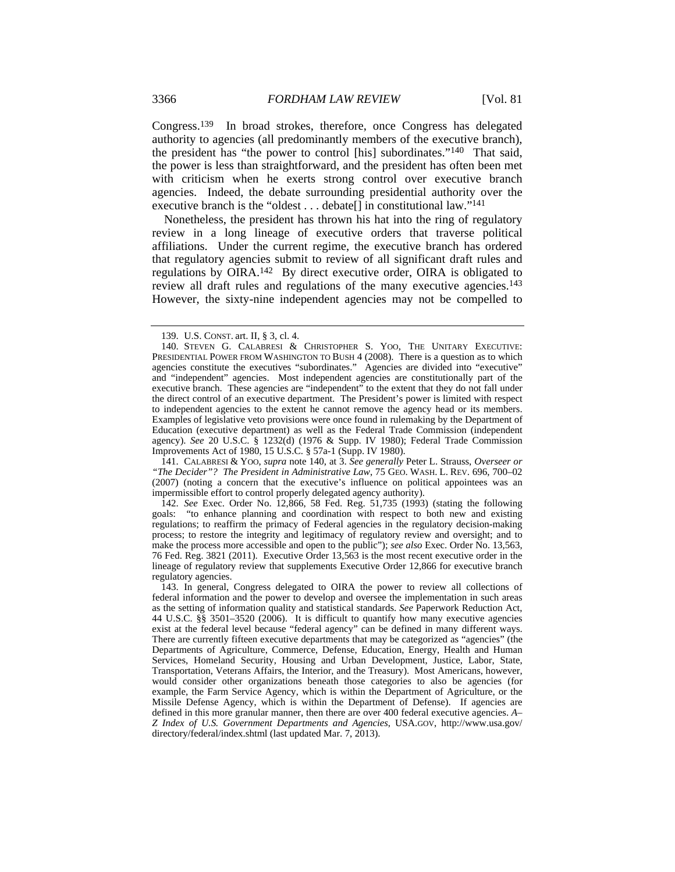Congress.139 In broad strokes, therefore, once Congress has delegated authority to agencies (all predominantly members of the executive branch), the president has "the power to control [his] subordinates."140 That said, the power is less than straightforward, and the president has often been met with criticism when he exerts strong control over executive branch agencies. Indeed, the debate surrounding presidential authority over the executive branch is the "oldest . . . debate[] in constitutional law."141

Nonetheless, the president has thrown his hat into the ring of regulatory review in a long lineage of executive orders that traverse political affiliations. Under the current regime, the executive branch has ordered that regulatory agencies submit to review of all significant draft rules and regulations by OIRA.142 By direct executive order, OIRA is obligated to review all draft rules and regulations of the many executive agencies.143 However, the sixty-nine independent agencies may not be compelled to

 141. CALABRESI & YOO, *supra* note 140, at 3. *See generally* Peter L. Strauss, *Overseer or "The Decider"? The President in Administrative Law*, 75 GEO. WASH. L. REV. 696, 700–02 (2007) (noting a concern that the executive's influence on political appointees was an impermissible effort to control properly delegated agency authority).

142. *See* Exec. Order No. 12,866, 58 Fed. Reg. 51,735 (1993) (stating the following goals: "to enhance planning and coordination with respect to both new and existing regulations; to reaffirm the primacy of Federal agencies in the regulatory decision-making process; to restore the integrity and legitimacy of regulatory review and oversight; and to make the process more accessible and open to the public"); *see also* Exec. Order No. 13,563, 76 Fed. Reg. 3821 (2011). Executive Order 13,563 is the most recent executive order in the lineage of regulatory review that supplements Executive Order 12,866 for executive branch regulatory agencies.

 <sup>139.</sup> U.S. CONST. art. II, § 3, cl. 4.

 <sup>140.</sup> STEVEN G. CALABRESI & CHRISTOPHER S. YOO, THE UNITARY EXECUTIVE: PRESIDENTIAL POWER FROM WASHINGTON TO BUSH 4 (2008). There is a question as to which agencies constitute the executives "subordinates." Agencies are divided into "executive" and "independent" agencies. Most independent agencies are constitutionally part of the executive branch. These agencies are "independent" to the extent that they do not fall under the direct control of an executive department. The President's power is limited with respect to independent agencies to the extent he cannot remove the agency head or its members. Examples of legislative veto provisions were once found in rulemaking by the Department of Education (executive department) as well as the Federal Trade Commission (independent agency). *See* 20 U.S.C. § 1232(d) (1976 & Supp. IV 1980); Federal Trade Commission Improvements Act of 1980, 15 U.S.C. § 57a-1 (Supp. IV 1980).

 <sup>143.</sup> In general, Congress delegated to OIRA the power to review all collections of federal information and the power to develop and oversee the implementation in such areas as the setting of information quality and statistical standards. *See* Paperwork Reduction Act, 44 U.S.C. §§ 3501–3520 (2006). It is difficult to quantify how many executive agencies exist at the federal level because "federal agency" can be defined in many different ways. There are currently fifteen executive departments that may be categorized as "agencies" (the Departments of Agriculture, Commerce, Defense, Education, Energy, Health and Human Services, Homeland Security, Housing and Urban Development, Justice, Labor, State, Transportation, Veterans Affairs, the Interior, and the Treasury). Most Americans, however, would consider other organizations beneath those categories to also be agencies (for example, the Farm Service Agency, which is within the Department of Agriculture, or the Missile Defense Agency, which is within the Department of Defense). If agencies are defined in this more granular manner, then there are over 400 federal executive agencies. *A– Z Index of U.S. Government Departments and Agencies*, USA.GOV, http://www.usa.gov/ directory/federal/index.shtml (last updated Mar. 7, 2013).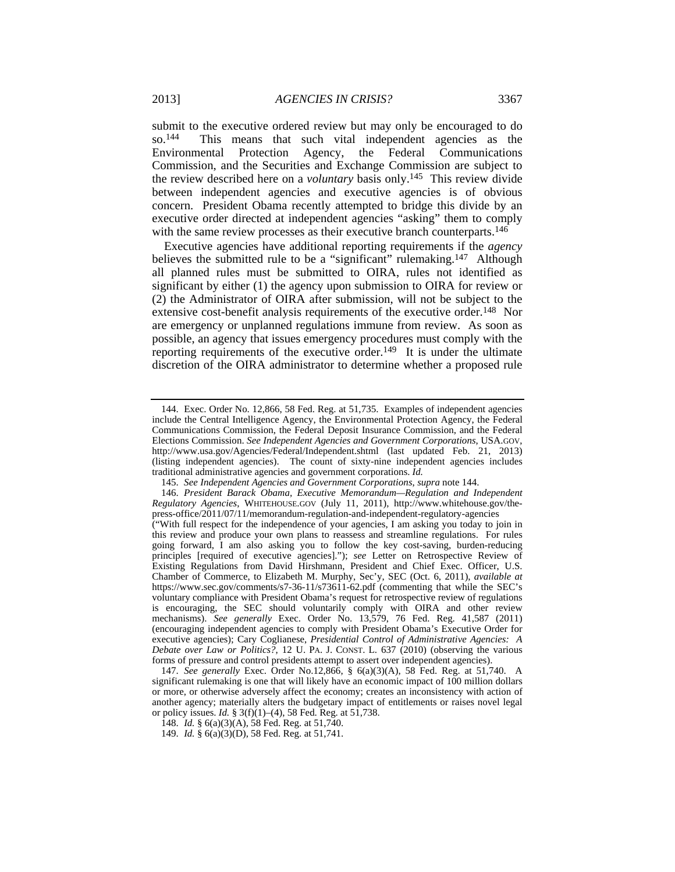submit to the executive ordered review but may only be encouraged to do so.144 This means that such vital independent agencies as the Environmental Protection Agency, the Federal Communications Commission, and the Securities and Exchange Commission are subject to the review described here on a *voluntary* basis only.145 This review divide between independent agencies and executive agencies is of obvious concern. President Obama recently attempted to bridge this divide by an executive order directed at independent agencies "asking" them to comply with the same review processes as their executive branch counterparts.<sup>146</sup>

Executive agencies have additional reporting requirements if the *agency* believes the submitted rule to be a "significant" rulemaking.<sup>147</sup> Although all planned rules must be submitted to OIRA, rules not identified as significant by either (1) the agency upon submission to OIRA for review or (2) the Administrator of OIRA after submission, will not be subject to the extensive cost-benefit analysis requirements of the executive order.<sup>148</sup> Nor are emergency or unplanned regulations immune from review. As soon as possible, an agency that issues emergency procedures must comply with the reporting requirements of the executive order.<sup>149</sup> It is under the ultimate discretion of the OIRA administrator to determine whether a proposed rule

 <sup>144.</sup> Exec. Order No. 12,866, 58 Fed. Reg. at 51,735. Examples of independent agencies include the Central Intelligence Agency, the Environmental Protection Agency, the Federal Communications Commission, the Federal Deposit Insurance Commission, and the Federal Elections Commission. *See Independent Agencies and Government Corporations*, USA.GOV, http://www.usa.gov/Agencies/Federal/Independent.shtml (last updated Feb. 21, 2013) (listing independent agencies). The count of sixty-nine independent agencies includes traditional administrative agencies and government corporations. *Id.*

<sup>145.</sup> *See Independent Agencies and Government Corporations*, *supra* note 144.

<sup>146.</sup> *President Barack Obama, Executive Memorandum—Regulation and Independent Regulatory Agencies*, WHITEHOUSE.GOV (July 11, 2011), http://www.whitehouse.gov/thepress-office/2011/07/11/memorandum-regulation-and-independent-regulatory-agencies

<sup>(&</sup>quot;With full respect for the independence of your agencies, I am asking you today to join in this review and produce your own plans to reassess and streamline regulations. For rules going forward, I am also asking you to follow the key cost-saving, burden-reducing principles [required of executive agencies]."); *see* Letter on Retrospective Review of Existing Regulations from David Hirshmann, President and Chief Exec. Officer, U.S. Chamber of Commerce, to Elizabeth M. Murphy, Sec'y, SEC (Oct. 6, 2011), *available at*  https://www.sec.gov/comments/s7-36-11/s73611-62.pdf (commenting that while the SEC's voluntary compliance with President Obama's request for retrospective review of regulations is encouraging, the SEC should voluntarily comply with OIRA and other review mechanisms). *See generally* Exec. Order No. 13,579, 76 Fed. Reg. 41,587 (2011) (encouraging independent agencies to comply with President Obama's Executive Order for executive agencies); Cary Coglianese, *Presidential Control of Administrative Agencies: A Debate over Law or Politics?*, 12 U. PA. J. CONST. L. 637 (2010) (observing the various forms of pressure and control presidents attempt to assert over independent agencies).

<sup>147.</sup> *See generally* Exec. Order No.12,866, § 6(a)(3)(A), 58 Fed. Reg. at 51,740. A significant rulemaking is one that will likely have an economic impact of 100 million dollars or more, or otherwise adversely affect the economy; creates an inconsistency with action of another agency; materially alters the budgetary impact of entitlements or raises novel legal or policy issues. *Id.* § 3(f)(1)–(4), 58 Fed. Reg. at 51,738.

<sup>148.</sup> *Id.* § 6(a)(3)(A), 58 Fed. Reg. at 51,740.

<sup>149.</sup> *Id.* § 6(a)(3)(D), 58 Fed. Reg. at 51,741.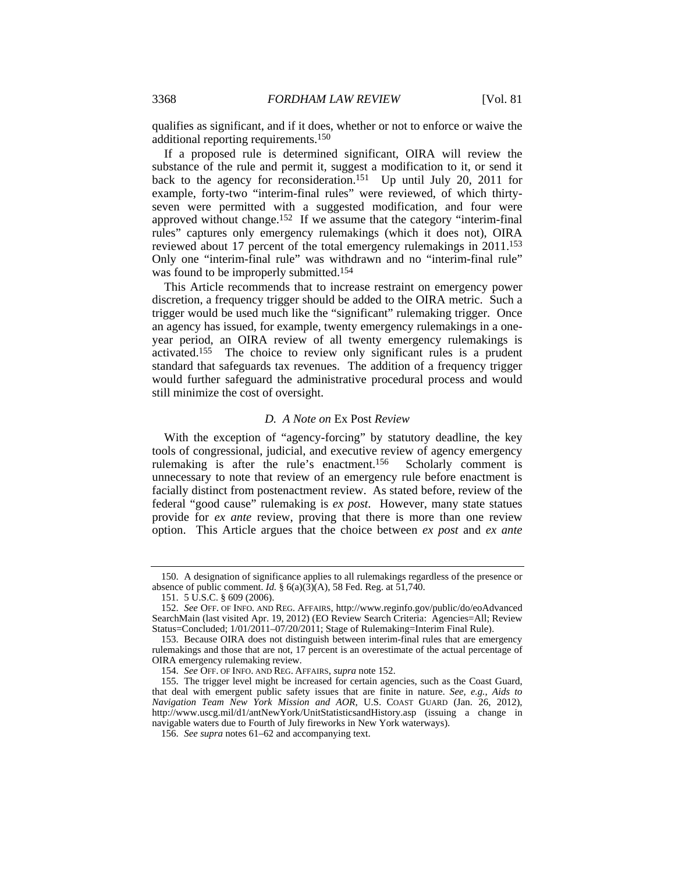qualifies as significant, and if it does, whether or not to enforce or waive the additional reporting requirements.150

If a proposed rule is determined significant, OIRA will review the substance of the rule and permit it, suggest a modification to it, or send it back to the agency for reconsideration.<sup>151</sup> Up until July 20, 2011 for example, forty-two "interim-final rules" were reviewed, of which thirtyseven were permitted with a suggested modification, and four were approved without change.152 If we assume that the category "interim-final rules" captures only emergency rulemakings (which it does not), OIRA reviewed about 17 percent of the total emergency rulemakings in 2011.153 Only one "interim-final rule" was withdrawn and no "interim-final rule" was found to be improperly submitted.154

This Article recommends that to increase restraint on emergency power discretion, a frequency trigger should be added to the OIRA metric. Such a trigger would be used much like the "significant" rulemaking trigger. Once an agency has issued, for example, twenty emergency rulemakings in a oneyear period, an OIRA review of all twenty emergency rulemakings is activated.155 The choice to review only significant rules is a prudent standard that safeguards tax revenues. The addition of a frequency trigger would further safeguard the administrative procedural process and would still minimize the cost of oversight.

## *D. A Note on* Ex Post *Review*

With the exception of "agency-forcing" by statutory deadline, the key tools of congressional, judicial, and executive review of agency emergency rulemaking is after the rule's enactment.156 Scholarly comment is unnecessary to note that review of an emergency rule before enactment is facially distinct from postenactment review. As stated before, review of the federal "good cause" rulemaking is *ex post*. However, many state statues provide for *ex ante* review, proving that there is more than one review option. This Article argues that the choice between *ex post* and *ex ante*

 <sup>150.</sup> A designation of significance applies to all rulemakings regardless of the presence or absence of public comment. *Id.*  $\S$  6(a)(3)(A), 58 Fed. Reg. at 51,740.

 <sup>151. 5</sup> U.S.C. § 609 (2006).

<sup>152.</sup> *See* OFF. OF INFO. AND REG. AFFAIRS, http://www.reginfo.gov/public/do/eoAdvanced SearchMain (last visited Apr. 19, 2012) (EO Review Search Criteria: Agencies=All; Review Status=Concluded; 1/01/2011–07/20/2011; Stage of Rulemaking=Interim Final Rule).

 <sup>153.</sup> Because OIRA does not distinguish between interim-final rules that are emergency rulemakings and those that are not, 17 percent is an overestimate of the actual percentage of OIRA emergency rulemaking review.

<sup>154.</sup> *See* OFF. OF INFO. AND REG. AFFAIRS, *supra* note 152.

 <sup>155.</sup> The trigger level might be increased for certain agencies, such as the Coast Guard, that deal with emergent public safety issues that are finite in nature. *See, e.g.*, *Aids to Navigation Team New York Mission and AOR*, U.S. COAST GUARD (Jan. 26, 2012), http://www.uscg.mil/d1/antNewYork/UnitStatisticsandHistory.asp (issuing a change in navigable waters due to Fourth of July fireworks in New York waterways).

<sup>156.</sup> *See supra* notes 61–62 and accompanying text.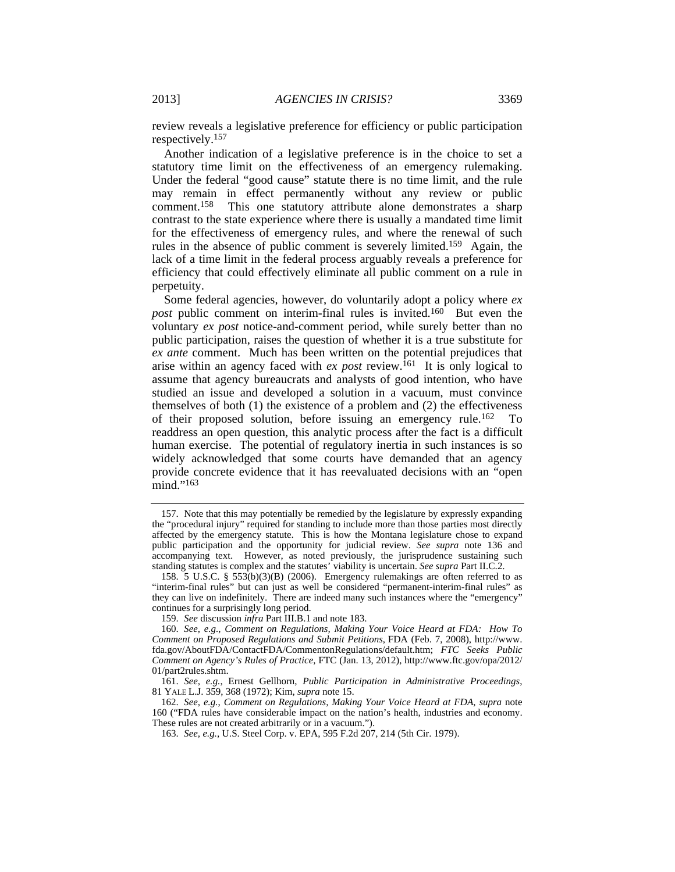review reveals a legislative preference for efficiency or public participation respectively.157

Another indication of a legislative preference is in the choice to set a statutory time limit on the effectiveness of an emergency rulemaking. Under the federal "good cause" statute there is no time limit, and the rule may remain in effect permanently without any review or public comment.158 This one statutory attribute alone demonstrates a sharp contrast to the state experience where there is usually a mandated time limit for the effectiveness of emergency rules, and where the renewal of such rules in the absence of public comment is severely limited.159 Again, the lack of a time limit in the federal process arguably reveals a preference for efficiency that could effectively eliminate all public comment on a rule in perpetuity.

Some federal agencies, however, do voluntarily adopt a policy where *ex post* public comment on interim-final rules is invited.<sup>160</sup> But even the voluntary *ex post* notice-and-comment period, while surely better than no public participation, raises the question of whether it is a true substitute for *ex ante* comment. Much has been written on the potential prejudices that arise within an agency faced with *ex post* review.161 It is only logical to assume that agency bureaucrats and analysts of good intention, who have studied an issue and developed a solution in a vacuum, must convince themselves of both (1) the existence of a problem and (2) the effectiveness of their proposed solution, before issuing an emergency rule.162 To readdress an open question, this analytic process after the fact is a difficult human exercise. The potential of regulatory inertia in such instances is so widely acknowledged that some courts have demanded that an agency provide concrete evidence that it has reevaluated decisions with an "open mind."<sup>163</sup>

 <sup>157.</sup> Note that this may potentially be remedied by the legislature by expressly expanding the "procedural injury" required for standing to include more than those parties most directly affected by the emergency statute. This is how the Montana legislature chose to expand public participation and the opportunity for judicial review. *See supra* note 136 and accompanying text. However, as noted previously, the jurisprudence sustaining such standing statutes is complex and the statutes' viability is uncertain. *See supra* Part II.C.2.

<sup>158. 5</sup> U.S.C. § 553(b)(3)(B) (2006). Emergency rulemakings are often referred to as "interim-final rules" but can just as well be considered "permanent-interim-final rules" as they can live on indefinitely. There are indeed many such instances where the "emergency" continues for a surprisingly long period.

<sup>159.</sup> *See* discussion *infra* Part III.B.1 and note 183.

<sup>160.</sup> *See, e.g.*, *Comment on Regulations, Making Your Voice Heard at FDA: How To Comment on Proposed Regulations and Submit Petitions*, FDA (Feb. 7, 2008), http://www. fda.gov/AboutFDA/ContactFDA/CommentonRegulations/default.htm; *FTC Seeks Public Comment on Agency's Rules of Practice*, FTC (Jan. 13, 2012), http://www.ftc.gov/opa/2012/ 01/part2rules.shtm.

<sup>161.</sup> *See, e.g.*, Ernest Gellhorn, *Public Participation in Administrative Proceedings*, 81 YALE L.J. 359, 368 (1972); Kim, *supra* note 15.

<sup>162.</sup> *See, e.g.*, *Comment on Regulations, Making Your Voice Heard at FDA*, *supra* note 160 ("FDA rules have considerable impact on the nation's health, industries and economy. These rules are not created arbitrarily or in a vacuum.").

<sup>163.</sup> *See, e.g.*, U.S. Steel Corp. v. EPA, 595 F.2d 207, 214 (5th Cir. 1979).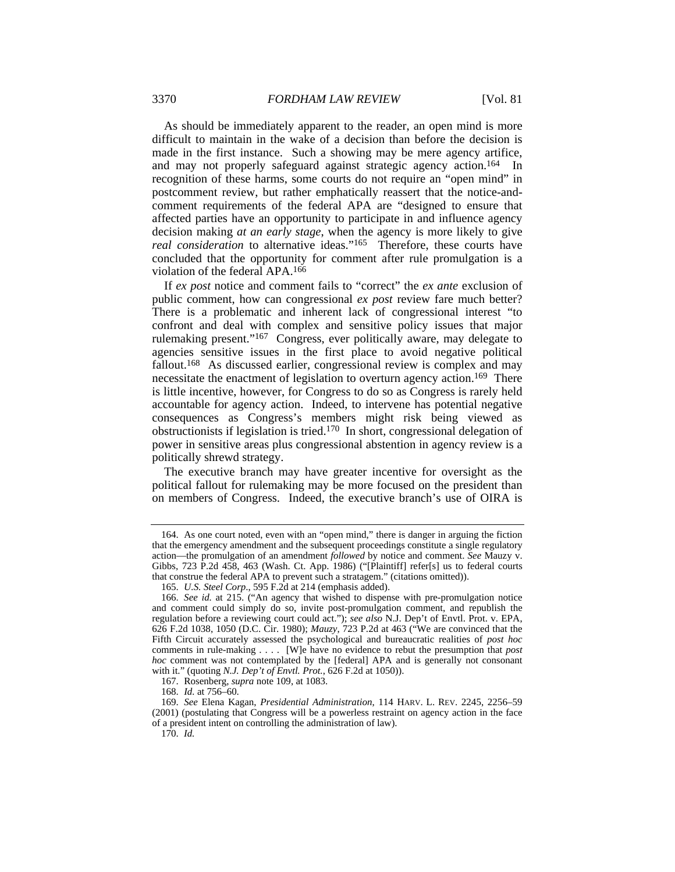As should be immediately apparent to the reader, an open mind is more difficult to maintain in the wake of a decision than before the decision is made in the first instance. Such a showing may be mere agency artifice, and may not properly safeguard against strategic agency action.<sup>164</sup> In recognition of these harms, some courts do not require an "open mind" in postcomment review, but rather emphatically reassert that the notice-andcomment requirements of the federal APA are "designed to ensure that affected parties have an opportunity to participate in and influence agency decision making *at an early stage*, when the agency is more likely to give *real consideration* to alternative ideas."165 Therefore, these courts have concluded that the opportunity for comment after rule promulgation is a violation of the federal APA.166

If *ex post* notice and comment fails to "correct" the *ex ante* exclusion of public comment, how can congressional *ex post* review fare much better? There is a problematic and inherent lack of congressional interest "to confront and deal with complex and sensitive policy issues that major rulemaking present."167 Congress, ever politically aware, may delegate to agencies sensitive issues in the first place to avoid negative political fallout.<sup>168</sup> As discussed earlier, congressional review is complex and may necessitate the enactment of legislation to overturn agency action.<sup>169</sup> There is little incentive, however, for Congress to do so as Congress is rarely held accountable for agency action. Indeed, to intervene has potential negative consequences as Congress's members might risk being viewed as obstructionists if legislation is tried.170 In short, congressional delegation of power in sensitive areas plus congressional abstention in agency review is a politically shrewd strategy.

The executive branch may have greater incentive for oversight as the political fallout for rulemaking may be more focused on the president than on members of Congress. Indeed, the executive branch's use of OIRA is

170. *Id.*

 <sup>164.</sup> As one court noted, even with an "open mind," there is danger in arguing the fiction that the emergency amendment and the subsequent proceedings constitute a single regulatory action—the promulgation of an amendment *followed* by notice and comment. *See* Mauzy v. Gibbs, 723 P.2d 458, 463 (Wash. Ct. App. 1986) ("[Plaintiff] refer[s] us to federal courts that construe the federal APA to prevent such a stratagem." (citations omitted)).

<sup>165.</sup> *U.S. Steel Corp*., 595 F.2d at 214 (emphasis added).

<sup>166.</sup> *See id.* at 215. ("An agency that wished to dispense with pre-promulgation notice and comment could simply do so, invite post-promulgation comment, and republish the regulation before a reviewing court could act."); *see also* N.J. Dep't of Envtl. Prot. v. EPA, 626 F.2d 1038, 1050 (D.C. Cir. 1980); *Mauzy*, 723 P.2d at 463 ("We are convinced that the Fifth Circuit accurately assessed the psychological and bureaucratic realities of *post hoc* comments in rule-making . . . . [W]e have no evidence to rebut the presumption that *post hoc* comment was not contemplated by the [federal] APA and is generally not consonant with it." (quoting *N.J. Dep't of Envtl. Prot.*, 626 F.2d at 1050)).

 <sup>167.</sup> Rosenberg, *supra* note 109, at 1083.

<sup>168.</sup> *Id.* at 756–60.

<sup>169.</sup> *See* Elena Kagan, *Presidential Administration*, 114 HARV. L. REV. 2245, 2256–59 (2001) (postulating that Congress will be a powerless restraint on agency action in the face of a president intent on controlling the administration of law).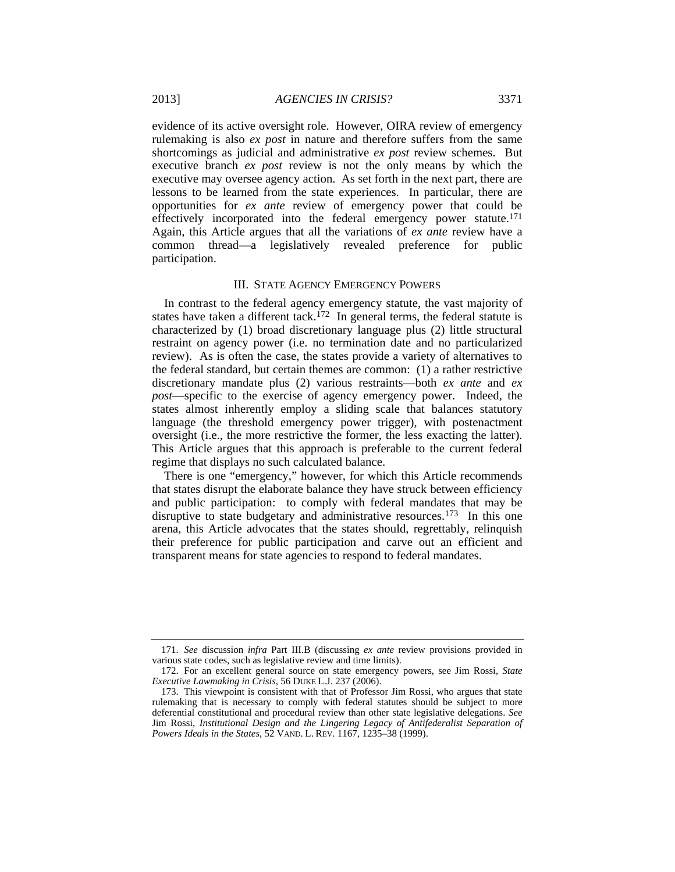evidence of its active oversight role. However, OIRA review of emergency rulemaking is also *ex post* in nature and therefore suffers from the same shortcomings as judicial and administrative *ex post* review schemes. But executive branch *ex post* review is not the only means by which the executive may oversee agency action. As set forth in the next part, there are lessons to be learned from the state experiences. In particular, there are opportunities for *ex ante* review of emergency power that could be effectively incorporated into the federal emergency power statute.171 Again, this Article argues that all the variations of *ex ante* review have a common thread—a legislatively revealed preference for public participation.

#### III. STATE AGENCY EMERGENCY POWERS

In contrast to the federal agency emergency statute, the vast majority of states have taken a different tack.<sup>172</sup> In general terms, the federal statute is characterized by (1) broad discretionary language plus (2) little structural restraint on agency power (i.e. no termination date and no particularized review). As is often the case, the states provide a variety of alternatives to the federal standard, but certain themes are common: (1) a rather restrictive discretionary mandate plus (2) various restraints—both *ex ante* and *ex post*—specific to the exercise of agency emergency power. Indeed, the states almost inherently employ a sliding scale that balances statutory language (the threshold emergency power trigger), with postenactment oversight (i.e., the more restrictive the former, the less exacting the latter). This Article argues that this approach is preferable to the current federal regime that displays no such calculated balance.

There is one "emergency," however, for which this Article recommends that states disrupt the elaborate balance they have struck between efficiency and public participation: to comply with federal mandates that may be disruptive to state budgetary and administrative resources.<sup>173</sup> In this one arena, this Article advocates that the states should, regrettably, relinquish their preference for public participation and carve out an efficient and transparent means for state agencies to respond to federal mandates.

<sup>171.</sup> *See* discussion *infra* Part III.B (discussing *ex ante* review provisions provided in various state codes, such as legislative review and time limits).

 <sup>172.</sup> For an excellent general source on state emergency powers, see Jim Rossi*, State Executive Lawmaking in Crisis*, 56 DUKE L.J. 237 (2006).

 <sup>173.</sup> This viewpoint is consistent with that of Professor Jim Rossi, who argues that state rulemaking that is necessary to comply with federal statutes should be subject to more deferential constitutional and procedural review than other state legislative delegations. *See* Jim Rossi, *Institutional Design and the Lingering Legacy of Antifederalist Separation of Powers Ideals in the States*, 52 VAND. L. REV. 1167, 1235–38 (1999).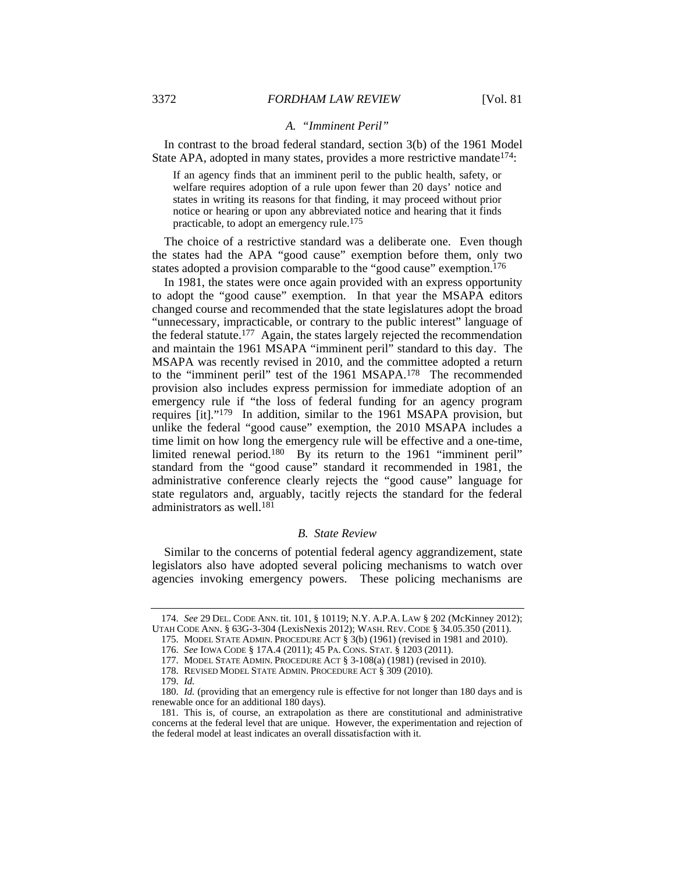# *A. "Imminent Peril"*

In contrast to the broad federal standard, section 3(b) of the 1961 Model State APA, adopted in many states, provides a more restrictive mandate<sup>174</sup>:

If an agency finds that an imminent peril to the public health, safety, or welfare requires adoption of a rule upon fewer than 20 days' notice and states in writing its reasons for that finding, it may proceed without prior notice or hearing or upon any abbreviated notice and hearing that it finds practicable, to adopt an emergency rule.<sup>175</sup>

The choice of a restrictive standard was a deliberate one. Even though the states had the APA "good cause" exemption before them, only two states adopted a provision comparable to the "good cause" exemption.<sup>176</sup>

In 1981, the states were once again provided with an express opportunity to adopt the "good cause" exemption. In that year the MSAPA editors changed course and recommended that the state legislatures adopt the broad "unnecessary, impracticable, or contrary to the public interest" language of the federal statute.177 Again, the states largely rejected the recommendation and maintain the 1961 MSAPA "imminent peril" standard to this day. The MSAPA was recently revised in 2010, and the committee adopted a return to the "imminent peril" test of the 1961 MSAPA.178 The recommended provision also includes express permission for immediate adoption of an emergency rule if "the loss of federal funding for an agency program requires [it]."179 In addition, similar to the 1961 MSAPA provision, but unlike the federal "good cause" exemption, the 2010 MSAPA includes a time limit on how long the emergency rule will be effective and a one-time, limited renewal period.180 By its return to the 1961 "imminent peril" standard from the "good cause" standard it recommended in 1981, the administrative conference clearly rejects the "good cause" language for state regulators and, arguably, tacitly rejects the standard for the federal administrators as well.<sup>181</sup>

## *B. State Review*

Similar to the concerns of potential federal agency aggrandizement, state legislators also have adopted several policing mechanisms to watch over agencies invoking emergency powers. These policing mechanisms are

<sup>174.</sup> *See* 29 DEL. CODE ANN. tit. 101, § 10119; N.Y. A.P.A. LAW § 202 (McKinney 2012); UTAH CODE ANN. § 63G-3-304 (LexisNexis 2012); WASH. REV. CODE § 34.05.350 (2011).

 <sup>175.</sup> MODEL STATE ADMIN. PROCEDURE ACT § 3(b) (1961) (revised in 1981 and 2010).

<sup>176.</sup> *See* IOWA CODE § 17A.4 (2011); 45 PA. CONS. STAT. § 1203 (2011).

 <sup>177.</sup> MODEL STATE ADMIN. PROCEDURE ACT § 3-108(a) (1981) (revised in 2010).

 <sup>178.</sup> REVISED MODEL STATE ADMIN. PROCEDURE ACT § 309 (2010).

<sup>179.</sup> *Id.*

<sup>180.</sup> *Id.* (providing that an emergency rule is effective for not longer than 180 days and is renewable once for an additional 180 days).

 <sup>181.</sup> This is, of course, an extrapolation as there are constitutional and administrative concerns at the federal level that are unique. However, the experimentation and rejection of the federal model at least indicates an overall dissatisfaction with it.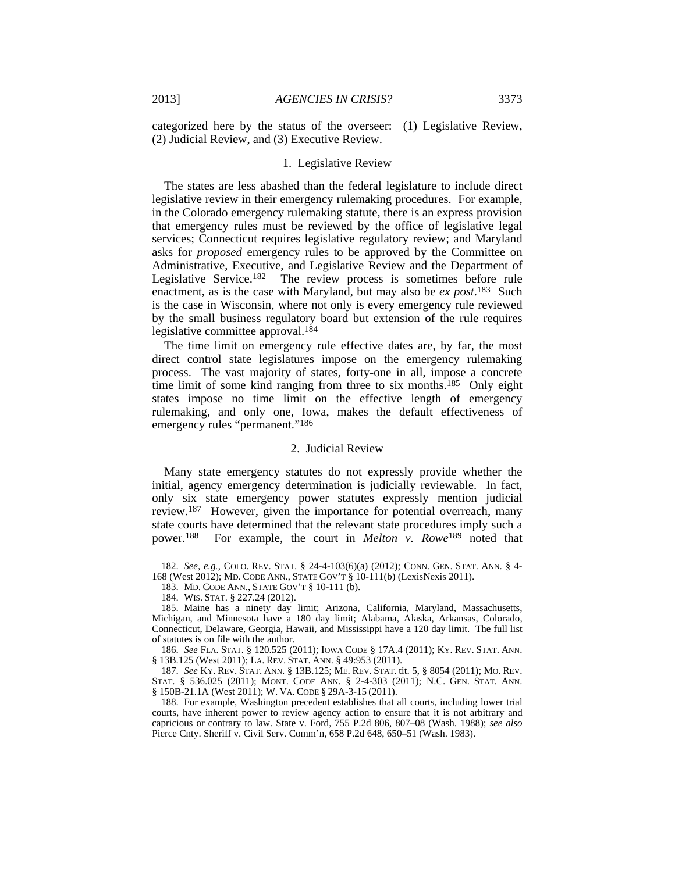categorized here by the status of the overseer: (1) Legislative Review, (2) Judicial Review, and (3) Executive Review.

# 1. Legislative Review

The states are less abashed than the federal legislature to include direct legislative review in their emergency rulemaking procedures. For example, in the Colorado emergency rulemaking statute, there is an express provision that emergency rules must be reviewed by the office of legislative legal services; Connecticut requires legislative regulatory review; and Maryland asks for *proposed* emergency rules to be approved by the Committee on Administrative, Executive, and Legislative Review and the Department of Legislative Service.182 The review process is sometimes before rule enactment, as is the case with Maryland, but may also be *ex post*. 183 Such is the case in Wisconsin, where not only is every emergency rule reviewed by the small business regulatory board but extension of the rule requires legislative committee approval.184

The time limit on emergency rule effective dates are, by far, the most direct control state legislatures impose on the emergency rulemaking process. The vast majority of states, forty-one in all, impose a concrete time limit of some kind ranging from three to six months.185 Only eight states impose no time limit on the effective length of emergency rulemaking, and only one, Iowa, makes the default effectiveness of emergency rules "permanent."<sup>186</sup>

# 2. Judicial Review

Many state emergency statutes do not expressly provide whether the initial, agency emergency determination is judicially reviewable. In fact, only six state emergency power statutes expressly mention judicial review.187 However, given the importance for potential overreach, many state courts have determined that the relevant state procedures imply such a power.188 For example, the court in *Melton v. Rowe*<sup>189</sup> noted that

<sup>182.</sup> *See, e.g.*, COLO. REV. STAT. § 24-4-103(6)(a) (2012); CONN. GEN. STAT. ANN. § 4- 168 (West 2012); MD. CODE ANN., STATE GOV'T § 10-111(b) (LexisNexis 2011).

 <sup>183.</sup> MD. CODE ANN., STATE GOV'T § 10-111 (b).

 <sup>184.</sup> WIS. STAT. § 227.24 (2012).

 <sup>185.</sup> Maine has a ninety day limit; Arizona, California, Maryland, Massachusetts, Michigan, and Minnesota have a 180 day limit; Alabama, Alaska, Arkansas, Colorado, Connecticut, Delaware, Georgia, Hawaii, and Mississippi have a 120 day limit. The full list of statutes is on file with the author.

<sup>186.</sup> *See* FLA. STAT. § 120.525 (2011); IOWA CODE § 17A.4 (2011); KY. REV. STAT. ANN. § 13B.125 (West 2011); LA. REV. STAT. ANN. § 49:953 (2011).

<sup>187.</sup> *See* KY. REV. STAT. ANN. § 13B.125; ME. REV. STAT. tit. 5, § 8054 (2011); MO. REV. STAT. § 536.025 (2011); MONT. CODE ANN. § 2-4-303 (2011); N.C. GEN. STAT. ANN. § 150B-21.1A (West 2011); W. VA. CODE § 29A-3-15 (2011).

 <sup>188.</sup> For example, Washington precedent establishes that all courts, including lower trial courts, have inherent power to review agency action to ensure that it is not arbitrary and capricious or contrary to law. State v. Ford, 755 P.2d 806, 807–08 (Wash. 1988); *see also* Pierce Cnty. Sheriff v. Civil Serv. Comm'n, 658 P.2d 648, 650–51 (Wash. 1983).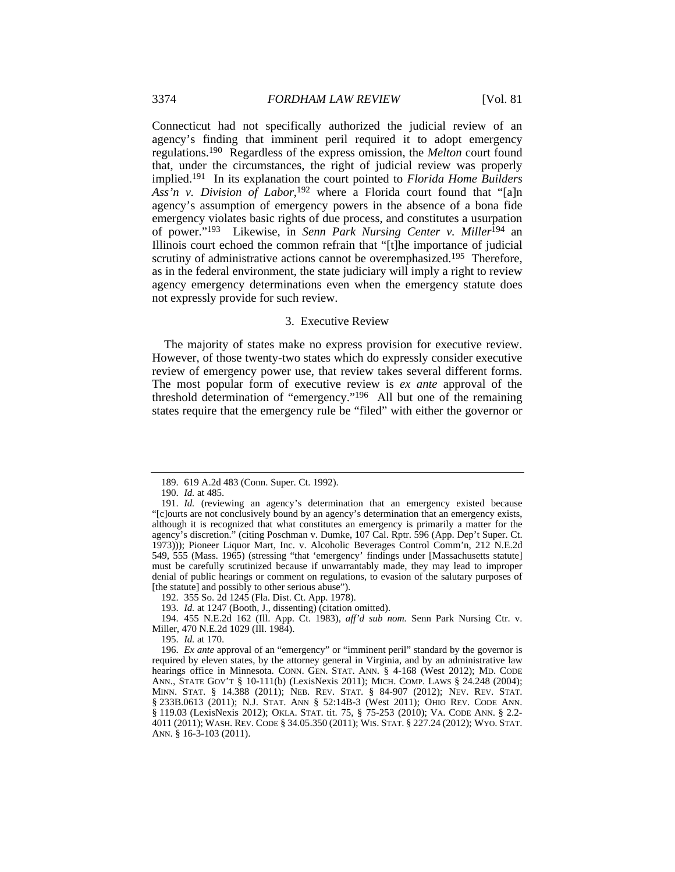Connecticut had not specifically authorized the judicial review of an agency's finding that imminent peril required it to adopt emergency regulations.190 Regardless of the express omission, the *Melton* court found that, under the circumstances, the right of judicial review was properly implied.191 In its explanation the court pointed to *Florida Home Builders Ass'n v. Division of Labor*, <sup>192</sup> where a Florida court found that "[a]n agency's assumption of emergency powers in the absence of a bona fide emergency violates basic rights of due process, and constitutes a usurpation of power."193Likewise, in *Senn Park Nursing Center v. Miller*<sup>194</sup> an Illinois court echoed the common refrain that "[t]he importance of judicial scrutiny of administrative actions cannot be overemphasized.<sup>195</sup> Therefore, as in the federal environment, the state judiciary will imply a right to review agency emergency determinations even when the emergency statute does not expressly provide for such review.

# 3. Executive Review

The majority of states make no express provision for executive review. However, of those twenty-two states which do expressly consider executive review of emergency power use, that review takes several different forms. The most popular form of executive review is *ex ante* approval of the threshold determination of "emergency."196 All but one of the remaining states require that the emergency rule be "filed" with either the governor or

193. *Id.* at 1247 (Booth, J., dissenting) (citation omitted).

 194. 455 N.E.2d 162 (Ill. App. Ct. 1983), *aff'd sub nom.* Senn Park Nursing Ctr. v. Miller, 470 N.E.2d 1029 (Ill. 1984).

195. *Id.* at 170.

 <sup>189. 619</sup> A.2d 483 (Conn. Super. Ct. 1992).

<sup>190.</sup> *Id.* at 485.

<sup>191.</sup> *Id.* (reviewing an agency's determination that an emergency existed because "[c]ourts are not conclusively bound by an agency's determination that an emergency exists, although it is recognized that what constitutes an emergency is primarily a matter for the agency's discretion." (citing Poschman v. Dumke, 107 Cal. Rptr. 596 (App. Dep't Super. Ct. 1973))); Pioneer Liquor Mart, Inc. v. Alcoholic Beverages Control Comm'n, 212 N.E.2d 549, 555 (Mass. 1965) (stressing "that 'emergency' findings under [Massachusetts statute] must be carefully scrutinized because if unwarrantably made, they may lead to improper denial of public hearings or comment on regulations, to evasion of the salutary purposes of [the statute] and possibly to other serious abuse").

 <sup>192. 355</sup> So. 2d 1245 (Fla. Dist. Ct. App. 1978).

<sup>196.</sup> *Ex ante* approval of an "emergency" or "imminent peril" standard by the governor is required by eleven states, by the attorney general in Virginia, and by an administrative law hearings office in Minnesota. CONN. GEN. STAT. ANN. § 4-168 (West 2012); MD. CODE ANN., STATE GOV'T § 10-111(b) (LexisNexis 2011); MICH. COMP. LAWS § 24.248 (2004); MINN. STAT. § 14.388 (2011); NEB. REV. STAT. § 84-907 (2012); NEV. REV. STAT. § 233B.0613 (2011); N.J. STAT. ANN § 52:14B-3 (West 2011); OHIO REV. CODE ANN. § 119.03 (LexisNexis 2012); OKLA. STAT. tit. 75, § 75-253 (2010); VA. CODE ANN. § 2.2- 4011 (2011); WASH. REV. CODE § 34.05.350 (2011); WIS. STAT. § 227.24 (2012); WYO. STAT. ANN. § 16-3-103 (2011).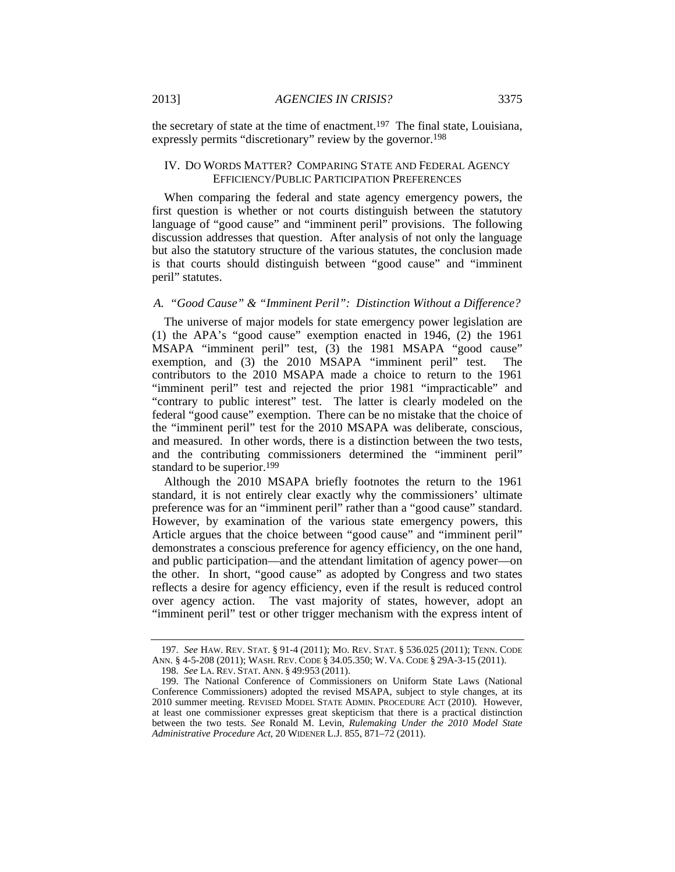the secretary of state at the time of enactment.<sup>197</sup> The final state, Louisiana, expressly permits "discretionary" review by the governor.198

# IV. DO WORDS MATTER? COMPARING STATE AND FEDERAL AGENCY EFFICIENCY/PUBLIC PARTICIPATION PREFERENCES

When comparing the federal and state agency emergency powers, the first question is whether or not courts distinguish between the statutory language of "good cause" and "imminent peril" provisions. The following discussion addresses that question. After analysis of not only the language but also the statutory structure of the various statutes, the conclusion made is that courts should distinguish between "good cause" and "imminent peril" statutes.

# *A. "Good Cause" & "Imminent Peril": Distinction Without a Difference?*

The universe of major models for state emergency power legislation are (1) the APA's "good cause" exemption enacted in 1946, (2) the 1961 MSAPA "imminent peril" test, (3) the 1981 MSAPA "good cause" exemption, and (3) the 2010 MSAPA "imminent peril" test. The contributors to the 2010 MSAPA made a choice to return to the 1961 "imminent peril" test and rejected the prior 1981 "impracticable" and "contrary to public interest" test. The latter is clearly modeled on the federal "good cause" exemption. There can be no mistake that the choice of the "imminent peril" test for the 2010 MSAPA was deliberate, conscious, and measured. In other words, there is a distinction between the two tests, and the contributing commissioners determined the "imminent peril" standard to be superior.<sup>199</sup>

Although the 2010 MSAPA briefly footnotes the return to the 1961 standard, it is not entirely clear exactly why the commissioners' ultimate preference was for an "imminent peril" rather than a "good cause" standard. However, by examination of the various state emergency powers, this Article argues that the choice between "good cause" and "imminent peril" demonstrates a conscious preference for agency efficiency, on the one hand, and public participation—and the attendant limitation of agency power—on the other. In short, "good cause" as adopted by Congress and two states reflects a desire for agency efficiency, even if the result is reduced control over agency action. The vast majority of states, however, adopt an "imminent peril" test or other trigger mechanism with the express intent of

<sup>197.</sup> *See* HAW. REV. STAT. § 91-4 (2011); MO. REV. STAT. § 536.025 (2011); TENN. CODE ANN. § 4-5-208 (2011); WASH. REV. CODE § 34.05.350; W. VA. CODE § 29A-3-15 (2011).

<sup>198.</sup> *See* LA. REV. STAT. ANN. § 49:953 (2011).

 <sup>199.</sup> The National Conference of Commissioners on Uniform State Laws (National Conference Commissioners) adopted the revised MSAPA, subject to style changes, at its 2010 summer meeting. REVISED MODEL STATE ADMIN. PROCEDURE ACT (2010). However, at least one commissioner expresses great skepticism that there is a practical distinction between the two tests. *See* Ronald M. Levin, *Rulemaking Under the 2010 Model State Administrative Procedure Act*, 20 WIDENER L.J. 855, 871–72 (2011).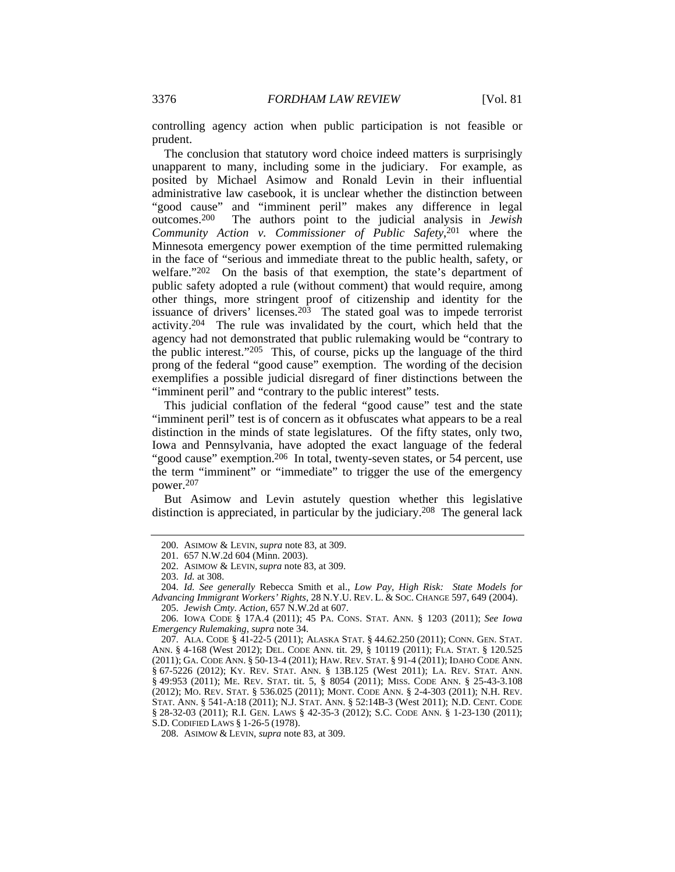controlling agency action when public participation is not feasible or prudent.

The conclusion that statutory word choice indeed matters is surprisingly unapparent to many, including some in the judiciary. For example, as posited by Michael Asimow and Ronald Levin in their influential administrative law casebook, it is unclear whether the distinction between "good cause" and "imminent peril" makes any difference in legal outcomes.200 The authors point to the judicial analysis in *Jewish Community Action v. Commissioner of Public Safety*, <sup>201</sup> where the Minnesota emergency power exemption of the time permitted rulemaking in the face of "serious and immediate threat to the public health, safety, or welfare."<sup>202</sup> On the basis of that exemption, the state's department of public safety adopted a rule (without comment) that would require, among other things, more stringent proof of citizenship and identity for the issuance of drivers' licenses.203 The stated goal was to impede terrorist activity.204 The rule was invalidated by the court, which held that the agency had not demonstrated that public rulemaking would be "contrary to the public interest."205 This, of course, picks up the language of the third prong of the federal "good cause" exemption. The wording of the decision exemplifies a possible judicial disregard of finer distinctions between the "imminent peril" and "contrary to the public interest" tests.

This judicial conflation of the federal "good cause" test and the state "imminent peril" test is of concern as it obfuscates what appears to be a real distinction in the minds of state legislatures. Of the fifty states, only two, Iowa and Pennsylvania, have adopted the exact language of the federal "good cause" exemption.206 In total, twenty-seven states, or 54 percent, use the term "imminent" or "immediate" to trigger the use of the emergency power.207

But Asimow and Levin astutely question whether this legislative distinction is appreciated, in particular by the judiciary.208 The general lack

 <sup>200.</sup> ASIMOW & LEVIN, *supra* note 83, at 309.

 <sup>201. 657</sup> N.W.2d 604 (Minn. 2003).

 <sup>202.</sup> ASIMOW & LEVIN, *supra* note 83, at 309.

<sup>203.</sup> *Id.* at 308.

<sup>204.</sup> *Id. See generally* Rebecca Smith et al., *Low Pay, High Risk: State Models for Advancing Immigrant Workers' Rights*, 28 N.Y.U. REV. L. & SOC. CHANGE 597, 649 (2004). 205. *Jewish Cmty. Action*, 657 N.W.2d at 607.

 <sup>206.</sup> IOWA CODE § 17A.4 (2011); 45 PA. CONS. STAT. ANN. § 1203 (2011); *See Iowa Emergency Rulemaking*, *supra* note 34.

 <sup>207.</sup> ALA. CODE § 41-22-5 (2011); ALASKA STAT. § 44.62.250 (2011); CONN. GEN. STAT. ANN. § 4-168 (West 2012); DEL. CODE ANN. tit. 29, § 10119 (2011); FLA. STAT. § 120.525 (2011); GA. CODE ANN. § 50-13-4 (2011); HAW. REV. STAT. § 91-4 (2011); IDAHO CODE ANN. § 67-5226 (2012); KY. REV. STAT. ANN. § 13B.125 (West 2011); LA. REV. STAT. ANN. § 49:953 (2011); ME. REV. STAT. tit. 5, § 8054 (2011); MISS. CODE ANN. § 25-43-3.108 (2012); MO. REV. STAT. § 536.025 (2011); MONT. CODE ANN. § 2-4-303 (2011); N.H. REV. STAT. ANN. § 541-A:18 (2011); N.J. STAT. ANN. § 52:14B-3 (West 2011); N.D. CENT. CODE § 28-32-03 (2011); R.I. GEN. LAWS § 42-35-3 (2012); S.C. CODE ANN. § 1-23-130 (2011); S.D. CODIFIED LAWS § 1-26-5 (1978).

 <sup>208.</sup> ASIMOW & LEVIN, *supra* note 83, at 309.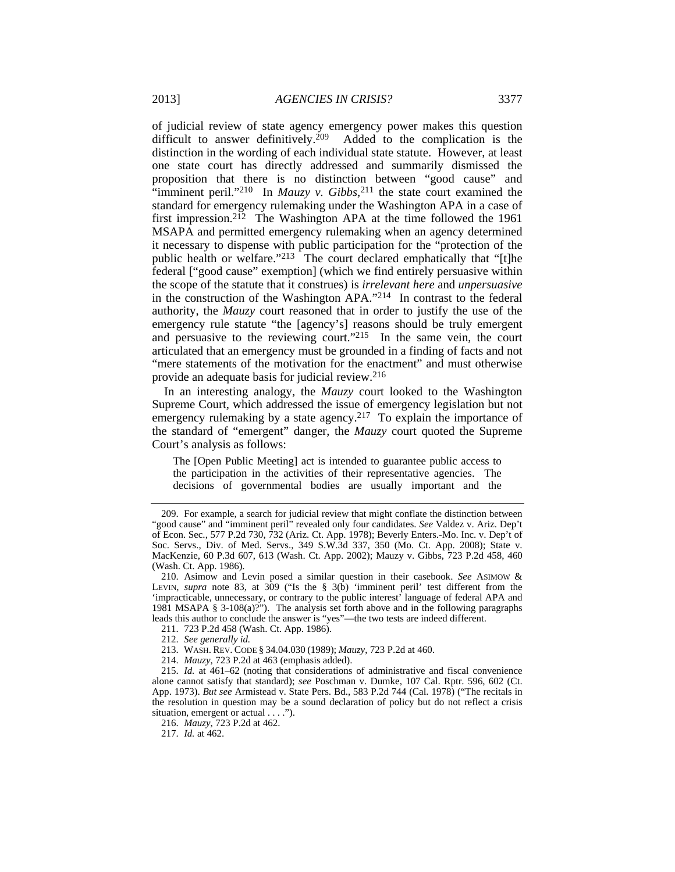of judicial review of state agency emergency power makes this question difficult to answer definitively.<sup>209</sup> Added to the complication is the distinction in the wording of each individual state statute. However, at least one state court has directly addressed and summarily dismissed the proposition that there is no distinction between "good cause" and "imminent peril."<sup>210</sup> In *Mauzy v. Gibbs*<sup>211</sup> the state court examined the standard for emergency rulemaking under the Washington APA in a case of first impression.<sup>212</sup> The Washington APA at the time followed the 1961 MSAPA and permitted emergency rulemaking when an agency determined it necessary to dispense with public participation for the "protection of the public health or welfare."213 The court declared emphatically that "[t]he federal ["good cause" exemption] (which we find entirely persuasive within the scope of the statute that it construes) is *irrelevant here* and *unpersuasive* in the construction of the Washington APA."214 In contrast to the federal authority, the *Mauzy* court reasoned that in order to justify the use of the emergency rule statute "the [agency's] reasons should be truly emergent and persuasive to the reviewing court."215 In the same vein, the court articulated that an emergency must be grounded in a finding of facts and not "mere statements of the motivation for the enactment" and must otherwise provide an adequate basis for judicial review.216

In an interesting analogy, the *Mauzy* court looked to the Washington Supreme Court, which addressed the issue of emergency legislation but not emergency rulemaking by a state agency.<sup>217</sup> To explain the importance of the standard of "emergent" danger, the *Mauzy* court quoted the Supreme Court's analysis as follows:

The [Open Public Meeting] act is intended to guarantee public access to the participation in the activities of their representative agencies. The decisions of governmental bodies are usually important and the

 <sup>209.</sup> For example, a search for judicial review that might conflate the distinction between "good cause" and "imminent peril" revealed only four candidates. *See* Valdez v. Ariz. Dep't of Econ. Sec., 577 P.2d 730, 732 (Ariz. Ct. App. 1978); Beverly Enters.-Mo. Inc. v. Dep't of Soc. Servs., Div. of Med. Servs., 349 S.W.3d 337, 350 (Mo. Ct. App. 2008); State v. MacKenzie, 60 P.3d 607, 613 (Wash. Ct. App. 2002); Mauzy v. Gibbs, 723 P.2d 458, 460 (Wash. Ct. App. 1986).

 <sup>210.</sup> Asimow and Levin posed a similar question in their casebook. *See* ASIMOW & LEVIN, *supra* note 83, at 309 ("Is the § 3(b) 'imminent peril' test different from the 'impracticable, unnecessary, or contrary to the public interest' language of federal APA and 1981 MSAPA § 3-108(a)?"). The analysis set forth above and in the following paragraphs leads this author to conclude the answer is "yes"—the two tests are indeed different.

 <sup>211. 723</sup> P.2d 458 (Wash. Ct. App. 1986).

<sup>212.</sup> *See generally id.*

 <sup>213.</sup> WASH. REV. CODE § 34.04.030 (1989); *Mauzy*, 723 P.2d at 460.

<sup>214.</sup> *Mauzy*, 723 P.2d at 463 (emphasis added).

<sup>215.</sup> *Id.* at 461–62 (noting that considerations of administrative and fiscal convenience alone cannot satisfy that standard); *see* Poschman v. Dumke, 107 Cal. Rptr. 596, 602 (Ct. App. 1973). *But see* Armistead v. State Pers. Bd., 583 P.2d 744 (Cal. 1978) ("The recitals in the resolution in question may be a sound declaration of policy but do not reflect a crisis situation, emergent or actual . . . .").

<sup>216.</sup> *Mauzy*, 723 P.2d at 462.

<sup>217.</sup> *Id.* at 462.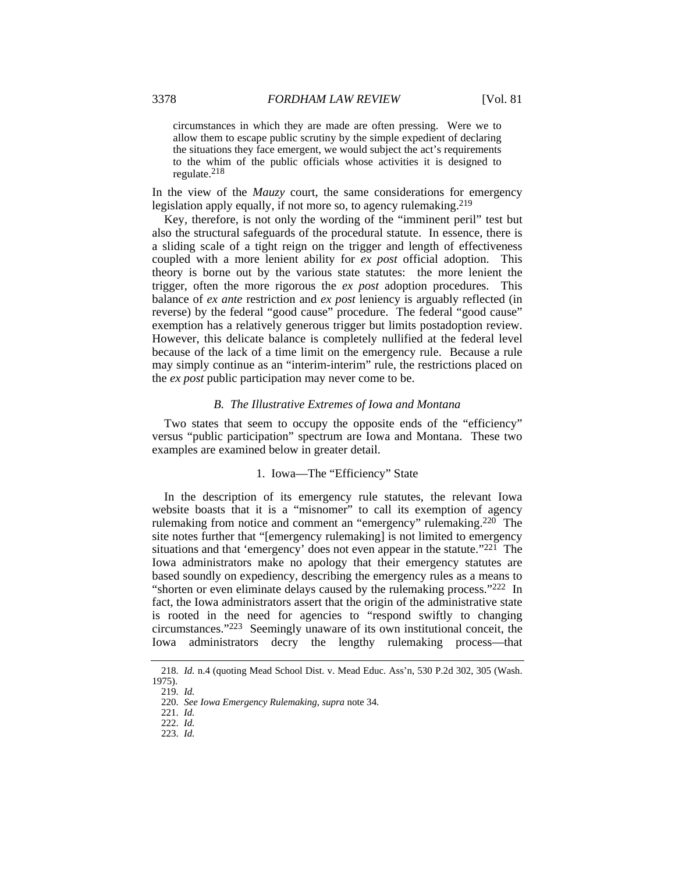circumstances in which they are made are often pressing. Were we to allow them to escape public scrutiny by the simple expedient of declaring the situations they face emergent, we would subject the act's requirements to the whim of the public officials whose activities it is designed to regulate.218

In the view of the *Mauzy* court, the same considerations for emergency legislation apply equally, if not more so, to agency rulemaking.<sup>219</sup>

Key, therefore, is not only the wording of the "imminent peril" test but also the structural safeguards of the procedural statute. In essence, there is a sliding scale of a tight reign on the trigger and length of effectiveness coupled with a more lenient ability for *ex post* official adoption. This theory is borne out by the various state statutes: the more lenient the trigger, often the more rigorous the *ex post* adoption procedures. This balance of *ex ante* restriction and *ex post* leniency is arguably reflected (in reverse) by the federal "good cause" procedure. The federal "good cause" exemption has a relatively generous trigger but limits postadoption review. However, this delicate balance is completely nullified at the federal level because of the lack of a time limit on the emergency rule. Because a rule may simply continue as an "interim-interim" rule, the restrictions placed on the *ex post* public participation may never come to be.

# *B. The Illustrative Extremes of Iowa and Montana*

Two states that seem to occupy the opposite ends of the "efficiency" versus "public participation" spectrum are Iowa and Montana. These two examples are examined below in greater detail.

#### 1. Iowa—The "Efficiency" State

In the description of its emergency rule statutes, the relevant Iowa website boasts that it is a "misnomer" to call its exemption of agency rulemaking from notice and comment an "emergency" rulemaking.220 The site notes further that "[emergency rulemaking] is not limited to emergency situations and that 'emergency' does not even appear in the statute."221 The Iowa administrators make no apology that their emergency statutes are based soundly on expediency, describing the emergency rules as a means to "shorten or even eliminate delays caused by the rulemaking process."222 In fact, the Iowa administrators assert that the origin of the administrative state is rooted in the need for agencies to "respond swiftly to changing circumstances."223 Seemingly unaware of its own institutional conceit, the Iowa administrators decry the lengthy rulemaking process—that

<sup>218.</sup> *Id.* n.4 (quoting Mead School Dist. v. Mead Educ. Ass'n, 530 P.2d 302, 305 (Wash. 1975).

<sup>219.</sup> *Id.*

<sup>220.</sup> *See Iowa Emergency Rulemaking*, *supra* note 34.

<sup>221.</sup> *Id.*

<sup>222.</sup> *Id.*

<sup>223.</sup> *Id.*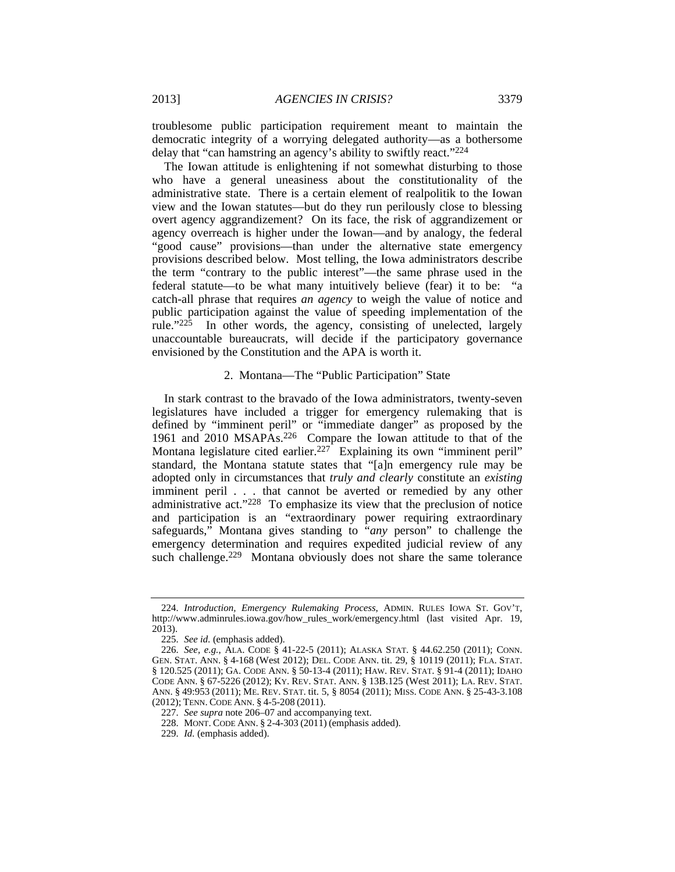troublesome public participation requirement meant to maintain the democratic integrity of a worrying delegated authority—as a bothersome delay that "can hamstring an agency's ability to swiftly react."224

The Iowan attitude is enlightening if not somewhat disturbing to those who have a general uneasiness about the constitutionality of the administrative state. There is a certain element of realpolitik to the Iowan view and the Iowan statutes—but do they run perilously close to blessing overt agency aggrandizement? On its face, the risk of aggrandizement or agency overreach is higher under the Iowan—and by analogy, the federal "good cause" provisions—than under the alternative state emergency provisions described below. Most telling, the Iowa administrators describe the term "contrary to the public interest"—the same phrase used in the federal statute—to be what many intuitively believe (fear) it to be: "a catch-all phrase that requires *an agency* to weigh the value of notice and public participation against the value of speeding implementation of the rule."225 In other words, the agency, consisting of unelected, largely unaccountable bureaucrats, will decide if the participatory governance envisioned by the Constitution and the APA is worth it.

#### 2. Montana—The "Public Participation" State

In stark contrast to the bravado of the Iowa administrators, twenty-seven legislatures have included a trigger for emergency rulemaking that is defined by "imminent peril" or "immediate danger" as proposed by the 1961 and 2010 MSAPAs.226 Compare the Iowan attitude to that of the Montana legislature cited earlier.<sup>227</sup> Explaining its own "imminent peril" standard, the Montana statute states that "[a]n emergency rule may be adopted only in circumstances that *truly and clearly* constitute an *existing* imminent peril *. . .* that cannot be averted or remedied by any other administrative act."228 To emphasize its view that the preclusion of notice and participation is an "extraordinary power requiring extraordinary safeguards," Montana gives standing to "*any* person" to challenge the emergency determination and requires expedited judicial review of any such challenge.<sup>229</sup> Montana obviously does not share the same tolerance

<sup>224.</sup> *Introduction, Emergency Rulemaking Process*, ADMIN. RULES IOWA ST. GOV'T, http://www.adminrules.iowa.gov/how\_rules\_work/emergency.html (last visited Apr. 19, 2013).

<sup>225.</sup> *See id.* (emphasis added).

<sup>226.</sup> *See, e.g.*, ALA. CODE § 41-22-5 (2011); ALASKA STAT. § 44.62.250 (2011); CONN. GEN. STAT. ANN. § 4-168 (West 2012); DEL. CODE ANN. tit. 29, § 10119 (2011); FLA. STAT. § 120.525 (2011); GA. CODE ANN. § 50-13-4 (2011); HAW. REV. STAT. § 91-4 (2011); IDAHO CODE ANN. § 67-5226 (2012); KY. REV. STAT. ANN. § 13B.125 (West 2011); LA. REV. STAT. ANN. § 49:953 (2011); ME. REV. STAT. tit. 5, § 8054 (2011); MISS. CODE ANN. § 25-43-3.108 (2012); TENN. CODE ANN. § 4-5-208 (2011).

<sup>227.</sup> *See supra* note 206–07 and accompanying text.

 <sup>228.</sup> MONT. CODE ANN. § 2-4-303 (2011) (emphasis added).

<sup>229.</sup> *Id.* (emphasis added).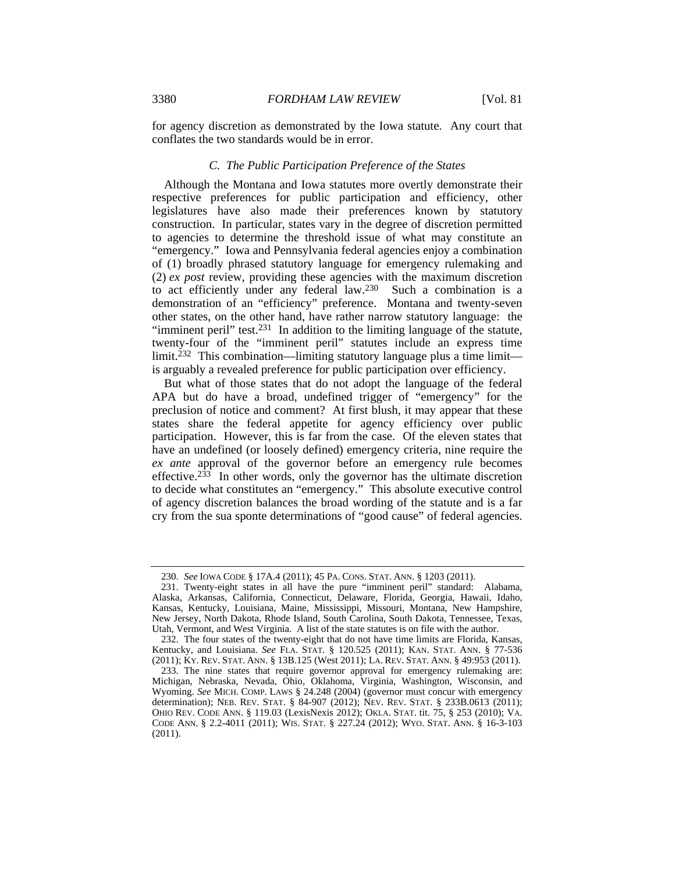for agency discretion as demonstrated by the Iowa statute. Any court that conflates the two standards would be in error.

# *C. The Public Participation Preference of the States*

Although the Montana and Iowa statutes more overtly demonstrate their respective preferences for public participation and efficiency, other legislatures have also made their preferences known by statutory construction. In particular, states vary in the degree of discretion permitted to agencies to determine the threshold issue of what may constitute an "emergency." Iowa and Pennsylvania federal agencies enjoy a combination of (1) broadly phrased statutory language for emergency rulemaking and (2) *ex post* review, providing these agencies with the maximum discretion to act efficiently under any federal law.230 Such a combination is a demonstration of an "efficiency" preference. Montana and twenty-seven other states, on the other hand, have rather narrow statutory language: the "imminent peril" test.231 In addition to the limiting language of the statute, twenty-four of the "imminent peril" statutes include an express time  $limit.<sup>232</sup>$  This combination—limiting statutory language plus a time limit is arguably a revealed preference for public participation over efficiency.

But what of those states that do not adopt the language of the federal APA but do have a broad, undefined trigger of "emergency" for the preclusion of notice and comment? At first blush, it may appear that these states share the federal appetite for agency efficiency over public participation. However, this is far from the case. Of the eleven states that have an undefined (or loosely defined) emergency criteria, nine require the *ex ante* approval of the governor before an emergency rule becomes effective.233 In other words, only the governor has the ultimate discretion to decide what constitutes an "emergency." This absolute executive control of agency discretion balances the broad wording of the statute and is a far cry from the sua sponte determinations of "good cause" of federal agencies.

<sup>230.</sup> *See* IOWA CODE § 17A.4 (2011); 45 PA. CONS. STAT. ANN. § 1203 (2011).

 <sup>231.</sup> Twenty-eight states in all have the pure "imminent peril" standard: Alabama, Alaska, Arkansas, California, Connecticut, Delaware, Florida, Georgia, Hawaii, Idaho, Kansas, Kentucky, Louisiana, Maine, Mississippi, Missouri, Montana, New Hampshire, New Jersey, North Dakota, Rhode Island, South Carolina, South Dakota, Tennessee, Texas, Utah, Vermont, and West Virginia. A list of the state statutes is on file with the author.

 <sup>232.</sup> The four states of the twenty-eight that do not have time limits are Florida, Kansas, Kentucky, and Louisiana. *See* FLA. STAT. § 120.525 (2011); KAN. STAT. ANN. § 77-536 (2011); KY. REV. STAT. ANN. § 13B.125 (West 2011); LA. REV. STAT. ANN. § 49:953 (2011).

 <sup>233.</sup> The nine states that require governor approval for emergency rulemaking are: Michigan, Nebraska, Nevada, Ohio, Oklahoma, Virginia, Washington, Wisconsin, and Wyoming. *See* MICH. COMP. LAWS § 24.248 (2004) (governor must concur with emergency determination); NEB. REV. STAT. § 84-907 (2012); NEV. REV. STAT. § 233B.0613 (2011); OHIO REV. CODE ANN. § 119.03 (LexisNexis 2012); OKLA. STAT. tit. 75, § 253 (2010); VA. CODE ANN. § 2.2-4011 (2011); WIS. STAT. § 227.24 (2012); WYO. STAT. ANN. § 16-3-103 (2011).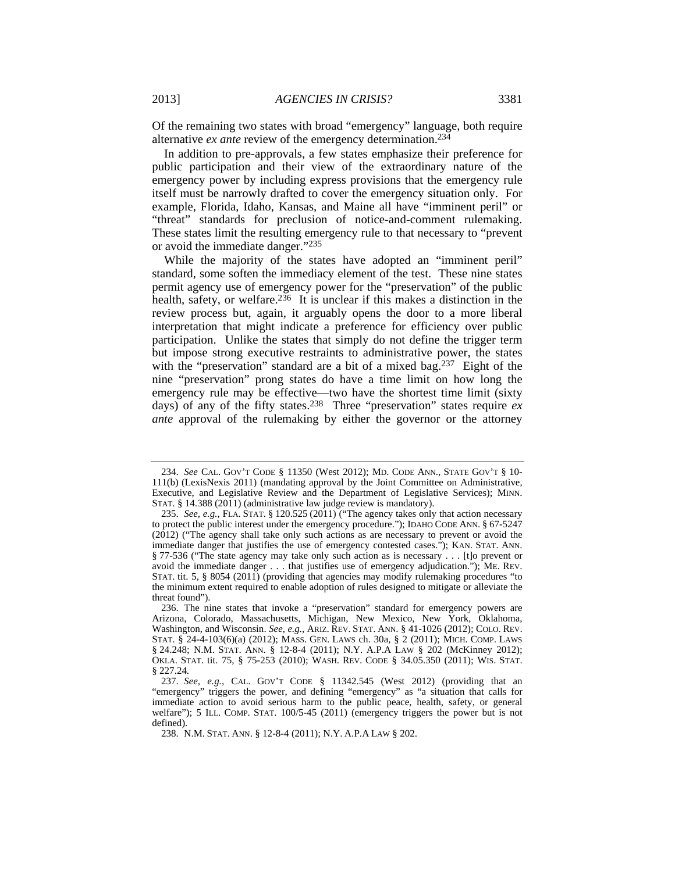Of the remaining two states with broad "emergency" language, both require alternative *ex ante* review of the emergency determination.234

In addition to pre-approvals, a few states emphasize their preference for public participation and their view of the extraordinary nature of the emergency power by including express provisions that the emergency rule itself must be narrowly drafted to cover the emergency situation only. For example, Florida, Idaho, Kansas, and Maine all have "imminent peril" or "threat" standards for preclusion of notice-and-comment rulemaking. These states limit the resulting emergency rule to that necessary to "prevent or avoid the immediate danger."235

While the majority of the states have adopted an "imminent peril" standard, some soften the immediacy element of the test. These nine states permit agency use of emergency power for the "preservation" of the public health, safety, or welfare.<sup>236</sup> It is unclear if this makes a distinction in the review process but, again, it arguably opens the door to a more liberal interpretation that might indicate a preference for efficiency over public participation. Unlike the states that simply do not define the trigger term but impose strong executive restraints to administrative power, the states with the "preservation" standard are a bit of a mixed bag.237Eight of the nine "preservation" prong states do have a time limit on how long the emergency rule may be effective—two have the shortest time limit (sixty days) of any of the fifty states.238 Three "preservation" states require *ex ante* approval of the rulemaking by either the governor or the attorney

<sup>234.</sup> *See* CAL. GOV'T CODE § 11350 (West 2012); MD. CODE ANN., STATE GOV'T § 10- 111(b) (LexisNexis 2011) (mandating approval by the Joint Committee on Administrative, Executive, and Legislative Review and the Department of Legislative Services); MINN. STAT. § 14.388 (2011) (administrative law judge review is mandatory).

<sup>235.</sup> *See, e.g.*, FLA. STAT. § 120.525 (2011) ("The agency takes only that action necessary to protect the public interest under the emergency procedure."); IDAHO CODE ANN. § 67-5247 (2012) ("The agency shall take only such actions as are necessary to prevent or avoid the immediate danger that justifies the use of emergency contested cases."); KAN. STAT. ANN. § 77-536 ("The state agency may take only such action as is necessary . . . [t]o prevent or avoid the immediate danger . . . that justifies use of emergency adjudication."); ME. REV. STAT. tit. 5, § 8054 (2011) (providing that agencies may modify rulemaking procedures "to the minimum extent required to enable adoption of rules designed to mitigate or alleviate the threat found").

 <sup>236.</sup> The nine states that invoke a "preservation" standard for emergency powers are Arizona, Colorado, Massachusetts, Michigan, New Mexico, New York, Oklahoma, Washington, and Wisconsin. *See, e.g.*, ARIZ. REV. STAT. ANN. § 41-1026 (2012); COLO. REV. STAT. § 24-4-103(6)(a) (2012); MASS. GEN. LAWS ch. 30a, § 2 (2011); MICH. COMP. LAWS § 24.248; N.M. STAT. ANN. § 12-8-4 (2011); N.Y. A.P.A LAW § 202 (McKinney 2012); OKLA. STAT. tit. 75, § 75-253 (2010); WASH. REV. CODE § 34.05.350 (2011); WIS. STAT. § 227.24.

<sup>237.</sup> *See, e.g.*, CAL. GOV'T CODE § 11342.545 (West 2012) (providing that an "emergency" triggers the power, and defining "emergency" as "a situation that calls for immediate action to avoid serious harm to the public peace, health, safety, or general welfare"); 5 ILL. COMP. STAT. 100/5-45 (2011) (emergency triggers the power but is not defined).

 <sup>238.</sup> N.M. STAT. ANN. § 12-8-4 (2011); N.Y. A.P.A LAW § 202.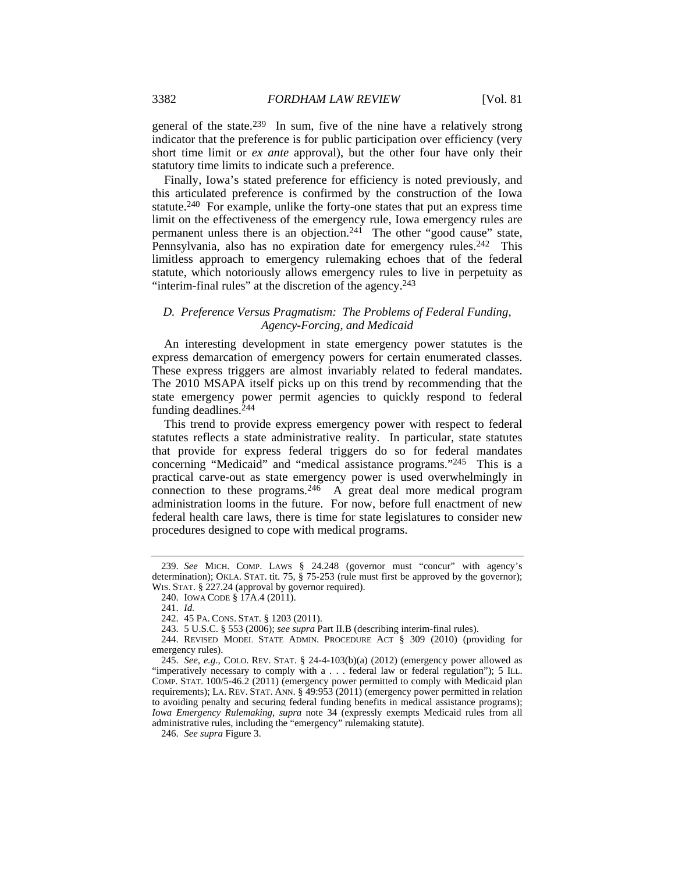general of the state.239 In sum, five of the nine have a relatively strong indicator that the preference is for public participation over efficiency (very short time limit or *ex ante* approval), but the other four have only their statutory time limits to indicate such a preference.

Finally, Iowa's stated preference for efficiency is noted previously, and this articulated preference is confirmed by the construction of the Iowa statute.240 For example, unlike the forty-one states that put an express time limit on the effectiveness of the emergency rule, Iowa emergency rules are permanent unless there is an objection.241 The other "good cause" state, Pennsylvania, also has no expiration date for emergency rules.<sup>242</sup> This limitless approach to emergency rulemaking echoes that of the federal statute, which notoriously allows emergency rules to live in perpetuity as "interim-final rules" at the discretion of the agency.<sup>243</sup>

# *D. Preference Versus Pragmatism: The Problems of Federal Funding, Agency-Forcing, and Medicaid*

An interesting development in state emergency power statutes is the express demarcation of emergency powers for certain enumerated classes. These express triggers are almost invariably related to federal mandates. The 2010 MSAPA itself picks up on this trend by recommending that the state emergency power permit agencies to quickly respond to federal funding deadlines.244

This trend to provide express emergency power with respect to federal statutes reflects a state administrative reality. In particular, state statutes that provide for express federal triggers do so for federal mandates concerning "Medicaid" and "medical assistance programs."245 This is a practical carve-out as state emergency power is used overwhelmingly in connection to these programs.  $24\overline{6}$  A great deal more medical program administration looms in the future. For now, before full enactment of new federal health care laws, there is time for state legislatures to consider new procedures designed to cope with medical programs.

<sup>239.</sup> *See* MICH. COMP. LAWS § 24.248 (governor must "concur" with agency's determination); OKLA. STAT. tit. 75, § 75-253 (rule must first be approved by the governor); WIS. STAT. § 227.24 (approval by governor required).

 <sup>240.</sup> IOWA CODE § 17A.4 (2011).

<sup>241.</sup> *Id.*

 <sup>242. 45</sup> PA. CONS. STAT. § 1203 (2011).

 <sup>243. 5</sup> U.S.C. § 553 (2006); *see supra* Part II.B (describing interim-final rules).

 <sup>244.</sup> REVISED MODEL STATE ADMIN. PROCEDURE ACT § 309 (2010) (providing for emergency rules).

<sup>245.</sup> *See, e.g.*, COLO. REV. STAT. § 24-4-103(b)(a) (2012) (emergency power allowed as "imperatively necessary to comply with a . . . federal law or federal regulation"); 5 ILL. COMP. STAT. 100/5-46.2 (2011) (emergency power permitted to comply with Medicaid plan requirements); LA. REV. STAT. ANN. § 49:953 (2011) (emergency power permitted in relation to avoiding penalty and securing federal funding benefits in medical assistance programs); *Iowa Emergency Rulemaking*, *supra* note 34 (expressly exempts Medicaid rules from all administrative rules, including the "emergency" rulemaking statute).

<sup>246.</sup> *See supra* Figure 3.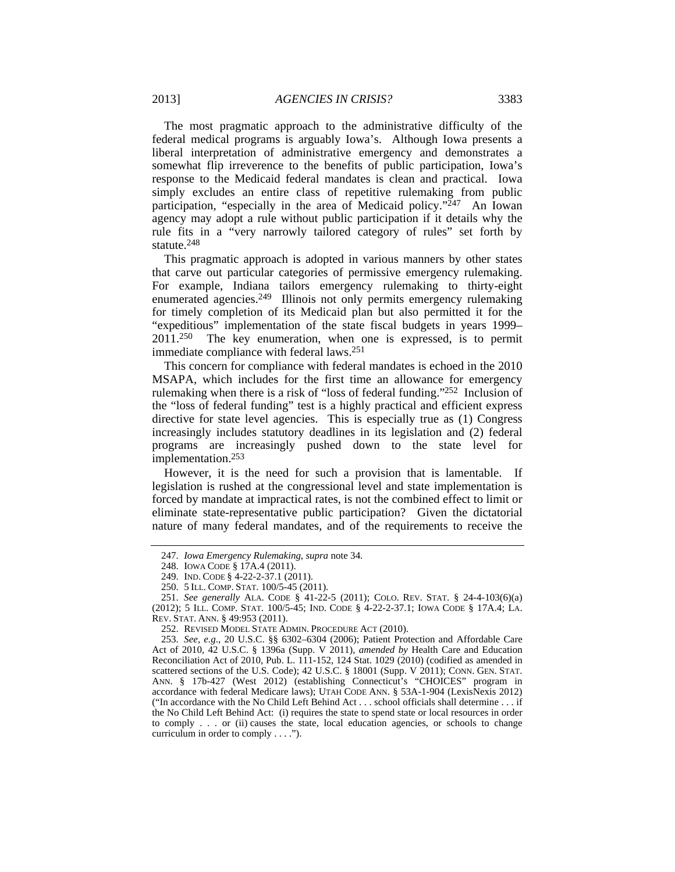The most pragmatic approach to the administrative difficulty of the federal medical programs is arguably Iowa's. Although Iowa presents a liberal interpretation of administrative emergency and demonstrates a somewhat flip irreverence to the benefits of public participation, Iowa's response to the Medicaid federal mandates is clean and practical. Iowa simply excludes an entire class of repetitive rulemaking from public participation, "especially in the area of Medicaid policy."247 An Iowan agency may adopt a rule without public participation if it details why the rule fits in a "very narrowly tailored category of rules" set forth by statute.248

This pragmatic approach is adopted in various manners by other states that carve out particular categories of permissive emergency rulemaking. For example, Indiana tailors emergency rulemaking to thirty-eight enumerated agencies.249 Illinois not only permits emergency rulemaking for timely completion of its Medicaid plan but also permitted it for the "expeditious" implementation of the state fiscal budgets in years 1999– 2011.250 The key enumeration, when one is expressed, is to permit immediate compliance with federal laws.251

This concern for compliance with federal mandates is echoed in the 2010 MSAPA, which includes for the first time an allowance for emergency rulemaking when there is a risk of "loss of federal funding."252 Inclusion of the "loss of federal funding" test is a highly practical and efficient express directive for state level agencies. This is especially true as (1) Congress increasingly includes statutory deadlines in its legislation and (2) federal programs are increasingly pushed down to the state level for implementation.253

However, it is the need for such a provision that is lamentable. If legislation is rushed at the congressional level and state implementation is forced by mandate at impractical rates, is not the combined effect to limit or eliminate state-representative public participation? Given the dictatorial nature of many federal mandates, and of the requirements to receive the

<sup>247.</sup> *Iowa Emergency Rulemaking*, *supra* note 34.

 <sup>248.</sup> IOWA CODE § 17A.4 (2011).

 <sup>249.</sup> IND. CODE § 4-22-2-37.1 (2011).

 <sup>250. 5</sup> ILL. COMP. STAT. 100/5-45 (2011).

<sup>251.</sup> *See generally* ALA. CODE § 41-22-5 (2011); COLO. REV. STAT. § 24-4-103(6)(a) (2012); 5 ILL. COMP. STAT. 100/5-45; IND. CODE § 4-22-2-37.1; IOWA CODE § 17A.4; LA. REV. STAT. ANN. § 49:953 (2011).

 <sup>252.</sup> REVISED MODEL STATE ADMIN. PROCEDURE ACT (2010).

<sup>253.</sup> *See, e.g*., 20 U.S.C. §§ 6302–6304 (2006); Patient Protection and Affordable Care Act of 2010, 42 U.S.C. § 1396a (Supp. V 2011), *amended by* Health Care and Education Reconciliation Act of 2010, Pub. L. 111-152, 124 Stat. 1029 (2010) (codified as amended in scattered sections of the U.S. Code); 42 U.S.C. § 18001 (Supp. V 2011); CONN. GEN. STAT. ANN. § 17b-427 (West 2012) (establishing Connecticut's "CHOICES" program in accordance with federal Medicare laws); UTAH CODE ANN. § 53A-1-904 (LexisNexis 2012) ("In accordance with the No Child Left Behind Act . . . school officials shall determine . . . if the No Child Left Behind Act: (i) requires the state to spend state or local resources in order to comply . . . or (ii) causes the state, local education agencies, or schools to change curriculum in order to comply . . . .").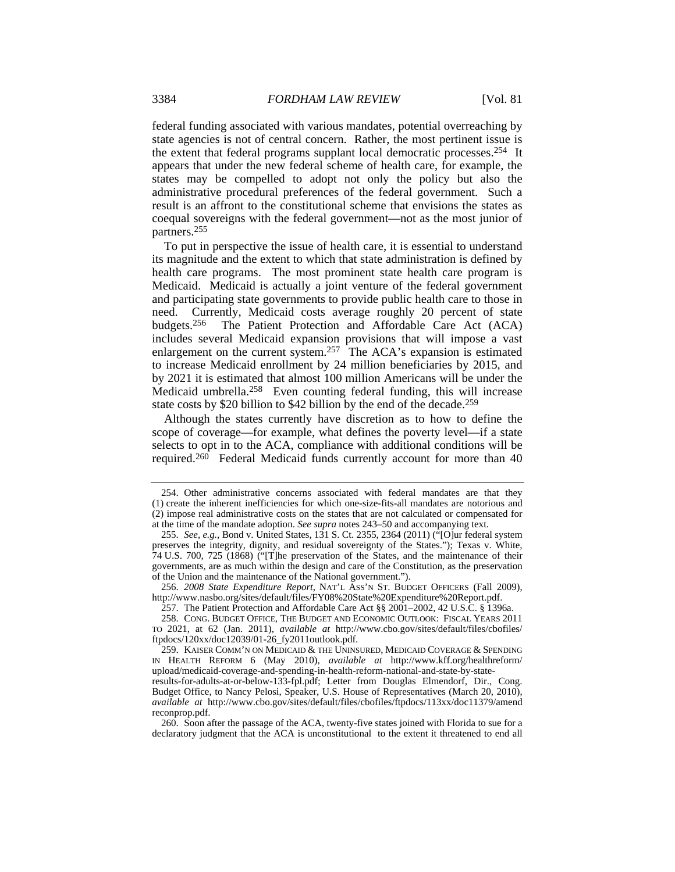federal funding associated with various mandates, potential overreaching by state agencies is not of central concern. Rather, the most pertinent issue is the extent that federal programs supplant local democratic processes.254 It appears that under the new federal scheme of health care, for example, the states may be compelled to adopt not only the policy but also the administrative procedural preferences of the federal government. Such a result is an affront to the constitutional scheme that envisions the states as coequal sovereigns with the federal government—not as the most junior of partners.255

To put in perspective the issue of health care, it is essential to understand its magnitude and the extent to which that state administration is defined by health care programs. The most prominent state health care program is Medicaid. Medicaid is actually a joint venture of the federal government and participating state governments to provide public health care to those in need. Currently, Medicaid costs average roughly 20 percent of state budgets.256 The Patient Protection and Affordable Care Act (ACA) includes several Medicaid expansion provisions that will impose a vast enlargement on the current system.257 The ACA's expansion is estimated to increase Medicaid enrollment by 24 million beneficiaries by 2015, and by 2021 it is estimated that almost 100 million Americans will be under the Medicaid umbrella.<sup>258</sup> Even counting federal funding, this will increase state costs by \$20 billion to \$42 billion by the end of the decade.<sup>259</sup>

Although the states currently have discretion as to how to define the scope of coverage—for example, what defines the poverty level—if a state selects to opt in to the ACA, compliance with additional conditions will be required.260 Federal Medicaid funds currently account for more than 40

256. *2008 State Expenditure Report*, NAT'L ASS'N ST. BUDGET OFFICERS (Fall 2009), http://www.nasbo.org/sites/default/files/FY08%20State%20Expenditure%20Report.pdf.

257. The Patient Protection and Affordable Care Act §§ 2001–2002, 42 U.S.C. § 1396a.

 <sup>254.</sup> Other administrative concerns associated with federal mandates are that they (1) create the inherent inefficiencies for which one-size-fits-all mandates are notorious and (2) impose real administrative costs on the states that are not calculated or compensated for at the time of the mandate adoption. *See supra* notes 243–50 and accompanying text.

<sup>255.</sup> *See, e.g.*, Bond v. United States, 131 S. Ct. 2355, 2364 (2011) ("[O]ur federal system preserves the integrity, dignity, and residual sovereignty of the States."); Texas v. White, 74 U.S. 700, 725 (1868) ("[T]he preservation of the States, and the maintenance of their governments, are as much within the design and care of the Constitution, as the preservation of the Union and the maintenance of the National government.").

 <sup>258.</sup> CONG. BUDGET OFFICE, THE BUDGET AND ECONOMIC OUTLOOK: FISCAL YEARS 2011 TO 2021, at 62 (Jan. 2011), *available at* http://www.cbo.gov/sites/default/files/cbofiles/ ftpdocs/120xx/doc12039/01-26\_fy2011outlook.pdf.

 <sup>259.</sup> KAISER COMM'N ON MEDICAID & THE UNINSURED, MEDICAID COVERAGE & SPENDING IN HEALTH REFORM 6 (May 2010), *available at* http://www.kff.org/healthreform/ upload/medicaid-coverage-and-spending-in-health-reform-national-and-state-by-state-

results-for-adults-at-or-below-133-fpl.pdf; Letter from Douglas Elmendorf, Dir., Cong. Budget Office, to Nancy Pelosi, Speaker, U.S. House of Representatives (March 20, 2010), *available at* http://www.cbo.gov/sites/default/files/cbofiles/ftpdocs/113xx/doc11379/amend reconprop.pdf.

 <sup>260.</sup> Soon after the passage of the ACA, twenty-five states joined with Florida to sue for a declaratory judgment that the ACA is unconstitutional to the extent it threatened to end all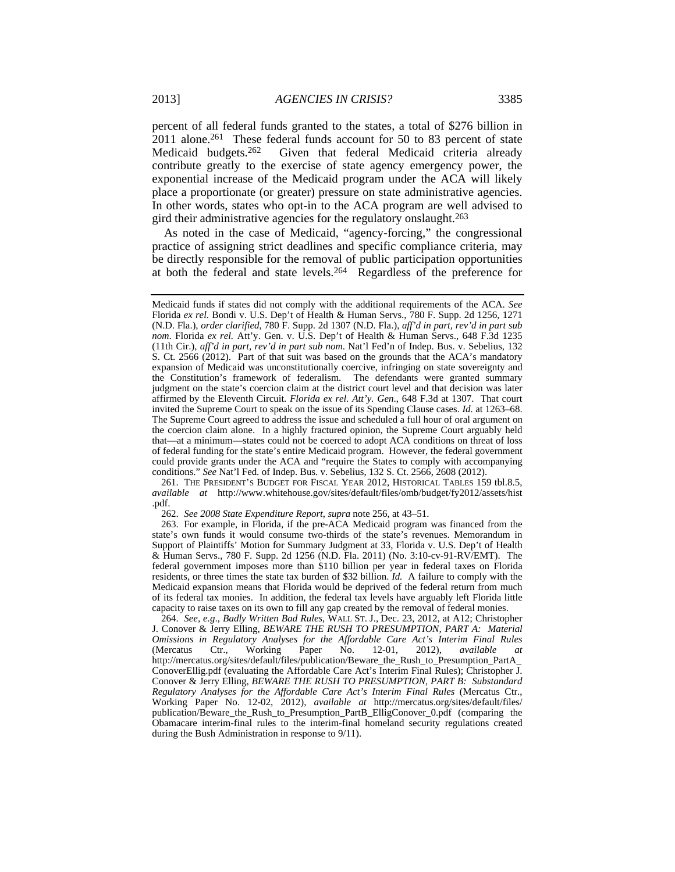percent of all federal funds granted to the states, a total of \$276 billion in 2011 alone.<sup>261</sup> These federal funds account for 50 to 83 percent of state Medicaid budgets.262 Given that federal Medicaid criteria already contribute greatly to the exercise of state agency emergency power, the exponential increase of the Medicaid program under the ACA will likely place a proportionate (or greater) pressure on state administrative agencies. In other words, states who opt-in to the ACA program are well advised to gird their administrative agencies for the regulatory onslaught.263

As noted in the case of Medicaid, "agency-forcing," the congressional practice of assigning strict deadlines and specific compliance criteria, may be directly responsible for the removal of public participation opportunities at both the federal and state levels.264 Regardless of the preference for

 261. THE PRESIDENT'S BUDGET FOR FISCAL YEAR 2012, HISTORICAL TABLES 159 tbl.8.5, *available at* http://www.whitehouse.gov/sites/default/files/omb/budget/fy2012/assets/hist .pdf.

262. *See 2008 State Expenditure Report, supra* note 256, at 43–51.

 263. For example, in Florida, if the pre-ACA Medicaid program was financed from the state's own funds it would consume two-thirds of the state's revenues. Memorandum in Support of Plaintiffs' Motion for Summary Judgment at 33, Florida v. U.S. Dep't of Health & Human Servs., 780 F. Supp. 2d 1256 (N.D. Fla. 2011) (No. 3:10-cv-91-RV/EMT). The federal government imposes more than \$110 billion per year in federal taxes on Florida residents, or three times the state tax burden of \$32 billion. *Id.* A failure to comply with the Medicaid expansion means that Florida would be deprived of the federal return from much of its federal tax monies. In addition, the federal tax levels have arguably left Florida little capacity to raise taxes on its own to fill any gap created by the removal of federal monies.

264. *See, e.g*., *Badly Written Bad Rules*, WALL ST. J., Dec. 23, 2012, at A12; Christopher J. Conover & Jerry Elling, *BEWARE THE RUSH TO PRESUMPTION, PART A: Material Omissions in Regulatory Analyses for the Affordable Care Act's Interim Final Rules* (Mercatus Ctr., Working Paper No. 12-01, 2012), *available at* http://mercatus.org/sites/default/files/publication/Beware\_the\_Rush\_to\_Presumption\_PartA\_ ConoverEllig.pdf (evaluating the Affordable Care Act's Interim Final Rules); Christopher J. Conover & Jerry Elling, *BEWARE THE RUSH TO PRESUMPTION, PART B: Substandard Regulatory Analyses for the Affordable Care Act's Interim Final Rules* (Mercatus Ctr., Working Paper No. 12-02, 2012), *available at* http://mercatus.org/sites/default/files/ publication/Beware\_the\_Rush\_to\_Presumption\_PartB\_ElligConover\_0.pdf (comparing the Obamacare interim-final rules to the interim-final homeland security regulations created during the Bush Administration in response to 9/11).

Medicaid funds if states did not comply with the additional requirements of the ACA. *See* Florida *ex rel.* Bondi v. U.S. Dep't of Health & Human Servs., 780 F. Supp. 2d 1256, 1271 (N.D. Fla.), *order clarified*, 780 F. Supp. 2d 1307 (N.D. Fla.), *aff'd in part, rev'd in part sub nom*. Florida *ex rel.* Att'y. Gen. v. U.S. Dep't of Health & Human Servs., 648 F.3d 1235 (11th Cir.), *aff'd in part, rev'd in part sub nom*. Nat'l Fed'n of Indep. Bus. v. Sebelius, 132 S. Ct. 2566 (2012). Part of that suit was based on the grounds that the ACA's mandatory expansion of Medicaid was unconstitutionally coercive, infringing on state sovereignty and the Constitution's framework of federalism. The defendants were granted summary judgment on the state's coercion claim at the district court level and that decision was later affirmed by the Eleventh Circuit. *Florida ex rel. Att'y. Gen*., 648 F.3d at 1307. That court invited the Supreme Court to speak on the issue of its Spending Clause cases. *Id.* at 1263–68. The Supreme Court agreed to address the issue and scheduled a full hour of oral argument on the coercion claim alone. In a highly fractured opinion, the Supreme Court arguably held that—at a minimum—states could not be coerced to adopt ACA conditions on threat of loss of federal funding for the state's entire Medicaid program. However, the federal government could provide grants under the ACA and "require the States to comply with accompanying conditions." *See* Nat'l Fed. of Indep. Bus. v. Sebelius, 132 S. Ct. 2566, 2608 (2012).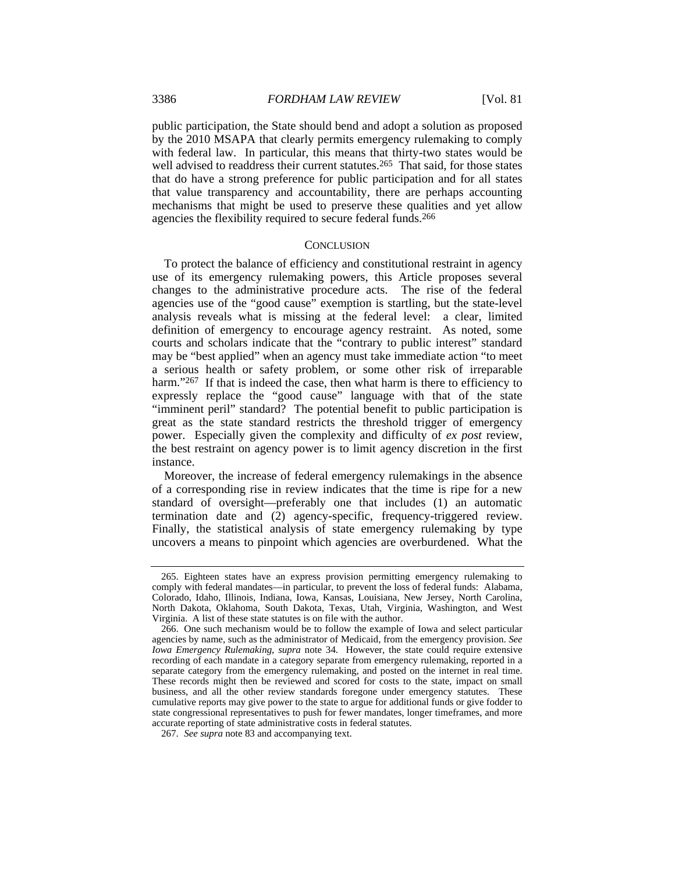public participation, the State should bend and adopt a solution as proposed by the 2010 MSAPA that clearly permits emergency rulemaking to comply with federal law. In particular, this means that thirty-two states would be well advised to readdress their current statutes.<sup>265</sup> That said, for those states that do have a strong preference for public participation and for all states that value transparency and accountability, there are perhaps accounting mechanisms that might be used to preserve these qualities and yet allow agencies the flexibility required to secure federal funds.266

#### **CONCLUSION**

To protect the balance of efficiency and constitutional restraint in agency use of its emergency rulemaking powers, this Article proposes several changes to the administrative procedure acts. The rise of the federal agencies use of the "good cause" exemption is startling, but the state-level analysis reveals what is missing at the federal level: a clear, limited definition of emergency to encourage agency restraint. As noted, some courts and scholars indicate that the "contrary to public interest" standard may be "best applied" when an agency must take immediate action "to meet a serious health or safety problem, or some other risk of irreparable harm."<sup>267</sup> If that is indeed the case, then what harm is there to efficiency to expressly replace the "good cause" language with that of the state "imminent peril" standard? The potential benefit to public participation is great as the state standard restricts the threshold trigger of emergency power. Especially given the complexity and difficulty of *ex post* review, the best restraint on agency power is to limit agency discretion in the first instance.

Moreover, the increase of federal emergency rulemakings in the absence of a corresponding rise in review indicates that the time is ripe for a new standard of oversight—preferably one that includes (1) an automatic termination date and (2) agency-specific, frequency-triggered review. Finally, the statistical analysis of state emergency rulemaking by type uncovers a means to pinpoint which agencies are overburdened.What the

 <sup>265.</sup> Eighteen states have an express provision permitting emergency rulemaking to comply with federal mandates—in particular, to prevent the loss of federal funds: Alabama, Colorado, Idaho, Illinois, Indiana, Iowa, Kansas, Louisiana, New Jersey, North Carolina, North Dakota, Oklahoma, South Dakota, Texas, Utah, Virginia, Washington, and West Virginia. A list of these state statutes is on file with the author.

 <sup>266.</sup> One such mechanism would be to follow the example of Iowa and select particular agencies by name, such as the administrator of Medicaid, from the emergency provision. *See Iowa Emergency Rulemaking*, *supra* note 34. However, the state could require extensive recording of each mandate in a category separate from emergency rulemaking, reported in a separate category from the emergency rulemaking, and posted on the internet in real time. These records might then be reviewed and scored for costs to the state, impact on small business, and all the other review standards foregone under emergency statutes. These cumulative reports may give power to the state to argue for additional funds or give fodder to state congressional representatives to push for fewer mandates, longer timeframes, and more accurate reporting of state administrative costs in federal statutes.

<sup>267.</sup> *See supra* note 83 and accompanying text.